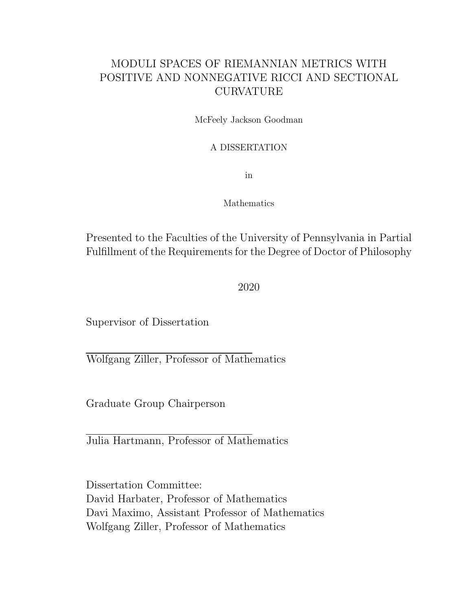### MODULI SPACES OF RIEMANNIAN METRICS WITH POSITIVE AND NONNEGATIVE RICCI AND SECTIONAL CURVATURE

McFeely Jackson Goodman

#### A DISSERTATION

in

Mathematics

Presented to the Faculties of the University of Pennsylvania in Partial Fulfillment of the Requirements for the Degree of Doctor of Philosophy

2020

Supervisor of Dissertation

Wolfgang Ziller, Professor of Mathematics

Graduate Group Chairperson

Julia Hartmann, Professor of Mathematics

Dissertation Committee: David Harbater, Professor of Mathematics Davi Maximo, Assistant Professor of Mathematics Wolfgang Ziller, Professor of Mathematics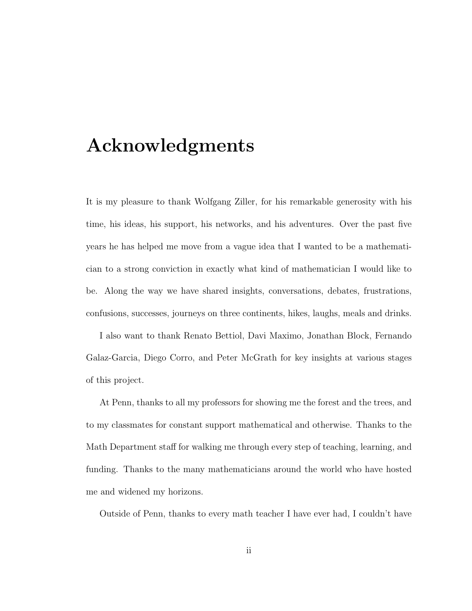# Acknowledgments

It is my pleasure to thank Wolfgang Ziller, for his remarkable generosity with his time, his ideas, his support, his networks, and his adventures. Over the past five years he has helped me move from a vague idea that I wanted to be a mathematician to a strong conviction in exactly what kind of mathematician I would like to be. Along the way we have shared insights, conversations, debates, frustrations, confusions, successes, journeys on three continents, hikes, laughs, meals and drinks.

I also want to thank Renato Bettiol, Davi Maximo, Jonathan Block, Fernando Galaz-Garcia, Diego Corro, and Peter McGrath for key insights at various stages of this project.

At Penn, thanks to all my professors for showing me the forest and the trees, and to my classmates for constant support mathematical and otherwise. Thanks to the Math Department staff for walking me through every step of teaching, learning, and funding. Thanks to the many mathematicians around the world who have hosted me and widened my horizons.

Outside of Penn, thanks to every math teacher I have ever had, I couldn't have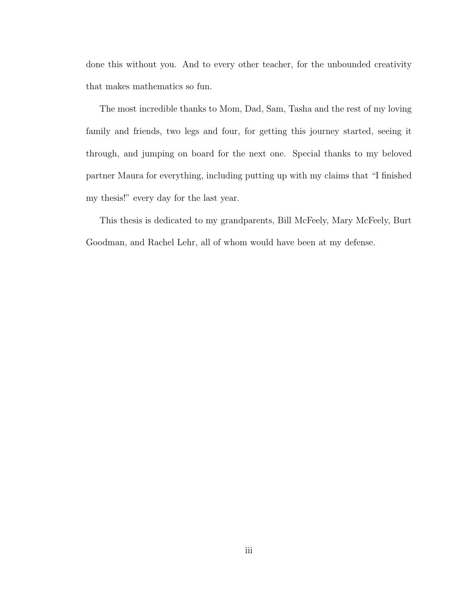done this without you. And to every other teacher, for the unbounded creativity that makes mathematics so fun.

The most incredible thanks to Mom, Dad, Sam, Tasha and the rest of my loving family and friends, two legs and four, for getting this journey started, seeing it through, and jumping on board for the next one. Special thanks to my beloved partner Maura for everything, including putting up with my claims that "I finished my thesis!" every day for the last year.

This thesis is dedicated to my grandparents, Bill McFeely, Mary McFeely, Burt Goodman, and Rachel Lehr, all of whom would have been at my defense.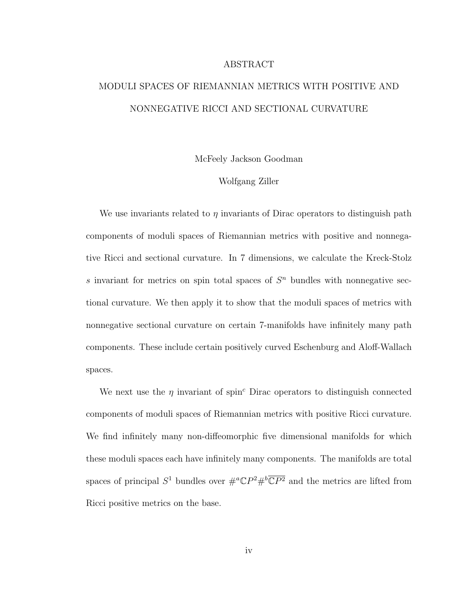#### ABSTRACT

## MODULI SPACES OF RIEMANNIAN METRICS WITH POSITIVE AND NONNEGATIVE RICCI AND SECTIONAL CURVATURE

McFeely Jackson Goodman

#### Wolfgang Ziller

We use invariants related to  $\eta$  invariants of Dirac operators to distinguish path components of moduli spaces of Riemannian metrics with positive and nonnegative Ricci and sectional curvature. In 7 dimensions, we calculate the Kreck-Stolz s invariant for metrics on spin total spaces of  $S<sup>n</sup>$  bundles with nonnegative sectional curvature. We then apply it to show that the moduli spaces of metrics with nonnegative sectional curvature on certain 7-manifolds have infinitely many path components. These include certain positively curved Eschenburg and Aloff-Wallach spaces.

We next use the  $\eta$  invariant of spin<sup>c</sup> Dirac operators to distinguish connected components of moduli spaces of Riemannian metrics with positive Ricci curvature. We find infinitely many non-diffeomorphic five dimensional manifolds for which these moduli spaces each have infinitely many components. The manifolds are total spaces of principal  $S^1$  bundles over  $\#^a \mathbb{C}P^2 \#^b \overline{\mathbb{C}P^2}$  and the metrics are lifted from Ricci positive metrics on the base.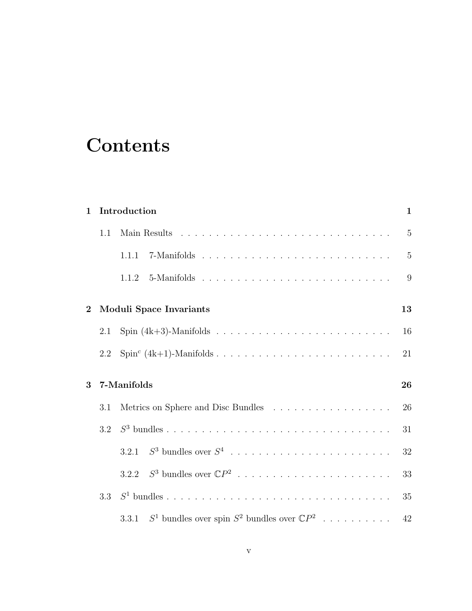# **Contents**

| $\mathbf{1}$ |     | Introduction                                                                   | 1              |
|--------------|-----|--------------------------------------------------------------------------------|----------------|
|              | 1.1 |                                                                                | $\overline{5}$ |
|              |     | 1.1.1                                                                          | $\overline{5}$ |
|              |     | 1.1.2                                                                          | 9              |
| $\mathbf{2}$ |     | <b>Moduli Space Invariants</b>                                                 | 13             |
|              | 2.1 |                                                                                | 16             |
|              | 2.2 |                                                                                | 21             |
| 3            |     | 7-Manifolds                                                                    | 26             |
|              | 3.1 | Metrics on Sphere and Disc Bundles $\ldots \ldots \ldots \ldots \ldots \ldots$ | 26             |
|              | 3.2 |                                                                                | 31             |
|              |     | $S^3$ bundles over $S^4$<br>3.2.1                                              | 32             |
|              |     | 3.2.2                                                                          | 33             |
|              | 3.3 |                                                                                | 35             |
|              |     | $S^1$ bundles over spin $S^2$ bundles over $\mathbb{C}P^2$<br>3.3.1            | 42             |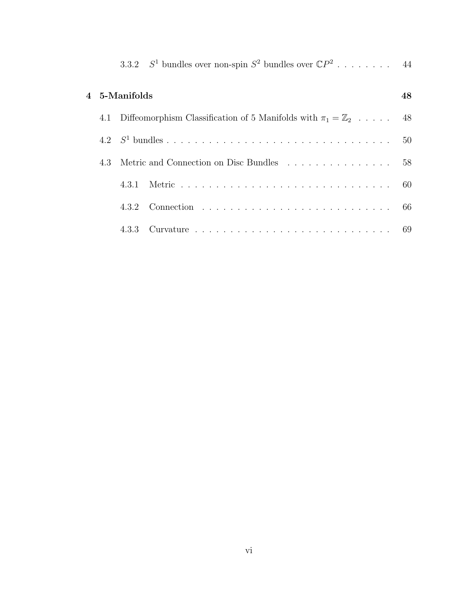|     | 3.3.2 $S^1$ bundles over non-spin $S^2$ bundles over $\mathbb{C}P^2$ 44  |    |
|-----|--------------------------------------------------------------------------|----|
|     | $4\;$ 5-Manifolds                                                        | 48 |
| 4.1 | Diffeomorphism Classification of 5 Manifolds with $\pi_1 = \mathbb{Z}_2$ | 48 |
|     |                                                                          | 50 |
|     | 4.3 Metric and Connection on Disc Bundles 58                             |    |
|     | 4.3.1                                                                    |    |
|     | 4.3.2                                                                    |    |
|     |                                                                          |    |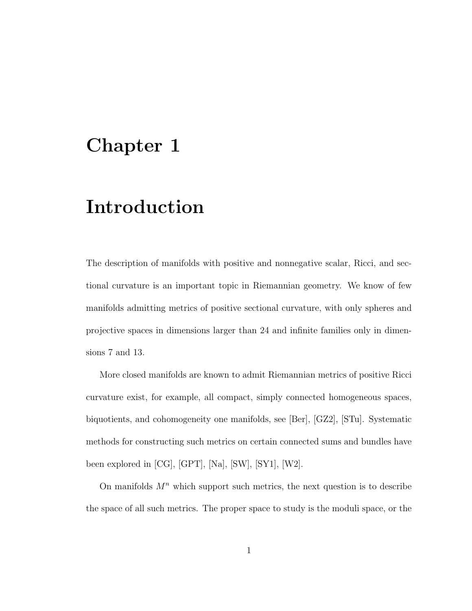## Chapter 1

# Introduction

The description of manifolds with positive and nonnegative scalar, Ricci, and sectional curvature is an important topic in Riemannian geometry. We know of few manifolds admitting metrics of positive sectional curvature, with only spheres and projective spaces in dimensions larger than 24 and infinite families only in dimensions 7 and 13.

More closed manifolds are known to admit Riemannian metrics of positive Ricci curvature exist, for example, all compact, simply connected homogeneous spaces, biquotients, and cohomogeneity one manifolds, see [Ber], [GZ2], [STu]. Systematic methods for constructing such metrics on certain connected sums and bundles have been explored in [CG], [GPT], [Na], [SW], [SY1], [W2].

On manifolds  $M<sup>n</sup>$  which support such metrics, the next question is to describe the space of all such metrics. The proper space to study is the moduli space, or the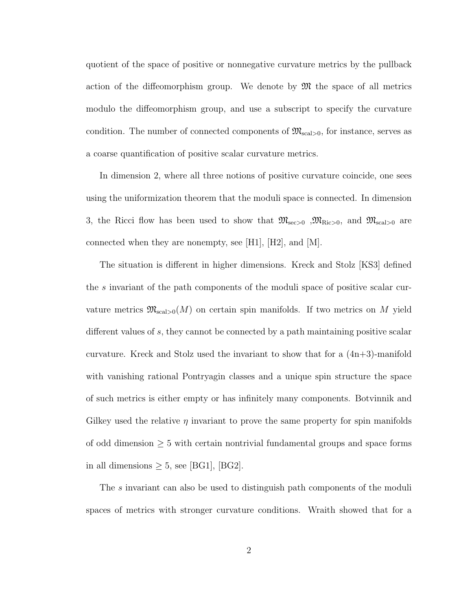quotient of the space of positive or nonnegative curvature metrics by the pullback action of the diffeomorphism group. We denote by  $\mathfrak{M}$  the space of all metrics modulo the diffeomorphism group, and use a subscript to specify the curvature condition. The number of connected components of  $\mathfrak{M}_{\rm scal>0}$ , for instance, serves as a coarse quantification of positive scalar curvature metrics.

In dimension 2, where all three notions of positive curvature coincide, one sees using the uniformization theorem that the moduli space is connected. In dimension 3, the Ricci flow has been used to show that  $\mathfrak{M}_{\text{sec}>0}$ ,  $\mathfrak{M}_{\text{Ric}>0}$ , and  $\mathfrak{M}_{\text{scal}>0}$  are connected when they are nonempty, see [H1], [H2], and [M].

The situation is different in higher dimensions. Kreck and Stolz [KS3] defined the s invariant of the path components of the moduli space of positive scalar curvature metrics  $\mathfrak{M}_{\text{scal}>0}(M)$  on certain spin manifolds. If two metrics on M yield different values of s, they cannot be connected by a path maintaining positive scalar curvature. Kreck and Stolz used the invariant to show that for a (4n+3)-manifold with vanishing rational Pontryagin classes and a unique spin structure the space of such metrics is either empty or has infinitely many components. Botvinnik and Gilkey used the relative  $\eta$  invariant to prove the same property for spin manifolds of odd dimension  $\geq 5$  with certain nontrivial fundamental groups and space forms in all dimensions  $\geq 5$ , see [BG1], [BG2].

The s invariant can also be used to distinguish path components of the moduli spaces of metrics with stronger curvature conditions. Wraith showed that for a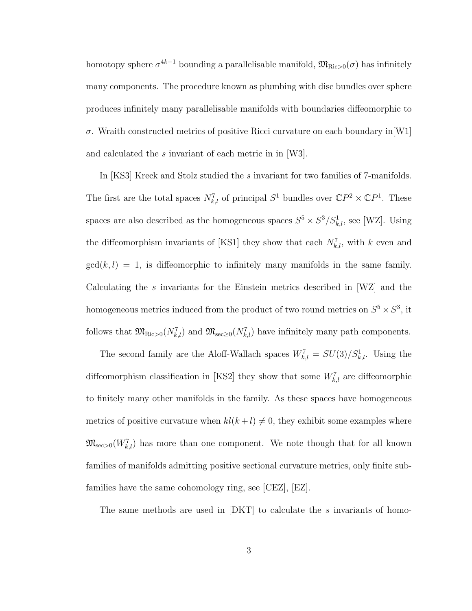homotopy sphere  $\sigma^{4k-1}$  bounding a parallelisable manifold,  $\mathfrak{M}_{\text{Ric}>0}(\sigma)$  has infinitely many components. The procedure known as plumbing with disc bundles over sphere produces infinitely many parallelisable manifolds with boundaries diffeomorphic to  $\sigma$ . Wraith constructed metrics of positive Ricci curvature on each boundary in [W1] and calculated the s invariant of each metric in in [W3].

In [KS3] Kreck and Stolz studied the s invariant for two families of 7-manifolds. The first are the total spaces  $N_{k,l}^7$  of principal  $S^1$  bundles over  $\mathbb{C}P^2 \times \mathbb{C}P^1$ . These spaces are also described as the homogeneous spaces  $S^5 \times S^3 / S^1_{k,l}$ , see [WZ]. Using the diffeomorphism invariants of [KS1] they show that each  $N_{k,l}^7$ , with k even and  $gcd(k, l) = 1$ , is diffeomorphic to infinitely many manifolds in the same family. Calculating the s invariants for the Einstein metrics described in [WZ] and the homogeneous metrics induced from the product of two round metrics on  $S^5 \times S^3$ , it follows that  $\mathfrak{M}_{\text{Ric}>0}(N_{k,l}^7)$  and  $\mathfrak{M}_{\text{sec}\geq 0}(N_{k,l}^7)$  have infinitely many path components.

The second family are the Aloff-Wallach spaces  $W_{k,l}^7 = SU(3)/S_{k,l}^1$ . Using the diffeomorphism classification in [KS2] they show that some  $W_{k,l}^7$  are diffeomorphic to finitely many other manifolds in the family. As these spaces have homogeneous metrics of positive curvature when  $kl(k+l) \neq 0$ , they exhibit some examples where  $\mathfrak{M}_{\mathrm{sec}>0}(W^7_{k,l})$  has more than one component. We note though that for all known families of manifolds admitting positive sectional curvature metrics, only finite subfamilies have the same cohomology ring, see [CEZ], [EZ].

The same methods are used in [DKT] to calculate the s invariants of homo-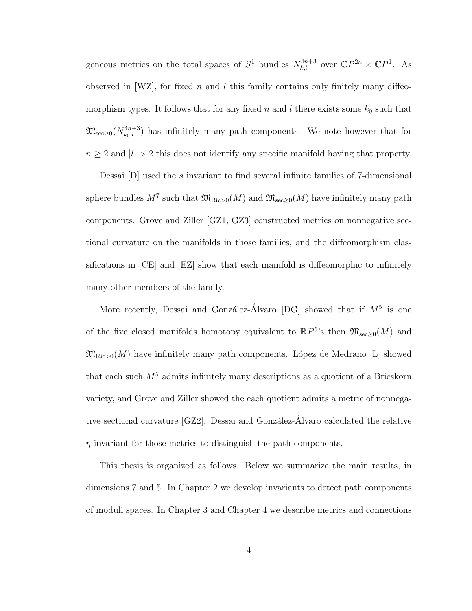geneous metrics on the total spaces of  $S^1$  bundles  $N_{k,l}^{4n+3}$  over  $\mathbb{C}P^{2n} \times \mathbb{C}P^1$ . As observed in [WZ], for fixed n and l this family contains only finitely many diffeomorphism types. It follows that for any fixed n and l there exists some  $k_0$  such that  $\mathfrak{M}_{\mathrm{sec}\geq 0}(N_{k_0,l}^{4n+3})$  has infinitely many path components. We note however that for  $n \geq 2$  and  $|l| > 2$  this does not identify any specific manifold having that property.

Dessai [D] used the s invariant to find several infinite families of 7-dimensional sphere bundles  $M^7$  such that  $\mathfrak{M}_{\mathrm{Ric} > 0}(M)$  and  $\mathfrak{M}_{\mathrm{sec} \geq 0}(M)$  have infinitely many path components. Grove and Ziller [GZ1, GZ3] constructed metrics on nonnegative sectional curvature on the manifolds in those families, and the diffeomorphism classifications in [CE] and [EZ] show that each manifold is diffeomorphic to infinitely many other members of the family.

More recently, Dessai and González-Álvaro [DG] showed that if  $M^5$  is one of the five closed manifolds homotopy equivalent to  $\mathbb{R}P^{5}$ 's then  $\mathfrak{M}_{\sec\geq 0}(M)$  and  $\mathfrak{M}_{\text{Ric}>0}(M)$  have infinitely many path components. López de Medrano [L] showed that each such  $M<sup>5</sup>$  admits infinitely many descriptions as a quotient of a Brieskorn variety, and Grove and Ziller showed the each quotient admits a metric of nonnegative sectional curvature [GZ2]. Dessai and González-Álvaro calculated the relative  $\eta$  invariant for those metrics to distinguish the path components.

This thesis is organized as follows. Below we summarize the main results, in dimensions 7 and 5. In Chapter 2 we develop invariants to detect path components of moduli spaces. In Chapter 3 and Chapter 4 we describe metrics and connections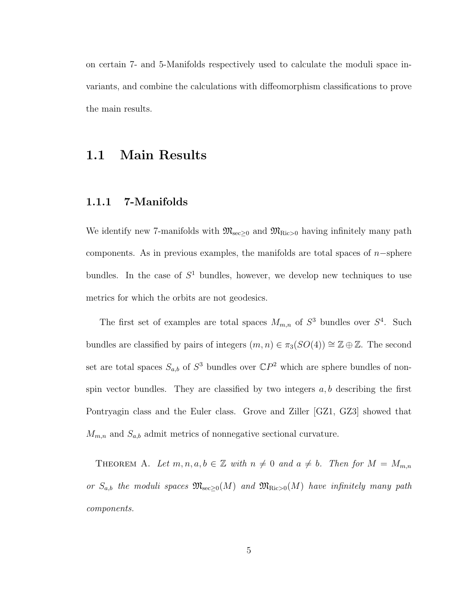on certain 7- and 5-Manifolds respectively used to calculate the moduli space invariants, and combine the calculations with diffeomorphism classifications to prove the main results.

### 1.1 Main Results

#### 1.1.1 7-Manifolds

We identify new 7-manifolds with  $\mathfrak{M}_{\text{sec}\geq 0}$  and  $\mathfrak{M}_{\text{Ric}>0}$  having infinitely many path components. As in previous examples, the manifolds are total spaces of  $n$ -sphere bundles. In the case of  $S<sup>1</sup>$  bundles, however, we develop new techniques to use metrics for which the orbits are not geodesics.

The first set of examples are total spaces  $M_{m,n}$  of  $S^3$  bundles over  $S^4$ . Such bundles are classified by pairs of integers  $(m, n) \in \pi_3(SO(4)) \cong \mathbb{Z} \oplus \mathbb{Z}$ . The second set are total spaces  $S_{a,b}$  of  $S^3$  bundles over  $\mathbb{C}P^2$  which are sphere bundles of nonspin vector bundles. They are classified by two integers  $a, b$  describing the first Pontryagin class and the Euler class. Grove and Ziller [GZ1, GZ3] showed that  $M_{m,n}$  and  $S_{a,b}$  admit metrics of nonnegative sectional curvature.

THEOREM A. Let  $m, n, a, b \in \mathbb{Z}$  with  $n \neq 0$  and  $a \neq b$ . Then for  $M = M_{m,n}$ or  $S_{a,b}$  the moduli spaces  $\mathfrak{M}_{\text{sec}\geq 0}(M)$  and  $\mathfrak{M}_{\text{Ric}>0}(M)$  have infinitely many path components.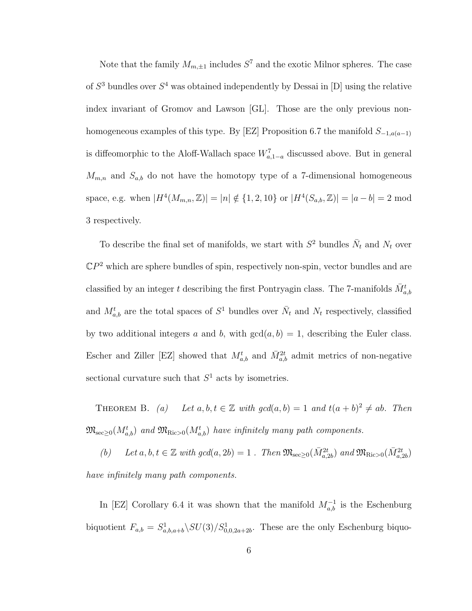Note that the family  $M_{m,\pm 1}$  includes  $S^7$  and the exotic Milnor spheres. The case of  $S^3$  bundles over  $S^4$  was obtained independently by Dessai in [D] using the relative index invariant of Gromov and Lawson [GL]. Those are the only previous nonhomogeneous examples of this type. By [EZ] Proposition 6.7 the manifold  $S_{-1,a(a-1)}$ is diffeomorphic to the Aloff-Wallach space  $W_{a,1-a}^7$  discussed above. But in general  $M_{m,n}$  and  $S_{a,b}$  do not have the homotopy type of a 7-dimensional homogeneous space, e.g. when  $|H^4(M_{m,n}, \mathbb{Z})| = |n| \notin \{1, 2, 10\}$  or  $|H^4(S_{a,b}, \mathbb{Z})| = |a - b| = 2 \text{ mod } 2$ 3 respectively.

To describe the final set of manifolds, we start with  $S^2$  bundles  $\bar{N}_t$  and  $N_t$  over  $\mathbb{C}P^2$  which are sphere bundles of spin, respectively non-spin, vector bundles and are classified by an integer  $t$  describing the first Pontryagin class. The 7-manifolds  $\bar{M}^t_{a,b}$ and  $M_{a,b}^t$  are the total spaces of  $S^1$  bundles over  $\bar{N}_t$  and  $N_t$  respectively, classified by two additional integers a and b, with  $gcd(a, b) = 1$ , describing the Euler class. Escher and Ziller [EZ] showed that  $M_{a,b}^t$  and  $\bar{M}_{a,b}^{2t}$  admit metrics of non-negative sectional curvature such that  $S<sup>1</sup>$  acts by isometries.

THEOREM B. (a) Let  $a, b, t \in \mathbb{Z}$  with  $gcd(a, b) = 1$  and  $t(a + b)^2 \neq ab$ . Then  $\mathfrak{M}_{\mathrm{sec}\geq0}(M_{a,b}^{t})$  and  $\mathfrak{M}_{\mathrm{Ric}>0}(M_{a,b}^{t})$  have infinitely many path components.

(b) Let  $a, b, t \in \mathbb{Z}$  with  $gcd(a, 2b) = 1$ . Then  $\mathfrak{M}_{\text{sec}\geq 0}(\bar{M}_{a,2b}^{2t})$  and  $\mathfrak{M}_{\text{Ric}>0}(\bar{M}_{a,2b}^{2t})$ have infinitely many path components.

In [EZ] Corollary 6.4 it was shown that the manifold  $M_{a,b}^{-1}$  is the Eschenburg biquotient  $F_{a,b} = S_{a,b,a+b}^1 \backslash SU(3)/S_{0,0,2a+2b}^1$ . These are the only Eschenburg biquo-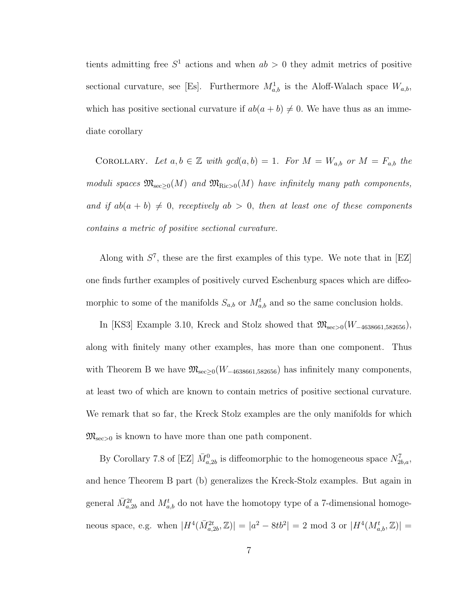tients admitting free  $S^1$  actions and when  $ab > 0$  they admit metrics of positive sectional curvature, see [Es]. Furthermore  $M_{a,b}^1$  is the Aloff-Walach space  $W_{a,b}$ , which has positive sectional curvature if  $ab(a + b) \neq 0$ . We have thus as an immediate corollary

COROLLARY. Let  $a, b \in \mathbb{Z}$  with  $gcd(a, b) = 1$ . For  $M = W_{a,b}$  or  $M = F_{a,b}$  the moduli spaces  $\mathfrak{M}_{\mathrm{sec}\geq0}(M)$  and  $\mathfrak{M}_{\mathrm{Ric}>0}(M)$  have infinitely many path components, and if  $ab(a + b) \neq 0$ , receptively  $ab > 0$ , then at least one of these components contains a metric of positive sectional curvature.

Along with  $S^7$ , these are the first examples of this type. We note that in [EZ] one finds further examples of positively curved Eschenburg spaces which are diffeomorphic to some of the manifolds  $S_{a,b}$  or  $M_{a,b}^{t}$  and so the same conclusion holds.

In [KS3] Example 3.10, Kreck and Stolz showed that  $\mathfrak{M}_{\mathrm{sec}>0}(W_{-4638661,582656})$ , along with finitely many other examples, has more than one component. Thus with Theorem B we have  $\mathfrak{M}_{\mathrm{sec}\geq 0}(W_{-4638661,582656})$  has infinitely many components, at least two of which are known to contain metrics of positive sectional curvature. We remark that so far, the Kreck Stolz examples are the only manifolds for which  $\mathfrak{M}_{\mathrm{sec}>0}$  is known to have more than one path component.

By Corollary 7.8 of [EZ]  $\bar{M}^0_{a,2b}$  is diffeomorphic to the homogeneous space  $N^7_{2b,a}$ , and hence Theorem B part (b) generalizes the Kreck-Stolz examples. But again in general  $\bar{M}^{2t}_{a,2b}$  and  $M^t_{a,b}$  do not have the homotopy type of a 7-dimensional homogeneous space, e.g. when  $|H^4(\bar{M}_{a,2b}^{2t}, \mathbb{Z})| = |a^2 - 8tb^2| = 2 \text{ mod } 3 \text{ or } |H^4(M_{a,b}^t, \mathbb{Z})| =$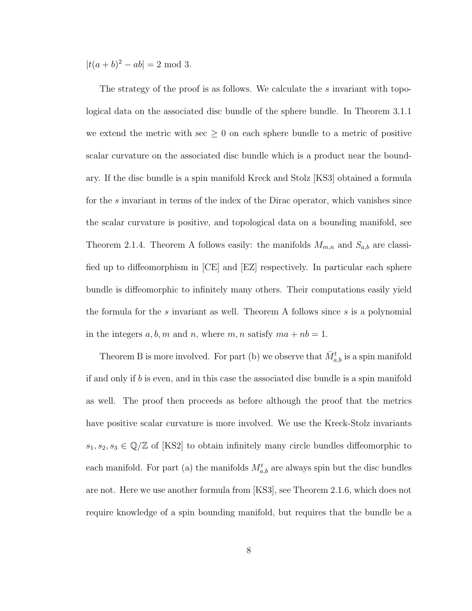$|t(a+b)^2 - ab| = 2 \text{ mod } 3.$ 

The strategy of the proof is as follows. We calculate the s invariant with topological data on the associated disc bundle of the sphere bundle. In Theorem 3.1.1 we extend the metric with sec  $\geq 0$  on each sphere bundle to a metric of positive scalar curvature on the associated disc bundle which is a product near the boundary. If the disc bundle is a spin manifold Kreck and Stolz [KS3] obtained a formula for the s invariant in terms of the index of the Dirac operator, which vanishes since the scalar curvature is positive, and topological data on a bounding manifold, see Theorem 2.1.4. Theorem A follows easily: the manifolds  $M_{m,n}$  and  $S_{a,b}$  are classified up to diffeomorphism in [CE] and [EZ] respectively. In particular each sphere bundle is diffeomorphic to infinitely many others. Their computations easily yield the formula for the s invariant as well. Theorem A follows since s is a polynomial in the integers  $a, b, m$  and n, where  $m, n$  satisfy  $ma + nb = 1$ .

Theorem B is more involved. For part (b) we observe that  $\bar{M}^t_{a,b}$  is a spin manifold if and only if b is even, and in this case the associated disc bundle is a spin manifold as well. The proof then proceeds as before although the proof that the metrics have positive scalar curvature is more involved. We use the Kreck-Stolz invariants  $s_1, s_2, s_3 \in \mathbb{Q}/\mathbb{Z}$  of [KS2] to obtain infinitely many circle bundles diffeomorphic to each manifold. For part (a) the manifolds  $M_{a,b}^t$  are always spin but the disc bundles are not. Here we use another formula from [KS3], see Theorem 2.1.6, which does not require knowledge of a spin bounding manifold, but requires that the bundle be a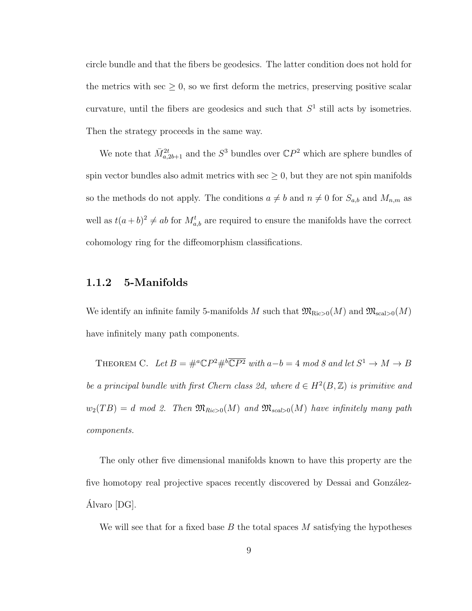circle bundle and that the fibers be geodesics. The latter condition does not hold for the metrics with sec  $\geq 0$ , so we first deform the metrics, preserving positive scalar curvature, until the fibers are geodesics and such that  $S<sup>1</sup>$  still acts by isometries. Then the strategy proceeds in the same way.

We note that  $\bar{M}^{2t}_{a,2b+1}$  and the  $S^3$  bundles over  $\mathbb{C}P^2$  which are sphere bundles of spin vector bundles also admit metrics with sec  $\geq 0$ , but they are not spin manifolds so the methods do not apply. The conditions  $a \neq b$  and  $n \neq 0$  for  $S_{a,b}$  and  $M_{n,m}$  as well as  $t(a+b)^2 \neq ab$  for  $M_{a,b}^t$  are required to ensure the manifolds have the correct cohomology ring for the diffeomorphism classifications.

#### 1.1.2 5-Manifolds

We identify an infinite family 5-manifolds M such that  $\mathfrak{M}_{\text{Ric}>0}(M)$  and  $\mathfrak{M}_{\text{scal}>0}(M)$ have infinitely many path components.

THEOREM C. Let  $B = \#^a \mathbb{C}P^2 \#^b \overline{\mathbb{C}P^2}$  with  $a - b = 4 \mod 8$  and let  $S^1 \to M \to B$ be a principal bundle with first Chern class 2d, where  $d \in H^2(B, \mathbb{Z})$  is primitive and  $w_2(TB) = d \mod 2$ . Then  $\mathfrak{M}_{Ric>0}(M)$  and  $\mathfrak{M}_{scal>0}(M)$  have infinitely many path components.

The only other five dimensional manifolds known to have this property are the five homotopy real projective spaces recently discovered by Dessai and González-Alvaro [DG]. ´

We will see that for a fixed base B the total spaces M satisfying the hypotheses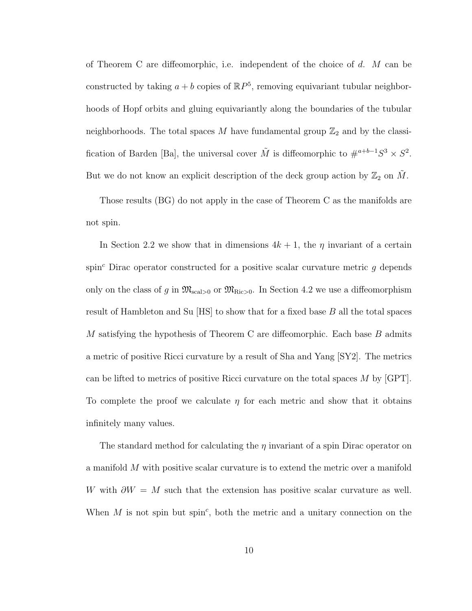of Theorem C are diffeomorphic, i.e. independent of the choice of  $d$ . M can be constructed by taking  $a + b$  copies of  $\mathbb{R}P^5$ , removing equivariant tubular neighborhoods of Hopf orbits and gluing equivariantly along the boundaries of the tubular neighborhoods. The total spaces M have fundamental group  $\mathbb{Z}_2$  and by the classification of Barden [Ba], the universal cover  $\tilde{M}$  is diffeomorphic to  $\#^{a+b-1}S^3 \times S^2$ . But we do not know an explicit description of the deck group action by  $\mathbb{Z}_2$  on M.

Those results (BG) do not apply in the case of Theorem C as the manifolds are not spin.

In Section 2.2 we show that in dimensions  $4k + 1$ , the  $\eta$  invariant of a certain spin<sup>c</sup> Dirac operator constructed for a positive scalar curvature metric  $g$  depends only on the class of g in  $\mathfrak{M}_{\text{scal}>0}$  or  $\mathfrak{M}_{\text{Ric}>0}$ . In Section 4.2 we use a diffeomorphism result of Hambleton and Su [HS] to show that for a fixed base B all the total spaces M satisfying the hypothesis of Theorem C are diffeomorphic. Each base  $B$  admits a metric of positive Ricci curvature by a result of Sha and Yang [SY2]. The metrics can be lifted to metrics of positive Ricci curvature on the total spaces  $M$  by  $\lbrack \text{GPT} \rbrack$ . To complete the proof we calculate  $\eta$  for each metric and show that it obtains infinitely many values.

The standard method for calculating the  $\eta$  invariant of a spin Dirac operator on a manifold M with positive scalar curvature is to extend the metric over a manifold W with  $\partial W = M$  such that the extension has positive scalar curvature as well. When  $M$  is not spin but spin<sup>c</sup>, both the metric and a unitary connection on the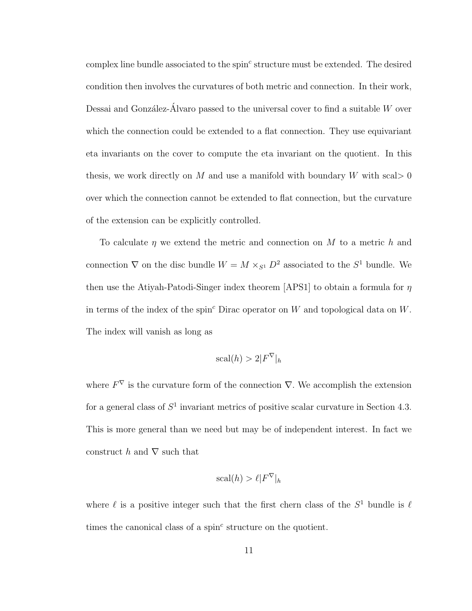$\text{complex line bundle associated to the spin}^c \text{ structure must be extended. The desired$ condition then involves the curvatures of both metric and connection. In their work, Dessai and González-Álvaro passed to the universal cover to find a suitable  $W$  over which the connection could be extended to a flat connection. They use equivariant eta invariants on the cover to compute the eta invariant on the quotient. In this thesis, we work directly on M and use a manifold with boundary W with scal  $> 0$ over which the connection cannot be extended to flat connection, but the curvature of the extension can be explicitly controlled.

To calculate  $\eta$  we extend the metric and connection on M to a metric h and connection  $\nabla$  on the disc bundle  $W = M \times_{S^1} D^2$  associated to the  $S^1$  bundle. We then use the Atiyah-Patodi-Singer index theorem [APS1] to obtain a formula for  $\eta$ in terms of the index of the spin<sup>c</sup> Dirac operator on W and topological data on W. The index will vanish as long as

$$
\text{scal}(h) > 2|F^{\nabla}|_h
$$

where  $F^{\nabla}$  is the curvature form of the connection  $\nabla$ . We accomplish the extension for a general class of  $S^1$  invariant metrics of positive scalar curvature in Section 4.3. This is more general than we need but may be of independent interest. In fact we construct h and  $\nabla$  such that

$$
\text{scal}(h) > \ell |F^{\nabla}|_h
$$

where  $\ell$  is a positive integer such that the first chern class of the  $S^1$  bundle is  $\ell$ times the canonical class of a spin $^c$  structure on the quotient.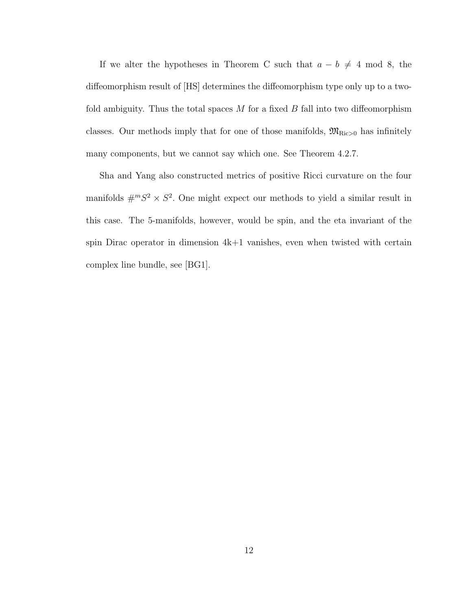If we alter the hypotheses in Theorem C such that  $a - b \neq 4 \mod 8$ , the diffeomorphism result of [HS] determines the diffeomorphism type only up to a twofold ambiguity. Thus the total spaces  $M$  for a fixed  $B$  fall into two diffeomorphism classes. Our methods imply that for one of those manifolds,  $\mathfrak{M}_{\text{Ric}>0}$  has infinitely many components, but we cannot say which one. See Theorem 4.2.7.

Sha and Yang also constructed metrics of positive Ricci curvature on the four manifolds  $\#^m S^2 \times S^2$ . One might expect our methods to yield a similar result in this case. The 5-manifolds, however, would be spin, and the eta invariant of the spin Dirac operator in dimension  $4k+1$  vanishes, even when twisted with certain complex line bundle, see [BG1].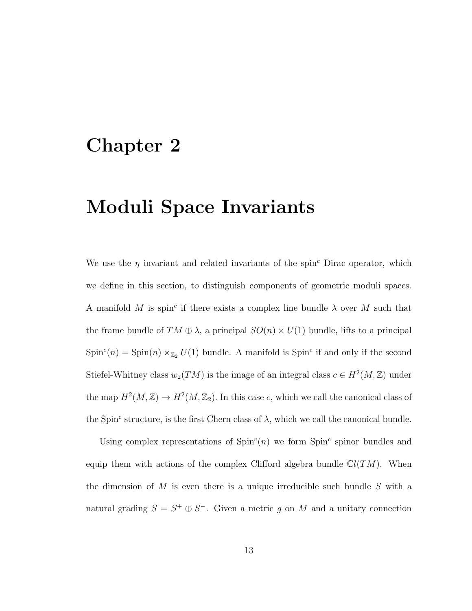## Chapter 2

## Moduli Space Invariants

We use the  $\eta$  invariant and related invariants of the spin<sup>c</sup> Dirac operator, which we define in this section, to distinguish components of geometric moduli spaces. A manifold M is spin<sup>c</sup> if there exists a complex line bundle  $\lambda$  over M such that the frame bundle of  $TM \oplus \lambda$ , a principal  $SO(n) \times U(1)$  bundle, lifts to a principal  $Spin<sup>c</sup>(n) = Spin(n) \times_{\mathbb{Z}_2} U(1)$  bundle. A manifold is Spin<sup>c</sup> if and only if the second Stiefel-Whitney class  $w_2(TM)$  is the image of an integral class  $c \in H^2(M, \mathbb{Z})$  under the map  $H^2(M, \mathbb{Z}) \to H^2(M, \mathbb{Z}_2)$ . In this case c, which we call the canonical class of the Spin<sup>c</sup> structure, is the first Chern class of  $\lambda$ , which we call the canonical bundle.

Using complex representations of  $Spin<sup>c</sup>(n)$  we form  $Spin<sup>c</sup>$  spinor bundles and equip them with actions of the complex Clifford algebra bundle  $Cl(TM)$ . When the dimension of M is even there is a unique irreducible such bundle S with a natural grading  $S = S^+ \oplus S^-$ . Given a metric g on M and a unitary connection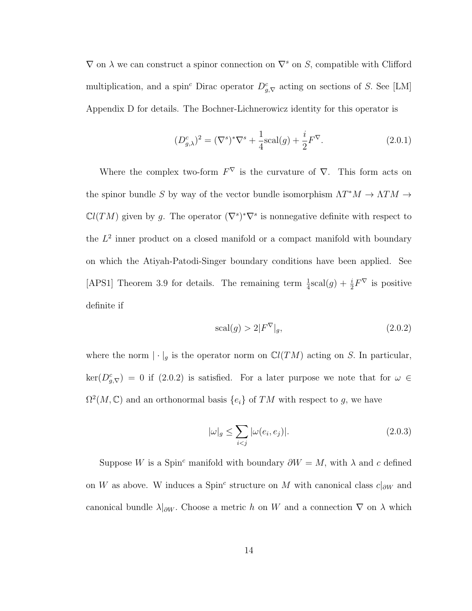$\nabla$  on  $\lambda$  we can construct a spinor connection on  $\nabla^s$  on S, compatible with Clifford multiplication, and a spin<sup>c</sup> Dirac operator  $D_{g,\nabla}^c$  acting on sections of S. See [LM] Appendix D for details. The Bochner-Lichnerowicz identity for this operator is

$$
(D_{g,\lambda}^{c})^{2} = (\nabla^{s})^{*}\nabla^{s} + \frac{1}{4}\text{scal}(g) + \frac{i}{2}F^{\nabla}.
$$
 (2.0.1)

Where the complex two-form  $F^{\nabla}$  is the curvature of  $\nabla$ . This form acts on the spinor bundle S by way of the vector bundle isomorphism  $\Lambda T^*M \to \Lambda TM \to$  $\mathbb{C}l(TM)$  given by g. The operator  $(\nabla^s)^*\nabla^s$  is nonnegative definite with respect to the  $L^2$  inner product on a closed manifold or a compact manifold with boundary on which the Atiyah-Patodi-Singer boundary conditions have been applied. See [APS1] Theorem 3.9 for details. The remaining term  $\frac{1}{4}$ scal $(g) + \frac{i}{2}F^{\nabla}$  is positive definite if

$$
\text{scal}(g) > 2|F^{\nabla}|_g,\tag{2.0.2}
$$

where the norm  $|\cdot|_g$  is the operator norm on  $\mathbb{C}l(TM)$  acting on S. In particular,  $\ker(D_{g,\nabla}^c) = 0$  if (2.0.2) is satisfied. For a later purpose we note that for  $\omega \in$  $\Omega^2(M,\mathbb{C})$  and an orthonormal basis  $\{e_i\}$  of TM with respect to g, we have

$$
|\omega|_g \le \sum_{i < j} |\omega(e_i, e_j)|. \tag{2.0.3}
$$

Suppose W is a Spin<sup>c</sup> manifold with boundary  $\partial W = M$ , with  $\lambda$  and c defined on W as above. W induces a Spin<sup>c</sup> structure on M with canonical class  $c|_{\partial W}$  and canonical bundle  $\lambda|_{\partial W}$ . Choose a metric h on W and a connection  $\nabla$  on  $\lambda$  which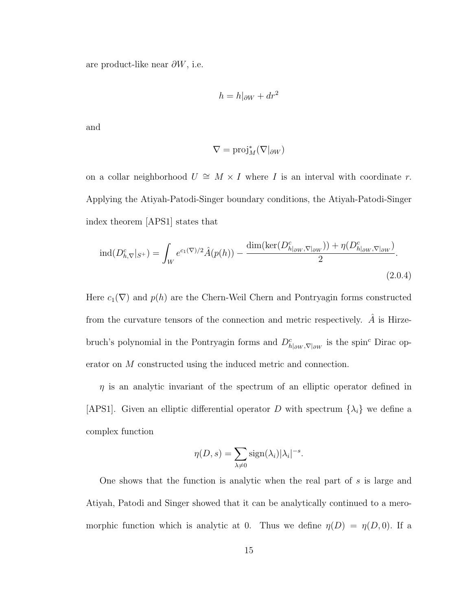are product-like near  $\partial W$ , i.e.

$$
h = h|_{\partial W} + dr^2
$$

and

$$
\nabla = \mathrm{proj}_M^*(\nabla|_{\partial W})
$$

on a collar neighborhood  $U \cong M \times I$  where I is an interval with coordinate r. Applying the Atiyah-Patodi-Singer boundary conditions, the Atiyah-Patodi-Singer index theorem [APS1] states that

$$
\text{ind}(D_{h,\nabla}^c|_{S^+}) = \int_W e^{c_1(\nabla)/2} \hat{A}(p(h)) - \frac{\text{dim}(\text{ker}(D_{h|_{\partial W},\nabla|_{\partial W}}^c)) + \eta(D_{h|_{\partial W},\nabla|_{\partial W}}^c)}{2}.
$$
\n(2.0.4)

Here  $c_1(\nabla)$  and  $p(h)$  are the Chern-Weil Chern and Pontryagin forms constructed from the curvature tensors of the connection and metric respectively.  $\tilde{A}$  is Hirzebruch's polynomial in the Pontryagin forms and  $D^c_{h|_{\partial W}, \nabla|_{\partial W}}$  is the spin<sup>c</sup> Dirac operator on M constructed using the induced metric and connection.

 $\eta$  is an analytic invariant of the spectrum of an elliptic operator defined in [APS1]. Given an elliptic differential operator D with spectrum  $\{\lambda_i\}$  we define a complex function

$$
\eta(D,s) = \sum_{\lambda \neq 0} sign(\lambda_i)|\lambda_i|^{-s}.
$$

One shows that the function is analytic when the real part of s is large and Atiyah, Patodi and Singer showed that it can be analytically continued to a meromorphic function which is analytic at 0. Thus we define  $\eta(D) = \eta(D, 0)$ . If a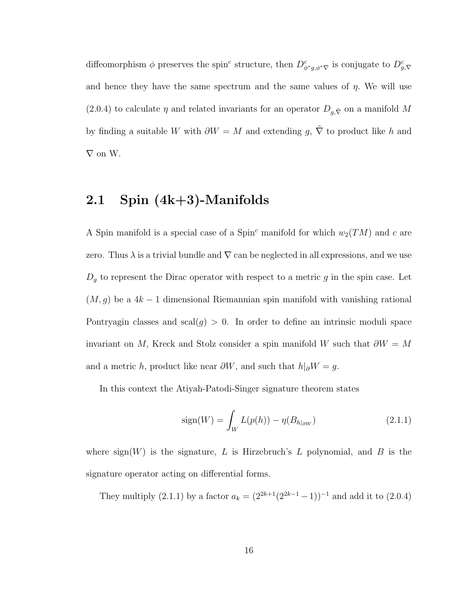diffeomorphism  $\phi$  preserves the spin<sup>c</sup> structure, then  $D^c_{\phi^*g, \phi^*\nabla}$  is conjugate to  $D^c_{g, \nabla}$ and hence they have the same spectrum and the same values of  $\eta$ . We will use (2.0.4) to calculate  $\eta$  and related invariants for an operator  $D_{g,\tilde\nabla}$  on a manifold M by finding a suitable W with  $\partial W = M$  and extending  $g, \tilde{\nabla}$  to product like  $h$  and ∇ on W.

### 2.1 Spin (4k+3)-Manifolds

A Spin manifold is a special case of a Spin<sup>c</sup> manifold for which  $w_2(TM)$  and c are zero. Thus  $\lambda$  is a trivial bundle and  $\nabla$  can be neglected in all expressions, and we use  $D_g$  to represent the Dirac operator with respect to a metric  $g$  in the spin case. Let  $(M, g)$  be a 4k – 1 dimensional Riemannian spin manifold with vanishing rational Pontryagin classes and  $\text{scal}(g) > 0$ . In order to define an intrinsic moduli space invariant on M, Kreck and Stolz consider a spin manifold W such that  $\partial W = M$ and a metric h, product like near  $\partial W$ , and such that  $h|_{\partial} W = g$ .

In this context the Atiyah-Patodi-Singer signature theorem states

$$
sign(W) = \int_{W} L(p(h)) - \eta(B_{h|_{\partial W}})
$$
\n(2.1.1)

where sign(W) is the signature, L is Hirzebruch's L polynomial, and B is the signature operator acting on differential forms.

They multiply (2.1.1) by a factor  $a_k = (2^{2k+1}(2^{2k-1}-1))^{-1}$  and add it to (2.0.4)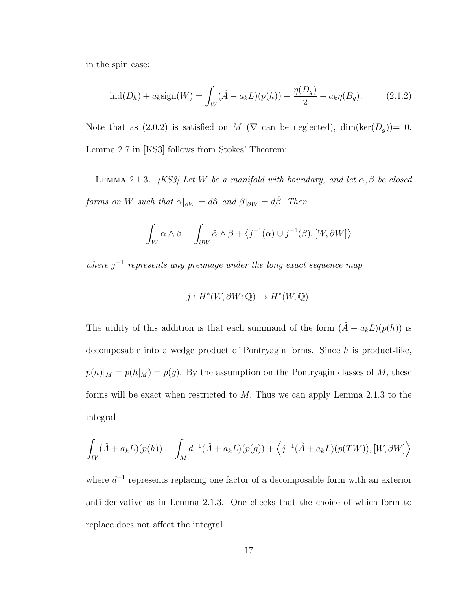in the spin case:

$$
\text{ind}(D_h) + a_k \text{sign}(W) = \int_W (\hat{A} - a_k L)(p(h)) - \frac{\eta(D_g)}{2} - a_k \eta(B_g). \tag{2.1.2}
$$

Note that as (2.0.2) is satisfied on M ( $\nabla$  can be neglected), dim(ker( $D_g$ ))= 0. Lemma 2.7 in [KS3] follows from Stokes' Theorem:

LEMMA 2.1.3. [KS3] Let W be a manifold with boundary, and let  $\alpha, \beta$  be closed forms on W such that  $\alpha|_{\partial W} = d\hat{\alpha}$  and  $\beta|_{\partial W} = d\hat{\beta}$ . Then

$$
\int_W \alpha \wedge \beta = \int_{\partial W} \hat{\alpha} \wedge \beta + \langle j^{-1}(\alpha) \cup j^{-1}(\beta), [W, \partial W] \rangle
$$

where  $j^{-1}$  represents any preimage under the long exact sequence map

$$
j: H^*(W, \partial W; \mathbb{Q}) \to H^*(W, \mathbb{Q}).
$$

The utility of this addition is that each summand of the form  $(\hat{A} + a_k L)(p(h))$  is decomposable into a wedge product of Pontryagin forms. Since  $h$  is product-like,  $p(h)|_M = p(h|_M) = p(g)$ . By the assumption on the Pontryagin classes of M, these forms will be exact when restricted to  $M$ . Thus we can apply Lemma 2.1.3 to the integral

$$
\int_{W} (\hat{A} + a_{k}L)(p(h)) = \int_{M} d^{-1}(\hat{A} + a_{k}L)(p(g)) + \langle j^{-1}(\hat{A} + a_{k}L)(p(TW)), [W, \partial W] \rangle
$$

where  $d^{-1}$  represents replacing one factor of a decomposable form with an exterior anti-derivative as in Lemma 2.1.3. One checks that the choice of which form to replace does not affect the integral.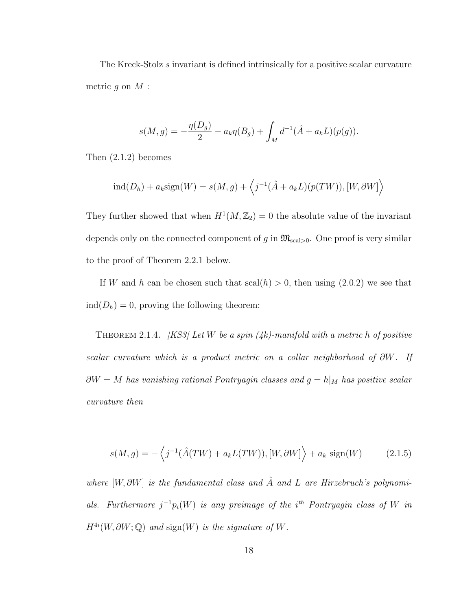The Kreck-Stolz s invariant is defined intrinsically for a positive scalar curvature metric  $q$  on  $M$ :

$$
s(M,g) = -\frac{\eta(D_g)}{2} - a_k \eta(B_g) + \int_M d^{-1}(\hat{A} + a_k L)(p(g)).
$$

Then (2.1.2) becomes

$$
ind(D_h) + a_k sign(W) = s(M, g) + \langle j^{-1}(\hat{A} + a_k L)(p(TW)), [W, \partial W] \rangle
$$

They further showed that when  $H^1(M, \mathbb{Z}_2) = 0$  the absolute value of the invariant depends only on the connected component of g in  $\mathfrak{M}_{\text{scal}>0}$ . One proof is very similar to the proof of Theorem 2.2.1 below.

If W and h can be chosen such that  $\operatorname{scal}(h) > 0$ , then using  $(2.0.2)$  we see that  $ind(D_h) = 0$ , proving the following theorem:

THEOREM 2.1.4.  $[KS3]$  Let W be a spin (4k)-manifold with a metric h of positive scalar curvature which is a product metric on a collar neighborhood of  $\partial W$ . If  $\partial W = M$  has vanishing rational Pontryagin classes and  $g = h|_M$  has positive scalar curvature then

$$
s(M,g) = -\left\langle j^{-1}(\hat{A}(TW) + a_k L(TW)), [W, \partial W] \right\rangle + a_k \operatorname{sign}(W) \tag{2.1.5}
$$

where  $[W, \partial W]$  is the fundamental class and  $\hat{A}$  and  $L$  are Hirzebruch's polynomials. Furthermore  $j^{-1}p_i(W)$  is any preimage of the i<sup>th</sup> Pontryagin class of W in  $H^{4i}(W, \partial W; \mathbb{Q})$  and sign(W) is the signature of W.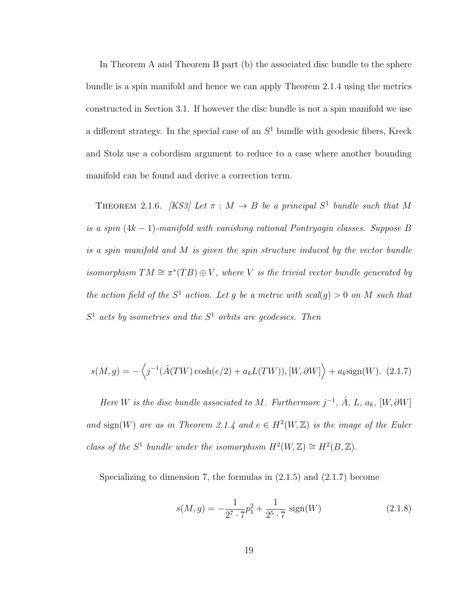In Theorem A and Theorem B part (b) the associated disc bundle to the sphere bundle is a spin manifold and hence we can apply Theorem 2.1.4 using the metrics constructed in Section 3.1. If however the disc bundle is not a spin manifold we use a different strategy. In the special case of an  $S<sup>1</sup>$  bundle with geodesic fibers, Kreck and Stolz use a cobordism argument to reduce to a case where another bounding manifold can be found and derive a correction term.

THEOREM 2.1.6. [KS3] Let  $\pi : M \to B$  be a principal  $S^1$  bundle such that M is a spin  $(4k - 1)$ -manifold with vanishing rational Pontryagin classes. Suppose B is a spin manifold and M is given the spin structure induced by the vector bundle isomorphism  $TM \cong \pi^*(TB) \oplus V$ , where V is the trivial vector bundle generated by the action field of the  $S^1$  action. Let g be a metric with scal(g) > 0 on M such that  $S<sup>1</sup>$  acts by isometries and the  $S<sup>1</sup>$  orbits are geodesics. Then

$$
s(M,g) = -\left\langle j^{-1}(\hat{A}(TW)\cosh(e/2) + a_k L(TW)), [W, \partial W] \right\rangle + a_k \text{sign}(W). \tag{2.1.7}
$$

Here W is the disc bundle associated to M. Furthermore  $j^{-1}$ ,  $\hat{A}$ ,  $L$ ,  $a_k$ ,  $[W, \partial W]$ and sign(W) are as in Theorem 2.1.4 and  $e \in H^2(W, \mathbb{Z})$  is the image of the Euler class of the  $S^1$  bundle under the isomorphism  $H^2(W, \mathbb{Z}) \cong H^2(B, \mathbb{Z})$ .

Specializing to dimension 7, the formulas in (2.1.5) and (2.1.7) become

$$
s(M,g) = -\frac{1}{2^7 \cdot 7} p_1^2 + \frac{1}{2^5 \cdot 7} \text{ sign}(W) \tag{2.1.8}
$$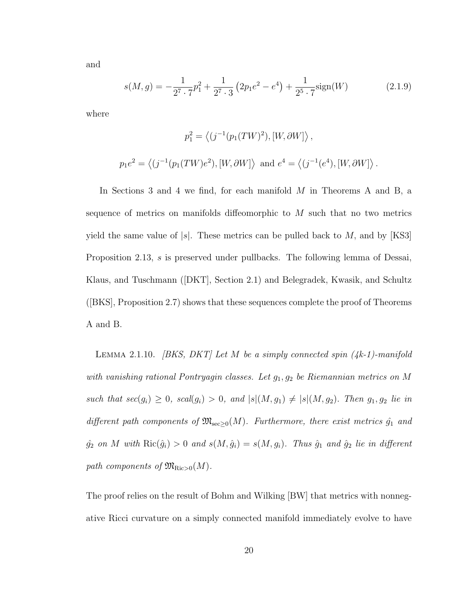and

$$
s(M,g) = -\frac{1}{2^7 \cdot 7} p_1^2 + \frac{1}{2^7 \cdot 3} \left( 2p_1 e^2 - e^4 \right) + \frac{1}{2^5 \cdot 7} sign(W) \tag{2.1.9}
$$

where

$$
p_1^2 = \langle (j^{-1}(p_1(TW)^2), [W, \partial W] \rangle,
$$
  

$$
p_1 e^2 = \langle (j^{-1}(p_1(TW)e^2), [W, \partial W] \rangle \text{ and } e^4 = \langle (j^{-1}(e^4), [W, \partial W] \rangle).
$$

In Sections 3 and 4 we find, for each manifold M in Theorems A and B, a sequence of metrics on manifolds diffeomorphic to M such that no two metrics yield the same value of  $|s|$ . These metrics can be pulled back to M, and by  $|KS3|$ Proposition 2.13, s is preserved under pullbacks. The following lemma of Dessai, Klaus, and Tuschmann ([DKT], Section 2.1) and Belegradek, Kwasik, and Schultz ([BKS], Proposition 2.7) shows that these sequences complete the proof of Theorems A and B.

LEMMA 2.1.10. [BKS, DKT] Let M be a simply connected spin  $(4k-1)$ -manifold with vanishing rational Pontryagin classes. Let  $g_1, g_2$  be Riemannian metrics on M such that  $sec(g_i) \ge 0$ ,  $scal(g_i) > 0$ , and  $|s|(M, g_1) \neq |s|(M, g_2)$ . Then  $g_1, g_2$  lie in different path components of  $\mathfrak{M}_{\text{sec}\geq 0}(M)$ . Furthermore, there exist metrics  $\hat{g}_1$  and  $\hat{g}_2$  on M with  $\text{Ric}(\hat{g}_i) > 0$  and  $s(M, \hat{g}_i) = s(M, g_i)$ . Thus  $\hat{g}_1$  and  $\hat{g}_2$  lie in different path components of  $\mathfrak{M}_{\mathrm{Ric}>0}(M)$ .

The proof relies on the result of Bohm and Wilking [BW] that metrics with nonnegative Ricci curvature on a simply connected manifold immediately evolve to have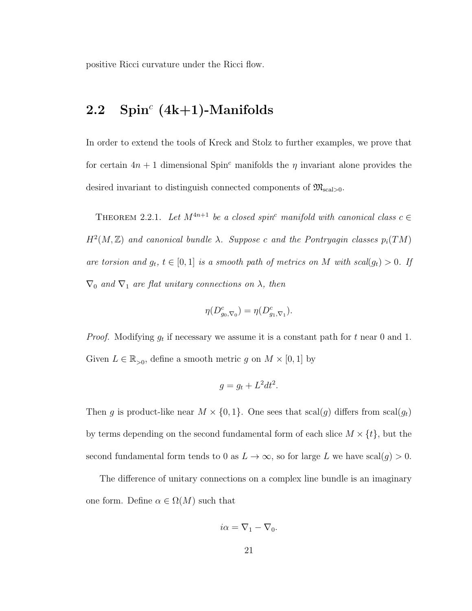positive Ricci curvature under the Ricci flow.

### $2.2$  Spin<sup>c</sup> (4k+1)-Manifolds

In order to extend the tools of Kreck and Stolz to further examples, we prove that for certain  $4n + 1$  dimensional Spin<sup>c</sup> manifolds the  $\eta$  invariant alone provides the desired invariant to distinguish connected components of  $\mathfrak{M}_{\text{scal}>0}$ .

THEOREM 2.2.1. Let  $M^{4n+1}$  be a closed spin<sup>c</sup> manifold with canonical class  $c \in$  $H<sup>2</sup>(M, \mathbb{Z})$  and canonical bundle  $\lambda$ . Suppose c and the Pontryagin classes  $p_i(TM)$ are torsion and  $g_t$ ,  $t \in [0,1]$  is a smooth path of metrics on M with scal $(g_t) > 0$ . If  $\nabla_0$  and  $\nabla_1$  are flat unitary connections on  $\lambda$ , then

$$
\eta(D^c_{g_0,\nabla_0})=\eta(D^c_{g_1,\nabla_1}).
$$

*Proof.* Modifying  $g_t$  if necessary we assume it is a constant path for t near 0 and 1. Given  $L \in \mathbb{R}_{>0}$ , define a smooth metric g on  $M \times [0, 1]$  by

$$
g = g_t + L^2 dt^2.
$$

Then g is product-like near  $M \times \{0, 1\}$ . One sees that scal(g) differs from scal(g<sub>t</sub>) by terms depending on the second fundamental form of each slice  $M \times \{t\}$ , but the second fundamental form tends to 0 as  $L \to \infty$ , so for large L we have scal $(g) > 0$ .

The difference of unitary connections on a complex line bundle is an imaginary one form. Define  $\alpha \in \Omega(M)$  such that

$$
i\alpha = \nabla_1 - \nabla_0.
$$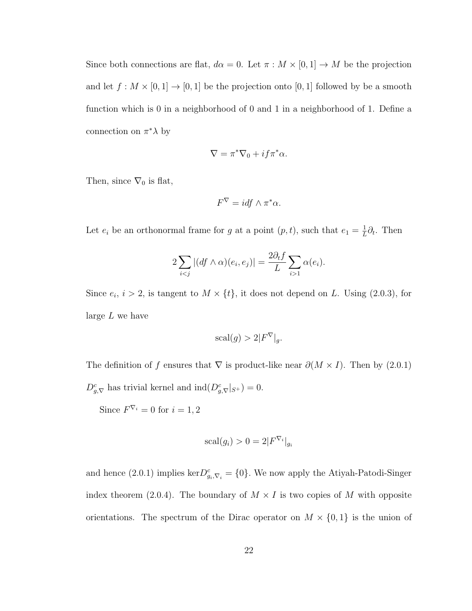Since both connections are flat,  $d\alpha = 0$ . Let  $\pi : M \times [0,1] \to M$  be the projection and let  $f : M \times [0,1] \to [0,1]$  be the projection onto  $[0,1]$  followed by be a smooth function which is 0 in a neighborhood of 0 and 1 in a neighborhood of 1. Define a connection on  $\pi^* \lambda$  by

$$
\nabla = \pi^* \nabla_0 + i f \pi^* \alpha.
$$

Then, since  $\nabla_0$  is flat,

$$
F^{\nabla} = idf \wedge \pi^* \alpha.
$$

Let  $e_i$  be an orthonormal frame for g at a point  $(p, t)$ , such that  $e_1 = \frac{1}{L}$  $\frac{1}{L}\partial_t$ . Then

$$
2\sum_{i < j} |(df \wedge \alpha)(e_i, e_j)| = \frac{2\partial_t f}{L} \sum_{i > 1} \alpha(e_i).
$$

Since  $e_i$ ,  $i > 2$ , is tangent to  $M \times \{t\}$ , it does not depend on L. Using (2.0.3), for large L we have

$$
scal(g) > 2|F^{\nabla}|_g.
$$

The definition of f ensures that  $\nabla$  is product-like near  $\partial(M \times I)$ . Then by (2.0.1)  $D_{g,\nabla}^c$  has trivial kernel and  $\text{ind}(D_{g,\nabla}^c|_{S^+})=0.$ 

Since  $F^{\nabla_i} = 0$  for  $i = 1, 2$ 

$$
scal(g_i) > 0 = 2|F^{\nabla_i}|_{g_i}
$$

and hence (2.0.1) implies  $\ker D_{g_i, \nabla_i}^c = \{0\}$ . We now apply the Atiyah-Patodi-Singer index theorem (2.0.4). The boundary of  $M \times I$  is two copies of M with opposite orientations. The spectrum of the Dirac operator on  $M \times \{0,1\}$  is the union of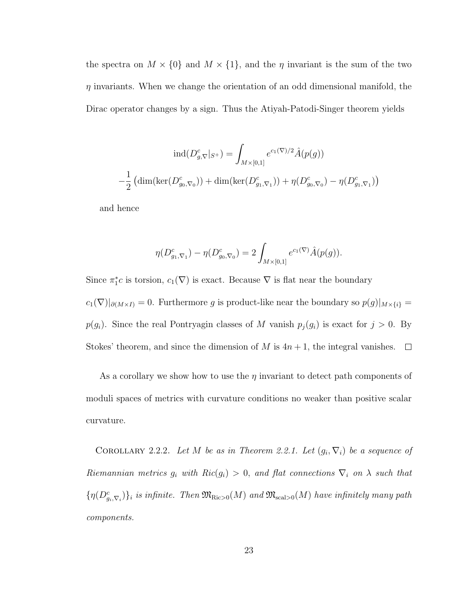the spectra on  $M \times \{0\}$  and  $M \times \{1\}$ , and the  $\eta$  invariant is the sum of the two  $\eta$  invariants. When we change the orientation of an odd dimensional manifold, the Dirac operator changes by a sign. Thus the Atiyah-Patodi-Singer theorem yields

$$
\operatorname{ind}(D_{g,\nabla}^c|_{S^+}) = \int_{M \times [0,1]} e^{c_1(\nabla)/2} \hat{A}(p(g))
$$

$$
-\frac{1}{2} \left( \dim(\ker(D_{g_0,\nabla_0}^c)) + \dim(\ker(D_{g_1,\nabla_1}^c)) + \eta(D_{g_0,\nabla_0}^c) - \eta(D_{g_1,\nabla_1}^c) \right)
$$

and hence

$$
\eta(D^c_{g_1,\nabla_1}) - \eta(D^c_{g_0,\nabla_0}) = 2 \int_{M \times [0,1]} e^{c_1(\nabla)} \hat{A}(p(g)).
$$

Since  $\pi_1^*c$  is torsion,  $c_1(\nabla)$  is exact. Because  $\nabla$  is flat near the boundary  $c_1(\nabla)|_{\partial(M\times I)}=0.$  Furthermore g is product-like near the boundary so  $p(g)|_{M\times\{i\}}=$  $p(g_i)$ . Since the real Pontryagin classes of M vanish  $p_j(g_i)$  is exact for  $j > 0$ . By Stokes' theorem, and since the dimension of M is  $4n+1$ , the integral vanishes.  $\Box$ 

As a corollary we show how to use the  $\eta$  invariant to detect path components of moduli spaces of metrics with curvature conditions no weaker than positive scalar curvature.

COROLLARY 2.2.2. Let M be as in Theorem 2.2.1. Let  $(g_i, \nabla_i)$  be a sequence of Riemannian metrics  $g_i$  with  $Ric(g_i) > 0$ , and flat connections  $\nabla_i$  on  $\lambda$  such that  $\{\eta(D_{g_i,\nabla_i}^c)\}_i$  is infinite. Then  $\mathfrak{M}_{\text{Ric}>0}(M)$  and  $\mathfrak{M}_{\text{scal}>0}(M)$  have infinitely many path components.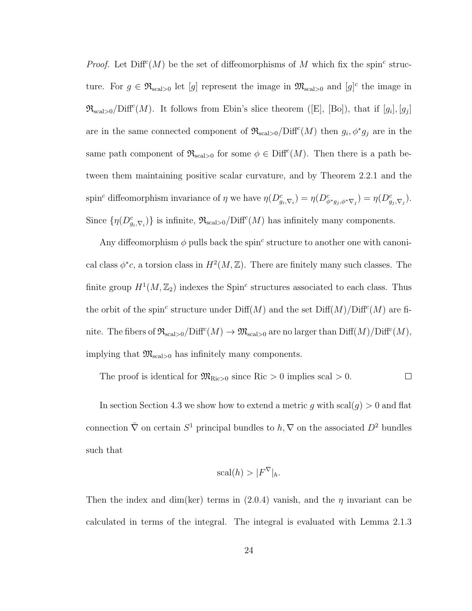*Proof.* Let  $Diff<sup>c</sup>(M)$  be the set of diffeomorphisms of M which fix the spin<sup>c</sup> structure. For  $g \in \mathfrak{R}_{\text{scal}>0}$  let  $[g]$  represent the image in  $\mathfrak{M}_{\text{scal}>0}$  and  $[g]^{c}$  the image in  $\mathfrak{R}_{\text{scal}>0}/\text{Diff}^c(M)$ . It follows from Ebin's slice theorem ([E], [Bo]), that if  $[g_i], [g_j]$ are in the same connected component of  $\Re_{\text{scal}>0}/\text{Diff}^c(M)$  then  $g_i, \phi^* g_j$  are in the same path component of  $\mathfrak{R}_{\text{scal}>0}$  for some  $\phi \in \text{Diff}^c(M)$ . Then there is a path between them maintaining positive scalar curvature, and by Theorem 2.2.1 and the spin<sup>c</sup> diffeomorphism invariance of  $\eta$  we have  $\eta(D^c_{g_i,\nabla_i}) = \eta(D^c_{\phi^*g_j,\phi^*\nabla_j}) = \eta(D^c_{g_j,\nabla_j}).$ Since  $\{\eta(D_{g_i,\nabla_i}^c)\}\$ is infinite,  $\mathfrak{R}_{\text{scal}>0}/\text{Diff}^c(M)$  has infinitely many components.

Any diffeomorphism  $\phi$  pulls back the spin<sup>c</sup> structure to another one with canonical class  $\phi^*c$ , a torsion class in  $H^2(M, \mathbb{Z})$ . There are finitely many such classes. The finite group  $H^1(M, \mathbb{Z}_2)$  indexes the Spin<sup>c</sup> structures associated to each class. Thus the orbit of the spin<sup>c</sup> structure under  $\text{Diff}(M)$  and the set  $\text{Diff}(M)/\text{Diff}^c(M)$  are finite. The fibers of  $\mathfrak{R}_{\mathrm{scal}>0}/\mathrm{Diff}^c(M) \to \mathfrak{M}_{\mathrm{scal}>0}$  are no larger than  $\mathrm{Diff}(M)/\mathrm{Diff}^c(M)$ , implying that  $\mathfrak{M}_{\text{scal}>0}$  has infinitely many components.

The proof is identical for  $\mathfrak{M}_{\text{Ric}>0}$  since  $\text{Ric} > 0$  implies scal  $> 0$ .  $\Box$ 

In section Section 4.3 we show how to extend a metric g with  $\operatorname{scal}(g) > 0$  and flat connection  $\bar{\nabla}$  on certain  $S^1$  principal bundles to  $h, \nabla$  on the associated  $D^2$  bundles such that

$$
scal(h) > |F^{\nabla}|_h.
$$

Then the index and dim(ker) terms in  $(2.0.4)$  vanish, and the  $\eta$  invariant can be calculated in terms of the integral. The integral is evaluated with Lemma 2.1.3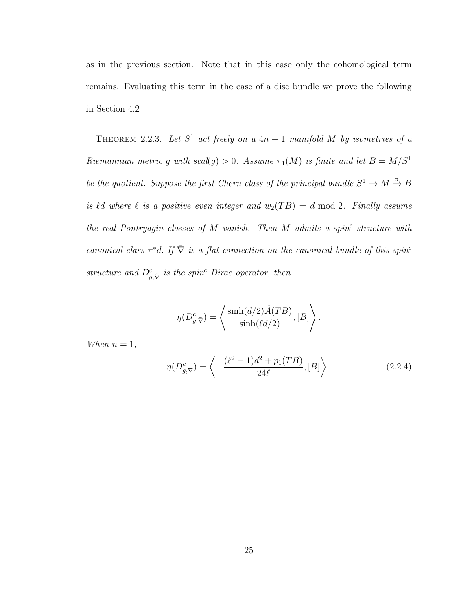as in the previous section. Note that in this case only the cohomological term remains. Evaluating this term in the case of a disc bundle we prove the following in Section 4.2

THEOREM 2.2.3. Let  $S^1$  act freely on a  $4n + 1$  manifold M by isometries of a Riemannian metric g with  $scal(g) > 0$ . Assume  $\pi_1(M)$  is finite and let  $B = M/S^1$ be the quotient. Suppose the first Chern class of the principal bundle  $S^1 \to M \xrightarrow{\pi} B$ is  $\ell d$  where  $\ell$  is a positive even integer and  $w_2(T B) = d \mod 2$ . Finally assume the real Pontryagin classes of  $M$  vanish. Then  $M$  admits a spin<sup>c</sup> structure with canonical class  $\pi^*d$ . If  $\overline{\nabla}$  is a flat connection on the canonical bundle of this spin<sup>c</sup> structure and  $D_{g,\tilde{\nabla}}^c$  is the spin<sup>c</sup> Dirac operator, then

$$
\eta(D_{g,\bar{\nabla}}^c) = \left\langle \frac{\sinh(d/2)\hat{A}(TB)}{\sinh(\ell d/2)}, [B] \right\rangle.
$$

When  $n = 1$ ,

$$
\eta(D^c_{g,\bar{\nabla}}) = \left\langle -\frac{(\ell^2 - 1)d^2 + p_1(TB)}{24\ell}, [B] \right\rangle. \tag{2.2.4}
$$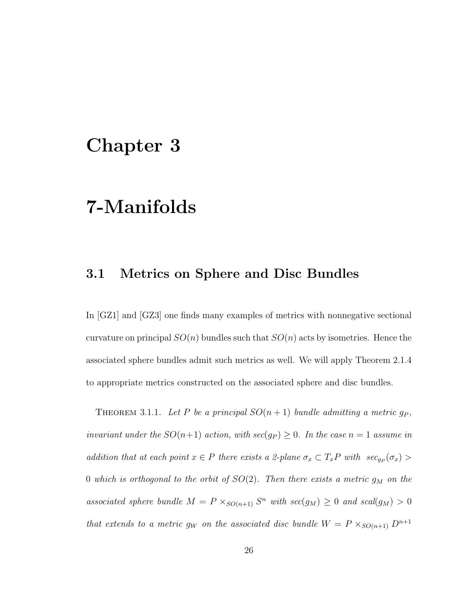## Chapter 3

# 7-Manifolds

### 3.1 Metrics on Sphere and Disc Bundles

In [GZ1] and [GZ3] one finds many examples of metrics with nonnegative sectional curvature on principal  $SO(n)$  bundles such that  $SO(n)$  acts by isometries. Hence the associated sphere bundles admit such metrics as well. We will apply Theorem 2.1.4 to appropriate metrics constructed on the associated sphere and disc bundles.

THEOREM 3.1.1. Let P be a principal  $SO(n+1)$  bundle admitting a metric  $g_P$ , invariant under the  $SO(n+1)$  action, with  $sec(g_P) \geq 0$ . In the case  $n=1$  assume in addition that at each point  $x \in P$  there exists a 2-plane  $\sigma_x \subset T_x P$  with  $\sec_{g_P}(\sigma_x)$ 0 which is orthogonal to the orbit of  $SO(2)$ . Then there exists a metric  $g_M$  on the associated sphere bundle  $M = P \times_{SO(n+1)} S^n$  with  $sec(g_M) \geq 0$  and  $scal(g_M) > 0$ that extends to a metric  $g_W$  on the associated disc bundle  $W = P \times_{SO(n+1)} D^{n+1}$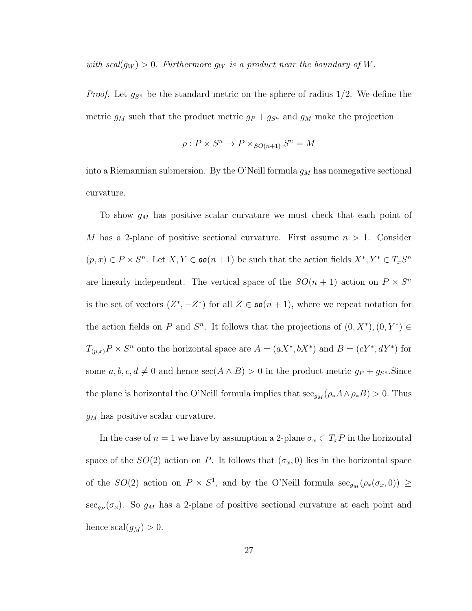with  $scal(g_W) > 0$ . Furthermore  $g_W$  is a product near the boundary of W.

*Proof.* Let  $g_{S^n}$  be the standard metric on the sphere of radius 1/2. We define the metric  $g_M$  such that the product metric  $g_P + g_{S^n}$  and  $g_M$  make the projection

$$
\rho: P \times S^n \to P \times_{SO(n+1)} S^n = M
$$

into a Riemannian submersion. By the O'Neill formula  $g_M$  has nonnegative sectional curvature.

To show  $g_M$  has positive scalar curvature we must check that each point of M has a 2-plane of positive sectional curvature. First assume  $n > 1$ . Consider  $(p, x) \in P \times S^n$ . Let  $X, Y \in \mathfrak{so}(n+1)$  be such that the action fields  $X^*, Y^* \in T_xS^n$ are linearly independent. The vertical space of the  $SO(n + 1)$  action on  $P \times S^n$ is the set of vectors  $(Z^*, -Z^*)$  for all  $Z \in \mathfrak{so}(n+1)$ , where we repeat notation for the action fields on P and  $S<sup>n</sup>$ . It follows that the projections of  $(0, X^*), (0, Y^*) \in$  $T_{(p,x)}P \times S^n$  onto the horizontal space are  $A = (aX^*, bX^*)$  and  $B = (cY^*, dY^*)$  for some  $a, b, c, d \neq 0$  and hence  $\sec(A \wedge B) > 0$  in the product metric  $g_P + g_{S^n}$ . Since the plane is horizontal the O'Neill formula implies that  $\sec_{g_M} (\rho_* A \wedge \rho_* B) > 0$ . Thus  $g_M$  has positive scalar curvature.

In the case of  $n = 1$  we have by assumption a 2-plane  $\sigma_x \subset T_xP$  in the horizontal space of the  $SO(2)$  action on P. It follows that  $(\sigma_x, 0)$  lies in the horizontal space of the  $SO(2)$  action on  $P \times S^1$ , and by the O'Neill formula  $\sec_{g_M}(\rho_*(\sigma_x, 0)) \ge$  $\sec_{g_P}(\sigma_x)$ . So  $g_M$  has a 2-plane of positive sectional curvature at each point and hence  $\operatorname{scal}(g_M) > 0$ .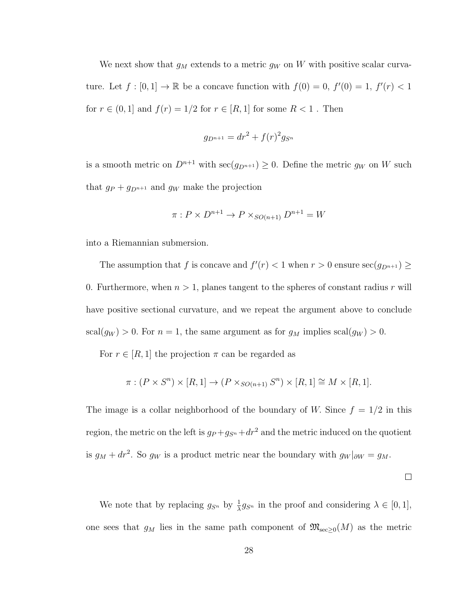We next show that  $g_M$  extends to a metric  $g_W$  on W with positive scalar curvature. Let  $f : [0,1] \to \mathbb{R}$  be a concave function with  $f(0) = 0$ ,  $f'(0) = 1$ ,  $f'(r) < 1$ for  $r \in (0,1]$  and  $f(r) = 1/2$  for  $r \in [R,1]$  for some  $R < 1$ . Then

$$
g_{D^{n+1}} = dr^2 + f(r)^2 g_{S^n}
$$

is a smooth metric on  $D^{n+1}$  with  $\sec(g_{D^{n+1}}) \geq 0$ . Define the metric  $g_W$  on W such that  $g_P + g_{D^{n+1}}$  and  $g_W$  make the projection

$$
\pi: P \times D^{n+1} \to P \times_{SO(n+1)} D^{n+1} = W
$$

into a Riemannian submersion.

The assumption that f is concave and  $f'(r) < 1$  when  $r > 0$  ensure  $\sec(g_{D^{n+1}}) \ge$ 0. Furthermore, when  $n > 1$ , planes tangent to the spheres of constant radius r will have positive sectional curvature, and we repeat the argument above to conclude  $\operatorname{scal}(g_W) > 0$ . For  $n = 1$ , the same argument as for  $g_M$  implies  $\operatorname{scal}(g_W) > 0$ .

For  $r \in [R, 1]$  the projection  $\pi$  can be regarded as

$$
\pi: (P \times S^n) \times [R, 1] \to (P \times_{SO(n+1)} S^n) \times [R, 1] \cong M \times [R, 1].
$$

The image is a collar neighborhood of the boundary of W. Since  $f = 1/2$  in this region, the metric on the left is  $g_P + g_{S^n} + dr^2$  and the metric induced on the quotient is  $g_M + dr^2$ . So  $g_W$  is a product metric near the boundary with  $g_W|_{\partial W} = g_M$ .

 $\Box$ 

We note that by replacing  $g_{S^n}$  by  $\frac{1}{\lambda} g_{S^n}$  in the proof and considering  $\lambda \in [0,1],$ one sees that  $g_M$  lies in the same path component of  $\mathfrak{M}_{\mathrm{sec}\geq 0}(M)$  as the metric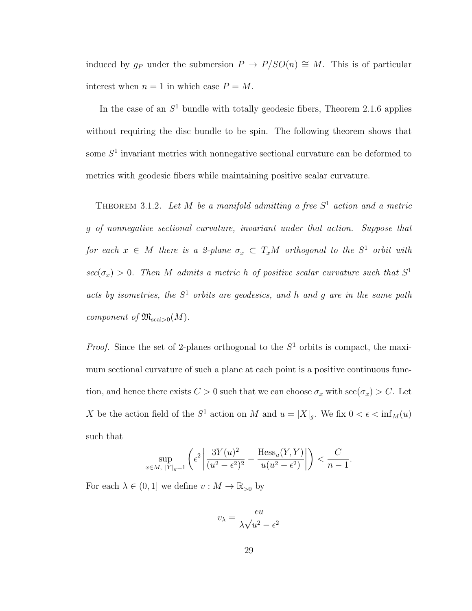induced by g<sub>P</sub> under the submersion  $P \to P/SO(n) \cong M$ . This is of particular interest when  $n = 1$  in which case  $P = M$ .

In the case of an  $S<sup>1</sup>$  bundle with totally geodesic fibers, Theorem 2.1.6 applies without requiring the disc bundle to be spin. The following theorem shows that some  $S<sup>1</sup>$  invariant metrics with nonnegative sectional curvature can be deformed to metrics with geodesic fibers while maintaining positive scalar curvature.

THEOREM 3.1.2. Let M be a manifold admitting a free  $S<sup>1</sup>$  action and a metric g of nonnegative sectional curvature, invariant under that action. Suppose that for each  $x \in M$  there is a 2-plane  $\sigma_x \subset T_xM$  orthogonal to the  $S^1$  orbit with  $sec(\sigma_x) > 0$ . Then M admits a metric h of positive scalar curvature such that  $S^1$ acts by isometries, the  $S<sup>1</sup>$  orbits are geodesics, and h and g are in the same path component of  $\mathfrak{M}_{\mathrm{scal}>0}(M)$ .

*Proof.* Since the set of 2-planes orthogonal to the  $S<sup>1</sup>$  orbits is compact, the maximum sectional curvature of such a plane at each point is a positive continuous function, and hence there exists  $C > 0$  such that we can choose  $\sigma_x$  with  $\sec(\sigma_x) > C$ . Let X be the action field of the  $S^1$  action on M and  $u = |X|_g$ . We fix  $0 < \epsilon < \inf_M(u)$ such that

$$
\sup_{x \in M, |Y|_g = 1} \left( \epsilon^2 \left| \frac{3Y(u)^2}{(u^2 - \epsilon^2)^2} - \frac{\text{Hess}_u(Y, Y)}{u(u^2 - \epsilon^2)} \right| \right) < \frac{C}{n - 1}.
$$

For each  $\lambda \in (0,1]$  we define  $v : M \to \mathbb{R}_{>0}$  by

$$
v_{\lambda} = \frac{\epsilon u}{\lambda \sqrt{u^2 - \epsilon^2}}
$$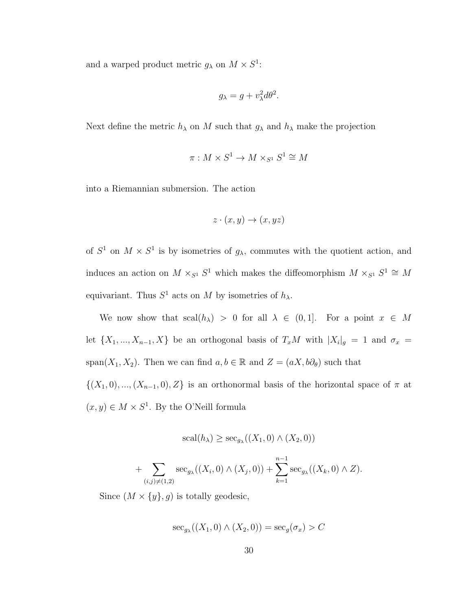and a warped product metric  $g_{\lambda}$  on  $M \times S^1$ :

$$
g_{\lambda} = g + v_{\lambda}^2 d\theta^2.
$$

Next define the metric  $h_{\lambda}$  on M such that  $g_{\lambda}$  and  $h_{\lambda}$  make the projection

$$
\pi:M\times S^1\to M\times_{S^1}S^1\cong M
$$

into a Riemannian submersion. The action

$$
z \cdot (x, y) \to (x, yz)
$$

of  $S^1$  on  $M \times S^1$  is by isometries of  $g_\lambda$ , commutes with the quotient action, and induces an action on  $M \times_{S^1} S^1$  which makes the diffeomorphism  $M \times_{S^1} S^1 \cong M$ equivariant. Thus  $S^1$  acts on M by isometries of  $h_{\lambda}$ .

We now show that  $\text{scal}(h_\lambda) > 0$  for all  $\lambda \in (0,1]$ . For a point  $x \in M$ let  $\{X_1, ..., X_{n-1}, X\}$  be an orthogonal basis of  $T_xM$  with  $|X_i|_g = 1$  and  $\sigma_x =$ span(X<sub>1</sub>, X<sub>2</sub>). Then we can find  $a, b \in \mathbb{R}$  and  $Z = (aX, b\partial_{\theta})$  such that

 $\{(X_1, 0), ..., (X_{n-1}, 0), Z\}$  is an orthonormal basis of the horizontal space of  $\pi$  at  $(x, y) \in M \times S^1$ . By the O'Neill formula

$$
scal(h_{\lambda}) \geq sec_{g_{\lambda}}((X_1, 0) \wedge (X_2, 0))
$$

+ 
$$
\sum_{(i,j)\neq(1,2)} \sec_{g_{\lambda}}((X_i,0) \wedge (X_j,0)) + \sum_{k=1}^{n-1} \sec_{g_{\lambda}}((X_k,0) \wedge Z).
$$

Since  $(M \times \{y\}, g)$  is totally geodesic,

$$
\sec_{g_{\lambda}}((X_1,0) \wedge (X_2,0)) = \sec_g(\sigma_x) > C
$$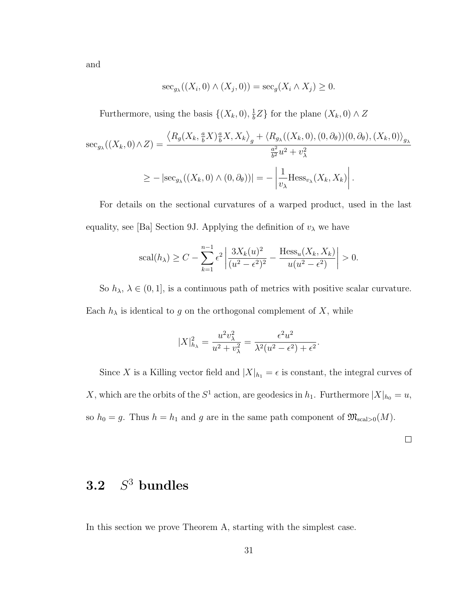and

$$
\mathrm{sec}_{g_{\lambda}}((X_i, 0) \wedge (X_j, 0)) = \mathrm{sec}_g(X_i \wedge X_j) \geq 0.
$$

Furthermore, using the basis  $\{(X_k, 0), \frac{1}{b}\}$  $\frac{1}{b}Z$ } for the plane  $(X_k, 0) \wedge Z$ 

$$
\sec_{g_{\lambda}}((X_k,0)\wedge Z) = \frac{\langle R_g(X_k, \frac{a}{b}X) \frac{a}{b}X, X_k \rangle_g + \langle R_{g_{\lambda}}((X_k,0), (0,\partial_{\theta}))(0,\partial_{\theta}), (X_k,0) \rangle_{g_{\lambda}}}{\frac{a^2}{b^2}u^2 + v_{\lambda}^2}
$$
  

$$
\geq -|\sec_{g_{\lambda}}((X_k,0)\wedge(0,\partial_{\theta}))| = -\left|\frac{1}{v_{\lambda}}\text{Hess}_{v_{\lambda}}(X_k, X_k)\right|.
$$

For details on the sectional curvatures of a warped product, used in the last equality, see [Ba] Section 9J. Applying the definition of  $v_\lambda$  we have

$$
\mathrm{scal}(h_{\lambda}) \ge C - \sum_{k=1}^{n-1} \epsilon^2 \left| \frac{3X_k(u)^2}{(u^2 - \epsilon^2)^2} - \frac{\mathrm{Hess}_u(X_k, X_k)}{u(u^2 - \epsilon^2)} \right| > 0.
$$

So  $h_{\lambda}$ ,  $\lambda \in (0, 1]$ , is a continuous path of metrics with positive scalar curvature. Each  $h_{\lambda}$  is identical to g on the orthogonal complement of X, while

$$
|X|_{h_{\lambda}}^{2} = \frac{u^{2}v_{\lambda}^{2}}{u^{2} + v_{\lambda}^{2}} = \frac{\epsilon^{2}u^{2}}{\lambda^{2}(u^{2} - \epsilon^{2}) + \epsilon^{2}}.
$$

Since X is a Killing vector field and  $|X|_{h_1} = \epsilon$  is constant, the integral curves of X, which are the orbits of the  $S^1$  action, are geodesics in  $h_1$ . Furthermore  $|X|_{h_0} = u$ , so  $h_0 = g$ . Thus  $h = h_1$  and g are in the same path component of  $\mathfrak{M}_{\text{scal}>0}(M)$ .

### $3.2$  $S^3$  bundles

In this section we prove Theorem A, starting with the simplest case.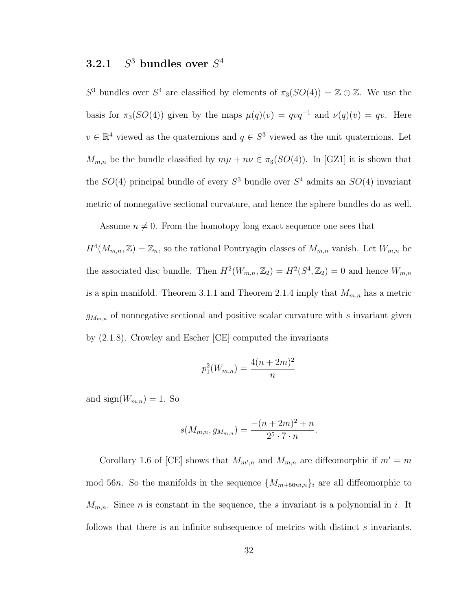#### $3.2.1$  $^3$  bundles over  $S^4$

S<sup>3</sup> bundles over S<sup>4</sup> are classified by elements of  $\pi_3(SO(4)) = \mathbb{Z} \oplus \mathbb{Z}$ . We use the basis for  $\pi_3(SO(4))$  given by the maps  $\mu(q)(v) = qvq^{-1}$  and  $\nu(q)(v) = qv$ . Here  $v \in \mathbb{R}^4$  viewed as the quaternions and  $q \in S^3$  viewed as the unit quaternions. Let  $M_{m,n}$  be the bundle classified by  $m\mu + n\nu \in \pi_3(SO(4))$ . In [GZ1] it is shown that the  $SO(4)$  principal bundle of every  $S^3$  bundle over  $S^4$  admits an  $SO(4)$  invariant metric of nonnegative sectional curvature, and hence the sphere bundles do as well.

Assume  $n \neq 0$ . From the homotopy long exact sequence one sees that

 $H^4(M_{m,n}, \mathbb{Z}) = \mathbb{Z}_n$ , so the rational Pontryagin classes of  $M_{m,n}$  vanish. Let  $W_{m,n}$  be the associated disc bundle. Then  $H^2(W_{m,n}, \mathbb{Z}_2) = H^2(S^4, \mathbb{Z}_2) = 0$  and hence  $W_{m,n}$ is a spin manifold. Theorem 3.1.1 and Theorem 2.1.4 imply that  $M_{m,n}$  has a metric  $g_{M_{m,n}}$  of nonnegative sectional and positive scalar curvature with s invariant given by (2.1.8). Crowley and Escher [CE] computed the invariants

$$
p_1^2(W_{m,n}) = \frac{4(n+2m)^2}{n}
$$

and  $sign(W_{m,n}) = 1$ . So

$$
s(M_{m,n}, g_{M_{m,n}}) = \frac{-(n+2m)^2 + n}{2^5 \cdot 7 \cdot n}.
$$

Corollary 1.6 of [CE] shows that  $M_{m,n}$  and  $M_{m,n}$  are diffeomorphic if  $m'=m$ mod 56n. So the manifolds in the sequence  $\{M_{m+56ni,n}\}\$ i are all diffeomorphic to  $M_{m,n}$ . Since *n* is constant in the sequence, the *s* invariant is a polynomial in *i*. It follows that there is an infinite subsequence of metrics with distinct s invariants.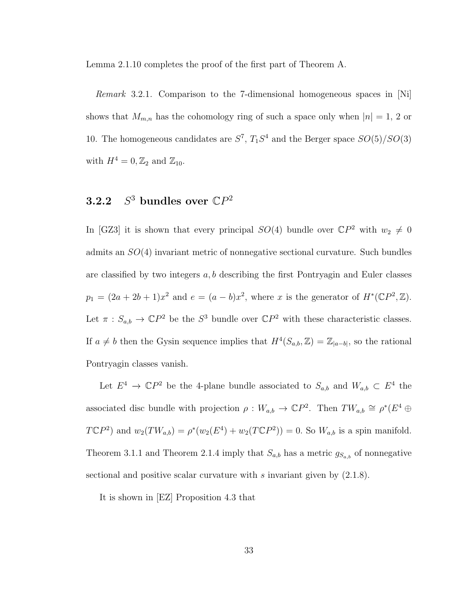Lemma 2.1.10 completes the proof of the first part of Theorem A.

Remark 3.2.1. Comparison to the 7-dimensional homogeneous spaces in [Ni] shows that  $M_{m,n}$  has the cohomology ring of such a space only when  $|n| = 1, 2$  or 10. The homogeneous candidates are  $S^7$ ,  $T_1S^4$  and the Berger space  $SO(5)/SO(3)$ with  $H^4 = 0, \mathbb{Z}_2$  and  $\mathbb{Z}_{10}$ .

### $3.2.2$ <sup>3</sup> bundles over  $\mathbb{C}P^2$

In [GZ3] it is shown that every principal  $SO(4)$  bundle over  $\mathbb{C}P^2$  with  $w_2 \neq 0$ admits an SO(4) invariant metric of nonnegative sectional curvature. Such bundles are classified by two integers  $a, b$  describing the first Pontryagin and Euler classes  $p_1 = (2a + 2b + 1)x^2$  and  $e = (a - b)x^2$ , where x is the generator of  $H^*(\mathbb{C}P^2, \mathbb{Z})$ . Let  $\pi : S_{a,b} \to \mathbb{C}P^2$  be the  $S^3$  bundle over  $\mathbb{C}P^2$  with these characteristic classes. If  $a \neq b$  then the Gysin sequence implies that  $H^4(S_{a,b}, \mathbb{Z}) = \mathbb{Z}_{|a-b|}$ , so the rational Pontryagin classes vanish.

Let  $E^4 \to \mathbb{C}P^2$  be the 4-plane bundle associated to  $S_{a,b}$  and  $W_{a,b} \subset E^4$  the associated disc bundle with projection  $\rho: W_{a,b} \to \mathbb{C}P^2$ . Then  $TW_{a,b} \cong \rho^*(E^4 \oplus E^4)$  $T\mathbb{C}P^2$ ) and  $w_2(TW_{a,b}) = \rho^*(w_2(E^4) + w_2(T\mathbb{C}P^2)) = 0$ . So  $W_{a,b}$  is a spin manifold. Theorem 3.1.1 and Theorem 2.1.4 imply that  $S_{a,b}$  has a metric  $g_{S_{a,b}}$  of nonnegative sectional and positive scalar curvature with s invariant given by  $(2.1.8)$ .

It is shown in [EZ] Proposition 4.3 that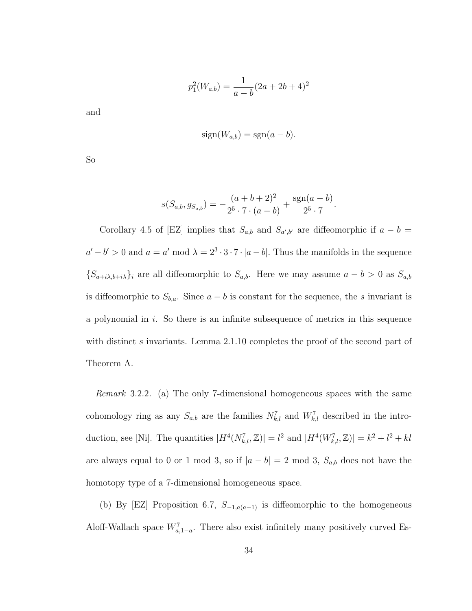$$
p_1^2(W_{a,b}) = \frac{1}{a-b}(2a+2b+4)^2
$$

and

$$
sign(W_{a,b}) = sgn(a-b).
$$

So

$$
s(S_{a,b}, g_{S_{a,b}}) = -\frac{(a+b+2)^2}{2^5 \cdot 7 \cdot (a-b)} + \frac{\text{sgn}(a-b)}{2^5 \cdot 7}.
$$

Corollary 4.5 of [EZ] implies that  $S_{a,b}$  and  $S_{a',b'}$  are diffeomorphic if  $a - b =$  $a'-b' > 0$  and  $a = a' \mod \lambda = 2^3 \cdot 3 \cdot 7 \cdot |a-b|$ . Thus the manifolds in the sequence  ${S_{a+i\lambda,b+i\lambda}}_i$  are all diffeomorphic to  $S_{a,b}$ . Here we may assume  $a - b > 0$  as  $S_{a,b}$ is diffeomorphic to  $S_{b,a}$ . Since  $a - b$  is constant for the sequence, the s invariant is a polynomial in  $i$ . So there is an infinite subsequence of metrics in this sequence with distinct s invariants. Lemma 2.1.10 completes the proof of the second part of Theorem A.

Remark 3.2.2. (a) The only 7-dimensional homogeneous spaces with the same cohomology ring as any  $S_{a,b}$  are the families  $N_{k,l}^7$  and  $W_{k,l}^7$  described in the introduction, see [Ni]. The quantities  $|H^4(N_{k,l}^7, \mathbb{Z})| = l^2$  and  $|H^4(W_{k,l}^7, \mathbb{Z})| = k^2 + l^2 + kl$ are always equal to 0 or 1 mod 3, so if  $|a - b| = 2 \text{ mod } 3$ ,  $S_{a,b}$  does not have the homotopy type of a 7-dimensional homogeneous space.

(b) By [EZ] Proposition 6.7,  $S_{-1,a(a-1)}$  is diffeomorphic to the homogeneous Aloff-Wallach space  $W_{a,1-a}^7$ . There also exist infinitely many positively curved Es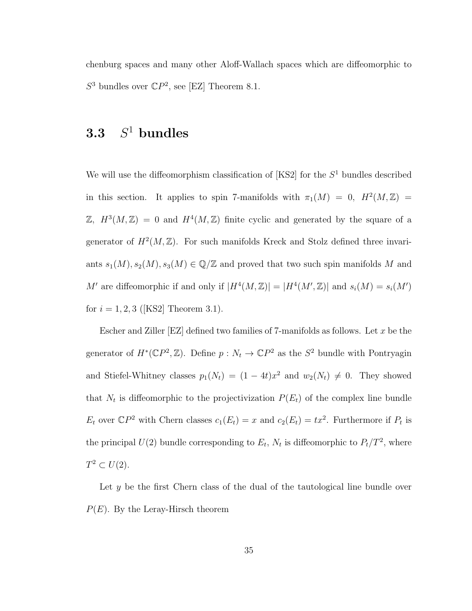chenburg spaces and many other Aloff-Wallach spaces which are diffeomorphic to  $S^3$  bundles over  $\mathbb{C}P^2$ , see [EZ] Theorem 8.1.

#### 3.3 S  $S^1$  bundles

We will use the diffeomorphism classification of  $[KS2]$  for the  $S<sup>1</sup>$  bundles described in this section. It applies to spin 7-manifolds with  $\pi_1(M) = 0$ ,  $H^2(M, \mathbb{Z}) =$  $\mathbb{Z}, H^3(M, \mathbb{Z}) = 0$  and  $H^4(M, \mathbb{Z})$  finite cyclic and generated by the square of a generator of  $H^2(M, \mathbb{Z})$ . For such manifolds Kreck and Stolz defined three invariants  $s_1(M), s_2(M), s_3(M) \in \mathbb{Q}/\mathbb{Z}$  and proved that two such spin manifolds M and M' are diffeomorphic if and only if  $|H^4(M, \mathbb{Z})| = |H^4(M', \mathbb{Z})|$  and  $s_i(M) = s_i(M')$ for  $i = 1, 2, 3$  ([KS2] Theorem 3.1).

Escher and Ziller  $[EZ]$  defined two families of 7-manifolds as follows. Let x be the generator of  $H^*(\mathbb{C}P^2,\mathbb{Z})$ . Define  $p: N_t \to \mathbb{C}P^2$  as the  $S^2$  bundle with Pontryagin and Stiefel-Whitney classes  $p_1(N_t) = (1 - 4t)x^2$  and  $w_2(N_t) \neq 0$ . They showed that  $N_t$  is diffeomorphic to the projectivization  $P(E_t)$  of the complex line bundle  $E_t$  over  $\mathbb{C}P^2$  with Chern classes  $c_1(E_t) = x$  and  $c_2(E_t) = tx^2$ . Furthermore if  $P_t$  is the principal  $U(2)$  bundle corresponding to  $E_t$ ,  $N_t$  is diffeomorphic to  $P_t/T^2$ , where  $T^2 \subset U(2)$ .

Let y be the first Chern class of the dual of the tautological line bundle over  $P(E)$ . By the Leray-Hirsch theorem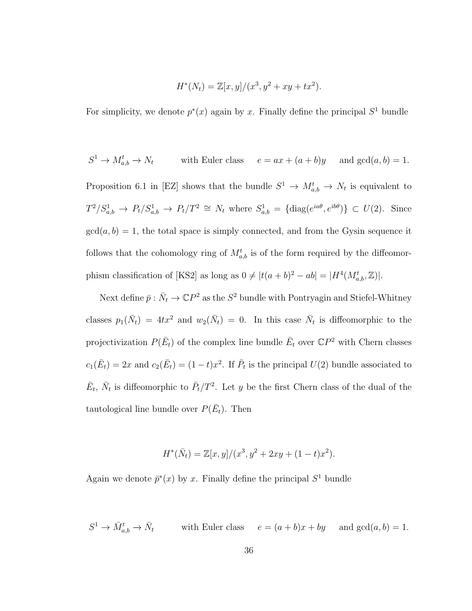$$
H^*(N_t) = \mathbb{Z}[x, y]/(x^3, y^2 + xy + tx^2).
$$

For simplicity, we denote  $p^*(x)$  again by x. Finally define the principal  $S^1$  bundle

$$
S^1 \to M_{a,b}^t \to N_t
$$
 with Euler class  $e = ax + (a+b)y$  and  $gcd(a, b) = 1$ .  
Proposition 6.1 in [EZ] shows that the bundle  $S^1 \to M_{a,b}^t \to N_t$  is equivalent to  
 $T^2/S_{a,b}^1 \to P_t/S_{a,b}^1 \to P_t/T^2 \cong N_t$  where  $S_{a,b}^1 = {\text{diag}(e^{ia\theta}, e^{ib\theta})} \subset U(2)$ . Since  
 $gcd(a, b) = 1$ , the total space is simply connected, and from the Gysin sequence it  
follows that the cohomology ring of  $M_{a,b}^t$  is of the form required by the diffeomor-  
phism classification of [KS2] as long as  $0 \neq |t(a+b)^2 - ab| = |H^4(M_{a,b}^t, \mathbb{Z})|$ .

Next define  $\bar{p} : \bar{N}_t \to \mathbb{C}P^2$  as the  $S^2$  bundle with Pontryagin and Stiefel-Whitney classes  $p_1(\bar{N}_t) = 4tx^2$  and  $w_2(\bar{N}_t) = 0$ . In this case  $\bar{N}_t$  is diffeomorphic to the projectivization  $P(\bar{E}_t)$  of the complex line bundle  $\bar{E}_t$  over  $\mathbb{C}P^2$  with Chern classes  $c_1(\bar{E}_t) = 2x$  and  $c_2(\bar{E}_t) = (1-t)x^2$ . If  $\bar{P}_t$  is the principal  $U(2)$  bundle associated to  $\bar{E}_t$ ,  $\bar{N}_t$  is diffeomorphic to  $\bar{P}_t/T^2$ . Let y be the first Chern class of the dual of the tautological line bundle over  $P(\bar{E}_t)$ . Then

$$
H^*(\bar{N}_t) = \mathbb{Z}[x, y]/(x^3, y^2 + 2xy + (1-t)x^2).
$$

Again we denote  $\bar{p}^*(x)$  by x. Finally define the principal  $S^1$  bundle

$$
S^1 \to \bar{M}_{a,b}^t \to \bar{N}_t \quad \text{with Euler class} \quad e = (a+b)x + by \quad \text{and } \gcd(a,b) = 1.
$$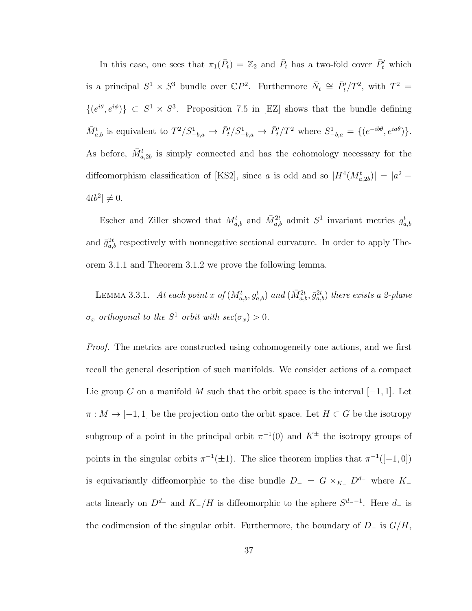In this case, one sees that  $\pi_1(\bar{P}_t) = \mathbb{Z}_2$  and  $\bar{P}_t$  has a two-fold cover  $\bar{P}'_t$  which is a principal  $S^1 \times S^3$  bundle over  $\mathbb{C}P^2$ . Furthermore  $\bar{N}_t \cong \bar{P}_t'/T^2$ , with  $T^2 =$  $\{(e^{i\theta}, e^{i\phi})\} \subset S^1 \times S^3$ . Proposition 7.5 in [EZ] shows that the bundle defining  $\bar{M}_{a,b}^t$  is equivalent to  $T^2/S_{-b,a}^1 \to \bar{P}_t'/S_{-b,a}^1 \to \bar{P}_t'/T^2$  where  $S_{-b,a}^1 = \{(e^{-ib\theta}, e^{ia\theta})\}.$ As before,  $\bar{M}_{a,2b}^{t}$  is simply connected and has the cohomology necessary for the diffeomorphism classification of [KS2], since a is odd and so  $|H^4(M^t_{a,2b})| = |a^2 - b^2|$  $4tb^2 \neq 0.$ 

Escher and Ziller showed that  $M_{a,b}^t$  and  $\bar{M}_{a,b}^{2t}$  admit  $S^1$  invariant metrics  $g_{a,b}^t$ and  $\bar{g}_{a,b}^{2t}$  respectively with nonnegative sectional curvature. In order to apply Theorem 3.1.1 and Theorem 3.1.2 we prove the following lemma.

LEMMA 3.3.1. At each point x of  $(M_{a,b}^t, g_{a,b}^t)$  and  $(\bar{M}_{a,b}^{2t}, \bar{g}_{a,b}^{2t})$  there exists a 2-plane  $\sigma_x$  orthogonal to the  $S^1$  orbit with  $sec(\sigma_x) > 0$ .

Proof. The metrics are constructed using cohomogeneity one actions, and we first recall the general description of such manifolds. We consider actions of a compact Lie group G on a manifold M such that the orbit space is the interval  $[-1, 1]$ . Let  $\pi : M \to [-1,1]$  be the projection onto the orbit space. Let  $H \subset G$  be the isotropy subgroup of a point in the principal orbit  $\pi^{-1}(0)$  and  $K^{\pm}$  the isotropy groups of points in the singular orbits  $\pi^{-1}(\pm 1)$ . The slice theorem implies that  $\pi^{-1}([-1,0])$ is equivariantly diffeomorphic to the disc bundle  $D_-=G\times_{K_+}D^{d_-}$  where K<sub>−</sub> acts linearly on  $D^{d-}$  and  $K_-/H$  is diffeomorphic to the sphere  $S^{d_- - 1}$ . Here  $d_-$  is the codimension of the singular orbit. Furthermore, the boundary of  $D_-\$  is  $G/H$ ,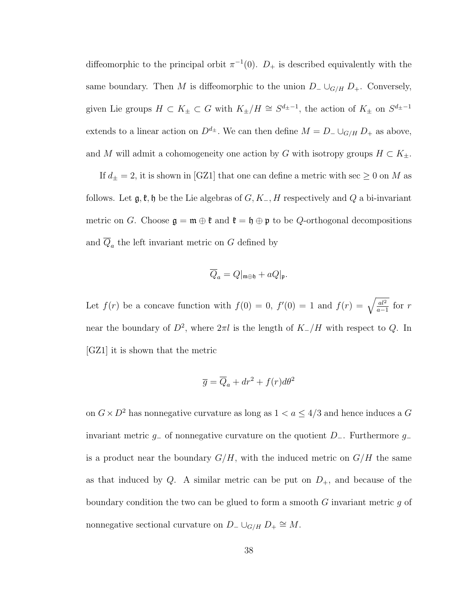diffeomorphic to the principal orbit  $\pi^{-1}(0)$ .  $D_+$  is described equivalently with the same boundary. Then M is diffeomorphic to the union  $D_-\cup_{G/H} D_+$ . Conversely, given Lie groups  $H \subset K_{\pm} \subset G$  with  $K_{\pm}/H \cong S^{d_{\pm}-1}$ , the action of  $K_{\pm}$  on  $S^{d_{\pm}-1}$ extends to a linear action on  $D^{d_{\pm}}$ . We can then define  $M = D_{-} \cup_{G/H} D_{+}$  as above, and M will admit a cohomogeneity one action by G with isotropy groups  $H \subset K_{\pm}$ .

If  $d_{\pm} = 2$ , it is shown in [GZ1] that one can define a metric with sec  $\geq 0$  on  $M$  as follows. Let  $\mathfrak{g}, \mathfrak{k}, \mathfrak{h}$  be the Lie algebras of  $G, K_-, H$  respectively and Q a bi-invariant metric on G. Choose  $\mathfrak{g} = \mathfrak{m} \oplus \mathfrak{k}$  and  $\mathfrak{k} = \mathfrak{h} \oplus \mathfrak{p}$  to be Q-orthogonal decompositions and  $Q_a$  the left invariant metric on G defined by

$$
\overline{Q}_a = Q|_{\mathfrak{m} \oplus \mathfrak{h}} + aQ|_{\mathfrak{p}}.
$$

Let  $f(r)$  be a concave function with  $f(0) = 0$ ,  $f'(0) = 1$  and  $f(r) = \sqrt{\frac{al^2}{a-r^2}}$  $rac{al^2}{a-1}$  for r near the boundary of  $D^2$ , where  $2\pi l$  is the length of  $K_-/H$  with respect to  $Q$ . In [GZ1] it is shown that the metric

$$
\overline{g} = \overline{Q}_a + dr^2 + f(r)d\theta^2
$$

on  $G\times D^2$  has nonnegative curvature as long as  $1< a\leq 4/3$  and hence induces a  $G$ invariant metric  $g_-\$  of nonnegative curvature on the quotient  $D_-\$ . Furthermore  $g_-\$ is a product near the boundary  $G/H$ , with the induced metric on  $G/H$  the same as that induced by Q. A similar metric can be put on  $D_{+}$ , and because of the boundary condition the two can be glued to form a smooth  $G$  invariant metric  $q$  of nonnegative sectional curvature on  $D_-\cup_{G/H} D_+ \cong M$ .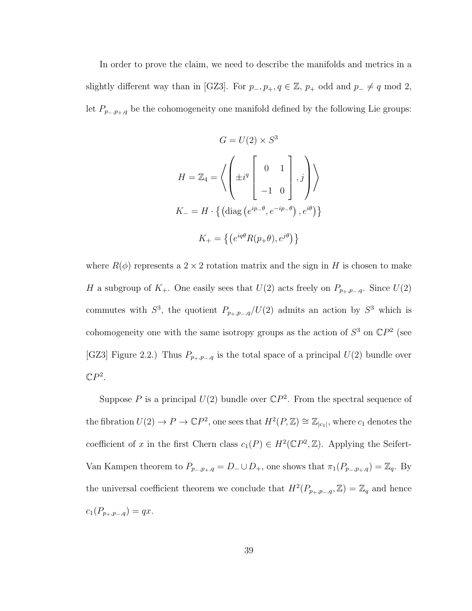In order to prove the claim, we need to describe the manifolds and metrics in a slightly different way than in [GZ3]. For  $p_-, p_+, q \in \mathbb{Z}$ ,  $p_+$  odd and  $p_- \neq q \mod 2$ , let  $P_{p_-,p_+,q}$  be the cohomogeneity one manifold defined by the following Lie groups:

$$
G = U(2) \times S^3
$$

$$
H = \mathbb{Z}_4 = \left\langle \left( \pm i^q \begin{bmatrix} 0 & 1 \\ -1 & 0 \end{bmatrix}, j \right) \right\rangle
$$

$$
K_- = H \cdot \left\{ \left( \text{diag} \left( e^{ip_- \theta}, e^{-ip_- \theta} \right), e^{i\theta} \right) \right\}
$$

$$
K_+ = \left\{ \left( e^{iq\theta} R(p_+ \theta), e^{j\theta} \right) \right\}
$$

where  $R(\phi)$  represents a 2 × 2 rotation matrix and the sign in H is chosen to make H a subgroup of  $K_+$ . One easily sees that  $U(2)$  acts freely on  $P_{p_+,p_-,q}$ . Since  $U(2)$ commutes with  $S^3$ , the quotient  $P_{p_+,p_-,q}/U(2)$  admits an action by  $S^3$  which is cohomogeneity one with the same isotropy groups as the action of  $S^3$  on  $\mathbb{C}P^2$  (see [GZ3] Figure 2.2.) Thus  $P_{p_+,p_-,q}$  is the total space of a principal  $U(2)$  bundle over  $\mathbb{C}P^2$ .

Suppose P is a principal  $U(2)$  bundle over  $\mathbb{C}P^2$ . From the spectral sequence of the fibration  $U(2) \to P \to \mathbb{C}P^2$ , one sees that  $H^2(P, \mathbb{Z}) \cong \mathbb{Z}_{|c_1|}$ , where  $c_1$  denotes the coefficient of x in the first Chern class  $c_1(P) \in H^2(\mathbb{C}P^2, \mathbb{Z})$ . Applying the Seifert-Van Kampen theorem to  $P_{p_-,p_+,q} = D_- \cup D_+$ , one shows that  $\pi_1(P_{p_-,p_+,q}) = \mathbb{Z}_q$ . By the universal coefficient theorem we conclude that  $H^2(P_{p_+,p_-,q},\mathbb{Z})=\mathbb{Z}_q$  and hence  $c_1(P_{p_+,p_-,q}) = qx.$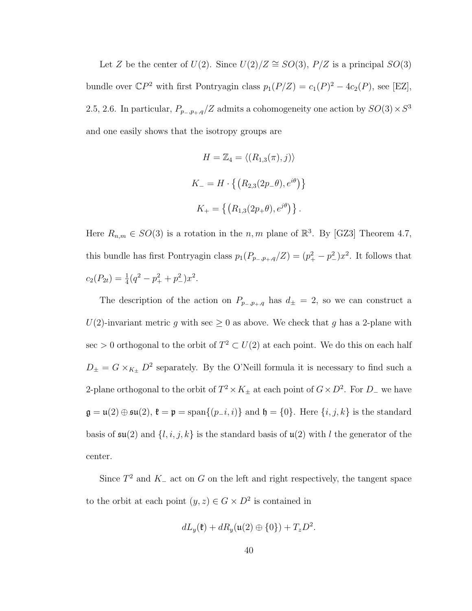Let Z be the center of  $U(2)$ . Since  $U(2)/Z \cong SO(3)$ ,  $P/Z$  is a principal  $SO(3)$ bundle over  $\mathbb{C}P^2$  with first Pontryagin class  $p_1(P/Z) = c_1(P)^2 - 4c_2(P)$ , see [EZ], 2.5, 2.6. In particular,  $P_{p_-,p_+,q}/Z$  admits a cohomogeneity one action by  $SO(3) \times S^3$ and one easily shows that the isotropy groups are

$$
H = \mathbb{Z}_4 = \langle (R_{1,3}(\pi), j) \rangle
$$
  

$$
K_- = H \cdot \left\{ (R_{2,3}(2p_-\theta), e^{i\theta}) \right\}
$$
  

$$
K_+ = \left\{ (R_{1,3}(2p_+\theta), e^{j\theta}) \right\}.
$$

Here  $R_{n,m} \in SO(3)$  is a rotation in the n, m plane of  $\mathbb{R}^3$ . By [GZ3] Theorem 4.7, this bundle has first Pontryagin class  $p_1(P_{p_-,p_+,q}/Z) = (p_+^2 - p_-^2)x^2$ . It follows that  $c_2(P_{2t}) = \frac{1}{4}(q^2 - p_+^2 + p_-^2)x^2.$ 

The description of the action on  $P_{p_-,p_+,q}$  has  $d_{\pm} = 2$ , so we can construct a  $U(2)$ -invariant metric g with sec  $\geq 0$  as above. We check that g has a 2-plane with sec > 0 orthogonal to the orbit of  $T^2 \subset U(2)$  at each point. We do this on each half  $D_{\pm} = G \times_{K_{\pm}} D^2$  separately. By the O'Neill formula it is necessary to find such a 2-plane orthogonal to the orbit of  $T^2 \times K_{\pm}$  at each point of  $G \times D^2$ . For  $D_{-}$  we have  $\mathfrak{g} = \mathfrak{u}(2) \oplus \mathfrak{su}(2), \mathfrak{k} = \mathfrak{p} = \text{span}\{(p_i, i)\}\$ and  $\mathfrak{h} = \{0\}.$  Here  $\{i, j, k\}$  is the standard basis of  $\mathfrak{su}(2)$  and  $\{l, i, j, k\}$  is the standard basis of  $\mathfrak{u}(2)$  with l the generator of the center.

Since  $T^2$  and  $K_-\text{ act }$  on G on the left and right respectively, the tangent space to the orbit at each point  $(y, z) \in G \times D^2$  is contained in

$$
dL_y(\mathfrak{k})+dR_y(\mathfrak{u}(2)\oplus\{0\})+T_zD^2.
$$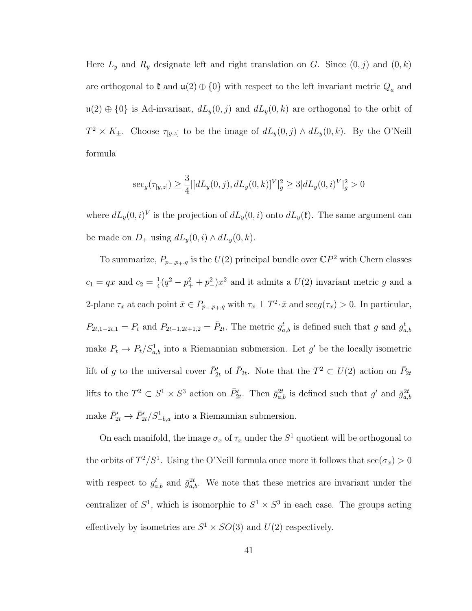Here  $L_y$  and  $R_y$  designate left and right translation on G. Since  $(0, j)$  and  $(0, k)$ are orthogonal to  $\mathfrak k$  and  $\mathfrak u(2) \oplus \{0\}$  with respect to the left invariant metric  $\overline{Q}_a$  and  $\mathfrak{u}(2) \oplus \{0\}$  is Ad-invariant,  $dL_y(0, j)$  and  $dL_y(0, k)$  are orthogonal to the orbit of  $T^2 \times K_{\pm}$ . Choose  $\tau_{[y,z]}$  to be the image of  $dL_y(0,j) \wedge dL_y(0,k)$ . By the O'Neill formula

$$
\label{eq:1} \sec_g(\tau_{[y,z]}) \geq \frac{3}{4} |[dL_y(0,j), dL_y(0,k)]^V|_{\bar g}^2 \geq 3 |dL_y(0,i)^V|_{\bar g}^2 > 0
$$

where  $dL_y(0, i)^V$  is the projection of  $dL_y(0, i)$  onto  $dL_y(\mathfrak{k})$ . The same argument can be made on  $D_+$  using  $dL_y(0, i) \wedge dL_y(0, k)$ .

To summarize,  $P_{p_-,p_+,q}$  is the  $U(2)$  principal bundle over  $\mathbb{C}P^2$  with Chern classes  $c_1 = qx$  and  $c_2 = \frac{1}{4}$  $\frac{1}{4}(q^2 - p_+^2 + p_-^2)x^2$  and it admits a  $U(2)$  invariant metric g and a 2-plane  $\tau_{\bar{x}}$  at each point  $\bar{x} \in P_{p_-,p_+,q}$  with  $\tau_{\bar{x}} \perp T^2 \cdot \bar{x}$  and  $\sec g(\tau_{\bar{x}}) > 0$ . In particular,  $P_{2t,1-2t,1} = P_t$  and  $P_{2t-1,2t+1,2} = \bar{P}_{2t}$ . The metric  $g_{a,b}^t$  is defined such that g and  $g_{a,b}^t$ make  $P_t \to P_t/S_{a,b}^1$  into a Riemannian submersion. Let g' be the locally isometric lift of g to the universal cover  $\bar{P}_{2t}$  of  $\bar{P}_{2t}$ . Note that the  $T^2 \subset U(2)$  action on  $\bar{P}_{2t}$ lifts to the  $T^2 \subset S^1 \times S^3$  action on  $\bar{P}_{2t}$ . Then  $\bar{g}_{a,b}^{2t}$  is defined such that g' and  $\bar{g}_{a,b}^{2t}$ make  $\bar{P}_{2t}' \to \bar{P}_{2t}' / S_{-b,a}^1$  into a Riemannian submersion.

On each manifold, the image  $\sigma_x$  of  $\tau_{\bar{x}}$  under the  $S^1$  quotient will be orthogonal to the orbits of  $T^2/S^1$ . Using the O'Neill formula once more it follows that  $\sec(\sigma_x) > 0$ with respect to  $g_{a,b}^t$  and  $\bar{g}_{a,b}^{2t}$ . We note that these metrics are invariant under the centralizer of  $S^1$ , which is isomorphic to  $S^1 \times S^3$  in each case. The groups acting effectively by isometries are  $S^1 \times SO(3)$  and  $U(2)$  respectively.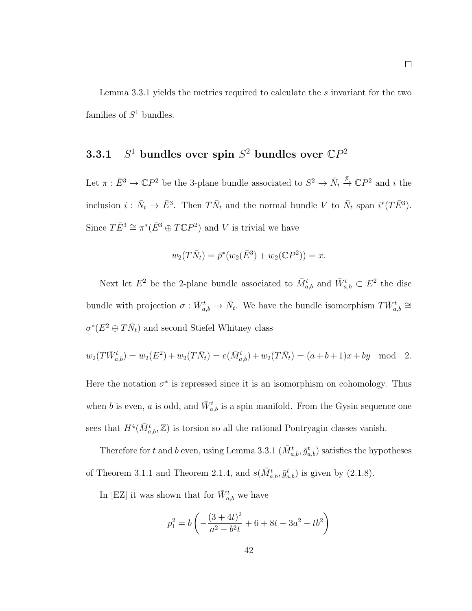Lemma 3.3.1 yields the metrics required to calculate the s invariant for the two families of  $S^1$  bundles.

### $3.3.1$ <sup>1</sup> bundles over spin  $S^2$  bundles over  $\mathbb{C}P^2$

Let  $\pi : \bar{E}^3 \to \mathbb{C}P^2$  be the 3-plane bundle associated to  $S^2 \to \bar{N}_t$  $\stackrel{\bar{p}}{\rightarrow} \mathbb{C}P^2$  and  $i$  the inclusion  $i: \bar{N}_t \to \bar{E}^3$ . Then  $T\bar{N}_t$  and the normal bundle V to  $\bar{N}_t$  span  $i^*(T\bar{E}^3)$ . Since  $T\bar{E}^3 \cong \pi^*(\bar{E}^3 \oplus T\mathbb{C}P^2)$  and V is trivial we have

$$
w_2(T\bar{N}_t) = \bar{p}^*(w_2(\bar{E}^3) + w_2(\mathbb{C}P^2)) = x.
$$

Next let  $E^2$  be the 2-plane bundle associated to  $\bar{M}^t_{a,b}$  and  $\bar{W}^t_{a,b} \subset E^2$  the disc bundle with projection  $\sigma: \bar{W}_{a,b}^t \to \bar{N}_t$ . We have the bundle isomorphism  $T\bar{W}_{a,b}^t \cong$  $\sigma^*(E^2 \oplus T\bar{N}_t)$  and second Stiefel Whitney class

$$
w_2(T\bar{W}_{a,b}^t) = w_2(E^2) + w_2(T\bar{N}_t) = e(\bar{M}_{a,b}^t) + w_2(T\bar{N}_t) = (a+b+1)x + by \mod 2.
$$

Here the notation  $\sigma^*$  is repressed since it is an isomorphism on cohomology. Thus when b is even, a is odd, and  $\bar{W}_{a,b}^t$  is a spin manifold. From the Gysin sequence one sees that  $H^4(\bar{M}^t_{a,b}, \mathbb{Z})$  is torsion so all the rational Pontryagin classes vanish.

Therefore for t and b even, using Lemma 3.3.1  $(\bar{M}^t_{a,b}, \bar{g}^t_{a,b})$  satisfies the hypotheses of Theorem 3.1.1 and Theorem 2.1.4, and  $s(\bar{M}^t_{a,b}, \bar{g}^t_{a,b})$  is given by (2.1.8).

In [EZ] it was shown that for  $\bar{W}^t_{a,b}$  we have

$$
p_1^2 = b \left( -\frac{(3+4t)^2}{a^2 - b^2t} + 6 + 8t + 3a^2 + tb^2 \right)
$$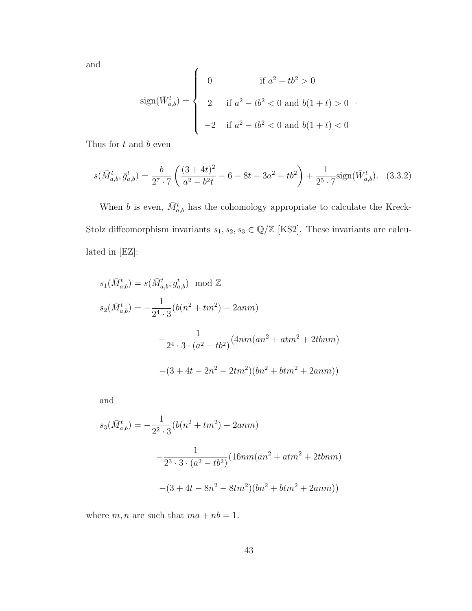and

$$
\text{sign}(\bar{W}_{a,b}^t) = \begin{cases} 0 & \text{if } a^2 - tb^2 > 0 \\ 2 & \text{if } a^2 - tb^2 < 0 \text{ and } b(1+t) > 0 \\ -2 & \text{if } a^2 - tb^2 < 0 \text{ and } b(1+t) < 0 \end{cases}
$$

Thus for  $t$  and  $b$  even

$$
s(\bar{M}^t_{a,b}, \bar{g}^t_{a,b}) = \frac{b}{2^7 \cdot 7} \left( \frac{(3+4t)^2}{a^2 - b^2 t} - 6 - 8t - 3a^2 - tb^2 \right) + \frac{1}{2^5 \cdot 7} sign(\bar{W}^t_{a,b}). \tag{3.3.2}
$$

When b is even,  $\bar{M}^t_{a,b}$  has the cohomology appropriate to calculate the Kreck-Stolz diffeomorphism invariants  $s_1, s_2, s_3 \in \mathbb{Q}/\mathbb{Z}$  [KS2]. These invariants are calculated in [EZ]:

$$
s_1(\bar{M}_{a,b}^t) = s(\bar{M}_{a,b}^t, g_{a,b}^t) \mod \mathbb{Z}
$$
  
\n
$$
s_2(\bar{M}_{a,b}^t) = -\frac{1}{2^4 \cdot 3} (b(n^2 + tm^2) - 2anm)
$$
  
\n
$$
-\frac{1}{2^4 \cdot 3 \cdot (a^2 - tb^2)} (4nm(an^2 + atm^2 + 2tbnm))
$$
  
\n
$$
-(3 + 4t - 2n^2 - 2tm^2)(bn^2 + btm^2 + 2anm))
$$

and

$$
s_3(\bar{M}_{a,b}^t) = -\frac{1}{2^2 \cdot 3} (b(n^2 + tm^2) - 2anm)
$$

$$
-\frac{1}{2^3 \cdot 3 \cdot (a^2 - tb^2)} (16nm(an^2 + atm^2 + 2tbnm))
$$

$$
-(3 + 4t - 8n^2 - 8tm^2)(bn^2 + btm^2 + 2anm))
$$

where  $m, n$  are such that  $ma + nb = 1$ .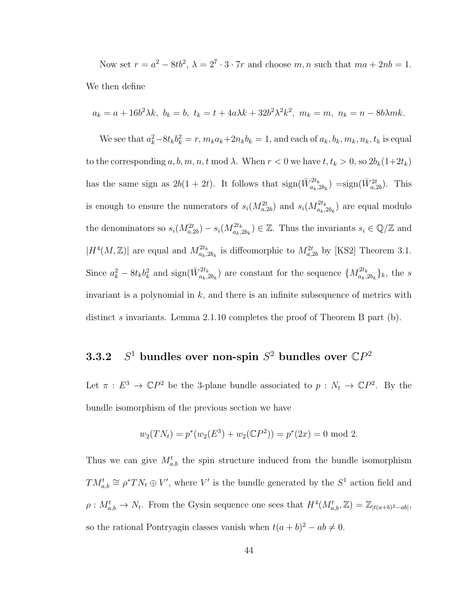Now set  $r = a^2 - 8tb^2$ ,  $\lambda = 2^7 \cdot 3 \cdot 7r$  and choose m, n such that  $ma + 2nb = 1$ . We then define

$$
a_k = a + 16b^2\lambda k, b_k = b, t_k = t + 4a\lambda k + 32b^2\lambda^2 k^2, m_k = m, n_k = n - 8b\lambda mk.
$$

We see that  $a_k^2 - 8t_k b_k^2 = r$ ,  $m_k a_k + 2n_k b_k = 1$ , and each of  $a_k, b_k, m_k, n_k, t_k$  is equal to the corresponding  $a, b, m, n, t \mod \lambda$ . When  $r < 0$  we have  $t, t_k > 0$ , so  $2b_k(1+2t_k)$ has the same sign as  $2b(1+2t)$ . It follows that  $sign(\bar{W}^{2t_k}_{a_k,2b_k}) = sign(\bar{W}^{2t}_{a,2b})$ . This is enough to ensure the numerators of  $s_i(M_{a,2b}^{2t})$  and  $s_i(M_{a_k,2b_k}^{2t_k})$  are equal modulo the denominators so  $s_i(M_{a,2b}^{2t}) - s_i(M_{a_k,2b_k}^{2t_k}) \in \mathbb{Z}$ . Thus the invariants  $s_i \in \mathbb{Q}/\mathbb{Z}$  and  $|H^4(M,\mathbb{Z})|$  are equal and  $M_{a_k,2b_k}^{2t_k}$  is diffeomorphic to  $M_{a,2b}^{2t}$  by [KS2] Theorem 3.1. Since  $a_k^2 - 8t_k b_k^2$  and  $sign(\bar{W}_{a_k,2b_k}^{2t_k})$  are constant for the sequence  $\{M_{a_k,2b_k}^{2t_k}\}_k$ , the s invariant is a polynomial in  $k$ , and there is an infinite subsequence of metrics with distinct s invariants. Lemma 2.1.10 completes the proof of Theorem B part (b).

### 3.2 <sup>1</sup> bundles over non-spin  $S^2$  bundles over  $\mathbb{C}P^2$

Let  $\pi : E^3 \to \mathbb{C}P^2$  be the 3-plane bundle associated to  $p : N_t \to \mathbb{C}P^2$ . By the bundle isomorphism of the previous section we have

$$
w_2(TN_t) = p^*(w_2(E^3) + w_2({\mathbb{C}}P^2)) = p^*(2x) = 0 \text{ mod } 2.
$$

Thus we can give  $M_{a,b}^t$  the spin structure induced from the bundle isomorphism  $TM_{a,b}^t \cong \rho^*TN_t \oplus V'$ , where V' is the bundle generated by the  $S^1$  action field and  $\rho: M_{a,b}^t \to N_t$ . From the Gysin sequence one sees that  $H^4(M_{a,b}^t, \mathbb{Z}) = \mathbb{Z}_{|t(a+b)^2 - ab|}$ , so the rational Pontryagin classes vanish when  $t(a + b)^2 - ab \neq 0$ .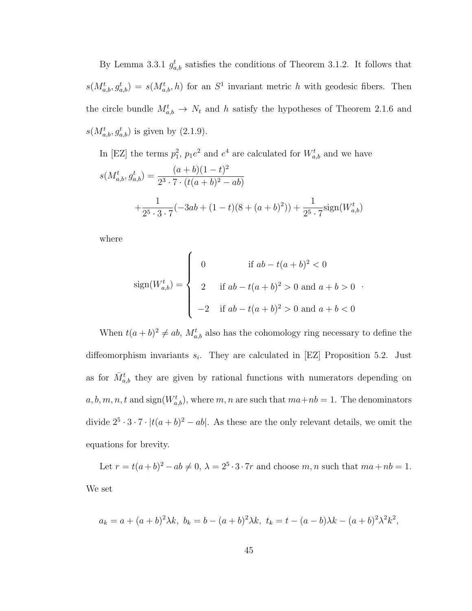By Lemma 3.3.1  $g_{a,b}^{t}$  satisfies the conditions of Theorem 3.1.2. It follows that  $s(M_{a,b}^t, g_{a,b}^t) = s(M_{a,b}^t, h)$  for an  $S^1$  invariant metric h with geodesic fibers. Then the circle bundle  $M_{a,b}^t \to N_t$  and h satisfy the hypotheses of Theorem 2.1.6 and  $s(M_{a,b}^t, g_{a,b}^t)$  is given by  $(2.1.9)$ .

In [EZ] the terms  $p_1^2$ ,  $p_1e^2$  and  $e^4$  are calculated for  $W_{a,b}^t$  and we have

$$
s(M_{a,b}^t, g_{a,b}^t) = \frac{(a+b)(1-t)^2}{2^3 \cdot 7 \cdot (t(a+b)^2 - ab)}
$$
  
+ 
$$
\frac{1}{2^5 \cdot 3 \cdot 7} (-3ab + (1-t)(8 + (a+b)^2)) + \frac{1}{2^5 \cdot 7} sign(W_{a,b}^t)
$$

where

$$
\text{sign}(W_{a,b}^t) = \begin{cases} 0 & \text{if } ab - t(a+b)^2 < 0 \\ 2 & \text{if } ab - t(a+b)^2 > 0 \text{ and } a+b > 0 \\ -2 & \text{if } ab - t(a+b)^2 > 0 \text{ and } a+b < 0 \end{cases}
$$

When  $t(a+b)^2 \neq ab$ ,  $M_{a,b}^t$  also has the cohomology ring necessary to define the diffeomorphism invariants  $s_i$ . They are calculated in [EZ] Proposition 5.2. Just as for  $\bar{M}^t_{a,b}$  they are given by rational functions with numerators depending on  $a, b, m, n, t$  and sign $(W_{a,b}^t)$ , where m, n are such that  $ma+nb = 1$ . The denominators divide  $2^5 \cdot 3 \cdot 7 \cdot |t(a+b)^2 - ab|$ . As these are the only relevant details, we omit the equations for brevity.

Let  $r = t(a+b)^2 - ab \neq 0$ ,  $\lambda = 2^5 \cdot 3 \cdot 7r$  and choose m, n such that  $ma + nb = 1$ . We set

$$
a_k = a + (a+b)^2 \lambda k, \ b_k = b - (a+b)^2 \lambda k, \ t_k = t - (a-b)\lambda k - (a+b)^2 \lambda^2 k^2,
$$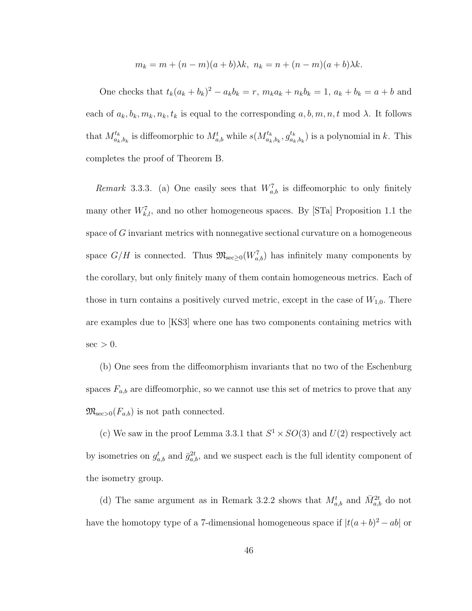$$
m_k = m + (n - m)(a + b)\lambda k, \ n_k = n + (n - m)(a + b)\lambda k.
$$

One checks that  $t_k(a_k + b_k)^2 - a_kb_k = r$ ,  $m_ka_k + n_kb_k = 1$ ,  $a_k + b_k = a + b$  and each of  $a_k, b_k, m_k, n_k, t_k$  is equal to the corresponding  $a, b, m, n, t \mod \lambda$ . It follows that  $M_{a_k, b_k}^{t_k}$  is diffeomorphic to  $M_{a,b}^t$  while  $s(M_{a_k, b_k}^{t_k}, g_{a_k}^{t_k})$  $a_{k,b_k}^{t_k}$ ) is a polynomial in k. This completes the proof of Theorem B.

Remark 3.3.3. (a) One easily sees that  $W_{a,b}^7$  is diffeomorphic to only finitely many other  $W_{k,l}^7$ , and no other homogeneous spaces. By [STa] Proposition 1.1 the space of G invariant metrics with nonnegative sectional curvature on a homogeneous space  $G/H$  is connected. Thus  $\mathfrak{M}_{\mathrm{sec}\geq 0}(W^7_{a,b})$  has infinitely many components by the corollary, but only finitely many of them contain homogeneous metrics. Each of those in turn contains a positively curved metric, except in the case of  $W_{1,0}$ . There are examples due to [KS3] where one has two components containing metrics with  $\sec$  > 0.

(b) One sees from the diffeomorphism invariants that no two of the Eschenburg spaces  $F_{a,b}$  are diffeomorphic, so we cannot use this set of metrics to prove that any  $\mathfrak{M}_{\mathrm{sec}>0}(F_{a,b})$  is not path connected.

(c) We saw in the proof Lemma 3.3.1 that  $S^1 \times SO(3)$  and  $U(2)$  respectively act by isometries on  $g_{a,b}^t$  and  $\bar{g}_{a,b}^{2t}$ , and we suspect each is the full identity component of the isometry group.

(d) The same argument as in Remark 3.2.2 shows that  $M_{a,b}^t$  and  $\bar{M}_{a,b}^{2t}$  do not have the homotopy type of a 7-dimensional homogeneous space if  $|t(a+b)^2 - ab|$  or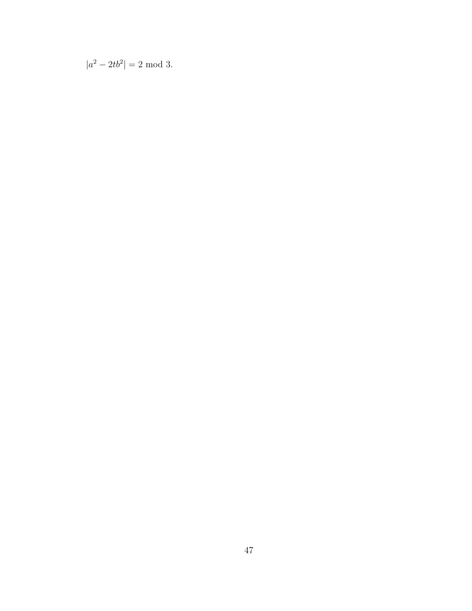$|a^2 - 2tb^2| = 2 \text{ mod } 3.$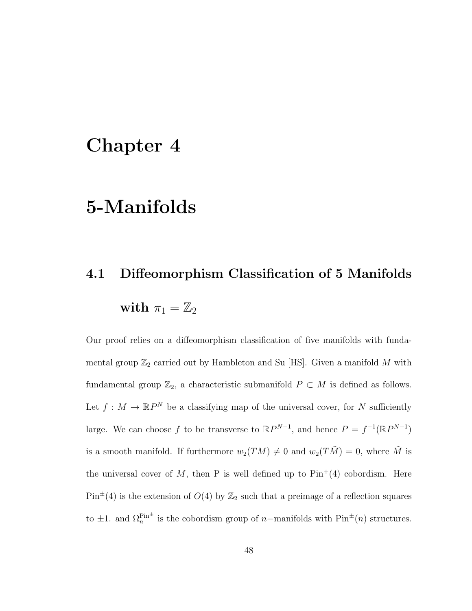## Chapter 4

## 5-Manifolds

# 4.1 Diffeomorphism Classification of 5 Manifolds with  $\pi_1 = \mathbb{Z}_2$

Our proof relies on a diffeomorphism classification of five manifolds with fundamental group  $\mathbb{Z}_2$  carried out by Hambleton and Su [HS]. Given a manifold  $M$  with fundamental group  $\mathbb{Z}_2$ , a characteristic submanifold  $P \subset M$  is defined as follows. Let  $f: M \to \mathbb{R}P^N$  be a classifying map of the universal cover, for N sufficiently large. We can choose f to be transverse to  $\mathbb{R}P^{N-1}$ , and hence  $P = f^{-1}(\mathbb{R}P^{N-1})$ is a smooth manifold. If furthermore  $w_2(TM) \neq 0$  and  $w_2(T\tilde{M}) = 0$ , where  $\tilde{M}$  is the universal cover of M, then P is well defined up to  $\text{Pin}^+(4)$  cobordism. Here  $Pin^{\pm}(4)$  is the extension of  $O(4)$  by  $\mathbb{Z}_2$  such that a preimage of a reflection squares to  $\pm 1$ . and  $\Omega_n^{\text{Pin}^{\pm}}$  is the cobordism group of n–manifolds with  $\text{Pin}^{\pm}(n)$  structures.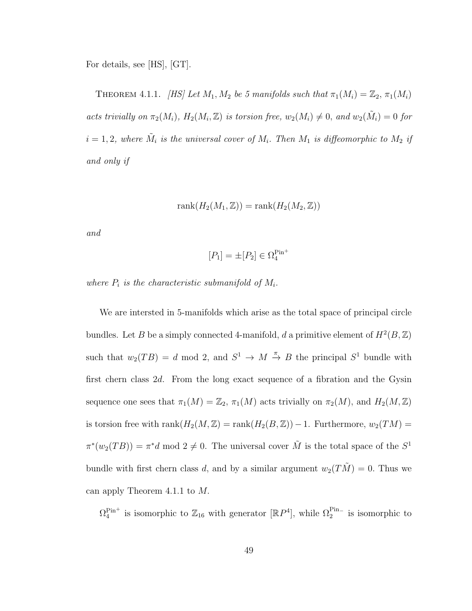For details, see [HS], [GT].

THEOREM 4.1.1. [HS] Let  $M_1, M_2$  be 5 manifolds such that  $\pi_1(M_i) = \mathbb{Z}_2, \pi_1(M_i)$ acts trivially on  $\pi_2(M_i)$ ,  $H_2(M_i, \mathbb{Z})$  is torsion free,  $w_2(M_i) \neq 0$ , and  $w_2(\tilde{M}_i) = 0$  for  $i = 1, 2$ , where  $\tilde{M}_i$  is the universal cover of  $M_i$ . Then  $M_1$  is diffeomorphic to  $M_2$  if and only if

$$
rank(H_2(M_1, \mathbb{Z})) = rank(H_2(M_2, \mathbb{Z}))
$$

and

$$
[P_1] = \pm [P_2] \in \Omega_4^{\text{Pin}^+}
$$

where  $P_i$  is the characteristic submanifold of  $M_i$ .

We are intersted in 5-manifolds which arise as the total space of principal circle bundles. Let B be a simply connected 4-manifold, d a primitive element of  $H^2(B, \mathbb{Z})$ such that  $w_2(TB) = d \mod 2$ , and  $S^1 \to M \stackrel{\pi}{\to} B$  the principal  $S^1$  bundle with first chern class 2d. From the long exact sequence of a fibration and the Gysin sequence one sees that  $\pi_1(M) = \mathbb{Z}_2$ ,  $\pi_1(M)$  acts trivially on  $\pi_2(M)$ , and  $H_2(M, \mathbb{Z})$ is torsion free with rank $(H_2(M, \mathbb{Z}) = \text{rank}(H_2(B, \mathbb{Z})) - 1$ . Furthermore,  $w_2(TM) =$  $\pi^*(w_2(TB)) = \pi^*d \mod 2 \neq 0$ . The universal cover  $\tilde{M}$  is the total space of the  $S^1$ bundle with first chern class d, and by a similar argument  $w_2(T\tilde{M}) = 0$ . Thus we can apply Theorem 4.1.1 to M.

 $\Omega_4^{\text{Pin}+}$  is isomorphic to  $\mathbb{Z}_{16}$  with generator  $[\mathbb{R}P^4]$ , while  $\Omega_2^{\text{Pin}-}$  is isomorphic to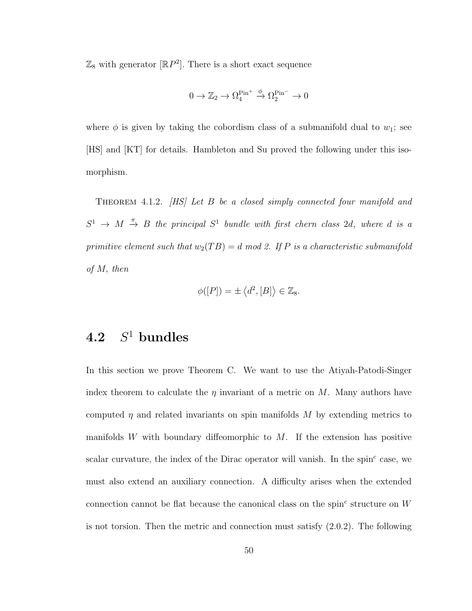$\mathbb{Z}_8$  with generator  $[\mathbb{R}P^2]$ . There is a short exact sequence

$$
0 \to \mathbb{Z}_2 \to \Omega_4^{\text{Pin}^+} \overset{\phi}{\to} \Omega_2^{\text{Pin}^-} \to 0
$$

where  $\phi$  is given by taking the cobordism class of a submanifold dual to  $w_1$ ; see [HS] and [KT] for details. Hambleton and Su proved the following under this isomorphism.

Theorem 4.1.2. [HS] Let B be a closed simply connected four manifold and  $S^1 \rightarrow M \stackrel{\pi}{\rightarrow} B$  the principal  $S^1$  bundle with first chern class 2d, where d is a primitive element such that  $w_2(TB) = d \mod 2$ . If P is a characteristic submanifold of M, then

$$
\phi([P]) = \pm \langle d^2, [B] \rangle \in \mathbb{Z}_8.
$$

### 4.2  $S^1$  bundles

In this section we prove Theorem C. We want to use the Atiyah-Patodi-Singer index theorem to calculate the  $\eta$  invariant of a metric on M. Many authors have computed  $\eta$  and related invariants on spin manifolds M by extending metrics to manifolds W with boundary diffeomorphic to  $M$ . If the extension has positive scalar curvature, the index of the Dirac operator will vanish. In the spin<sup>c</sup> case, we must also extend an auxiliary connection. A difficulty arises when the extended connection cannot be flat because the canonical class on the spin<sup>c</sup> structure on  $W$ is not torsion. Then the metric and connection must satisfy (2.0.2). The following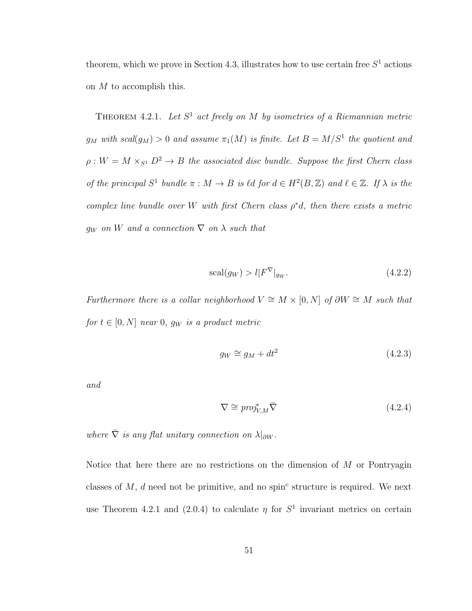theorem, which we prove in Section 4.3, illustrates how to use certain free  $S<sup>1</sup>$  actions on  $M$  to accomplish this.

THEOREM 4.2.1. Let  $S^1$  act freely on M by isometries of a Riemannian metric  $g_M$  with scal $(g_M) > 0$  and assume  $\pi_1(M)$  is finite. Let  $B = M/S^1$  the quotient and  $\rho: W = M \times_{S^1} D^2 \to B$  the associated disc bundle. Suppose the first Chern class of the principal  $S^1$  bundle  $\pi : M \to B$  is  $\ell d$  for  $d \in H^2(B, \mathbb{Z})$  and  $\ell \in \mathbb{Z}$ . If  $\lambda$  is the complex line bundle over W with first Chern class  $\rho^*d$ , then there exists a metric  $g_W$  on W and a connection  $\nabla$  on  $\lambda$  such that

$$
\text{scal}(g_W) > l | F^{\nabla} |_{g_W}. \tag{4.2.2}
$$

Furthermore there is a collar neighborhood  $V \cong M \times [0, N]$  of  $\partial W \cong M$  such that for  $t \in [0, N]$  near 0,  $g_W$  is a product metric

$$
g_W \cong g_M + dt^2 \tag{4.2.3}
$$

and

$$
\nabla \cong \text{proj}_{V,M}^* \bar{\nabla}
$$
\n(4.2.4)

where  $\overline{\nabla}$  is any flat unitary connection on  $\lambda|_{\partial W}$ .

Notice that here there are no restrictions on the dimension of  $M$  or Pontryagin classes of  $M$ ,  $d$  need not be primitive, and no spin<sup>c</sup> structure is required. We next use Theorem 4.2.1 and (2.0.4) to calculate  $\eta$  for  $S^1$  invariant metrics on certain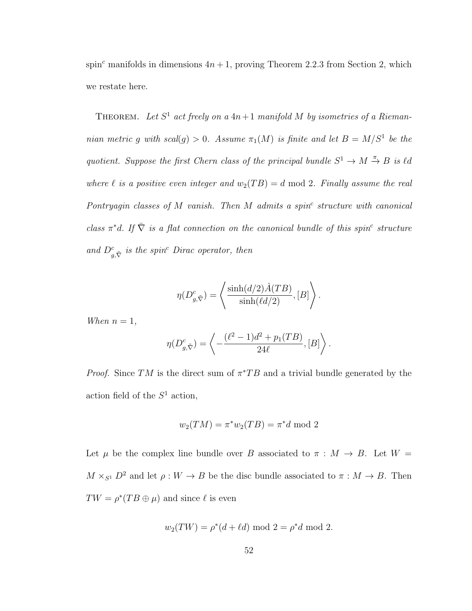spin<sup>c</sup> manifolds in dimensions  $4n + 1$ , proving Theorem 2.2.3 from Section 2, which we restate here.

THEOREM. Let  $S^1$  act freely on a  $4n+1$  manifold M by isometries of a Riemannian metric g with scal(g) > 0. Assume  $\pi_1(M)$  is finite and let  $B = M/S^1$  be the quotient. Suppose the first Chern class of the principal bundle  $S^1 \to M \stackrel{\pi}{\to} B$  is  $\ell d$ where  $\ell$  is a positive even integer and  $w_2(TB) = d \mod 2$ . Finally assume the real Pontryagin classes of  $M$  vanish. Then  $M$  admits a spin<sup>c</sup> structure with canonical class  $\pi^*d$ . If  $\overline{\nabla}$  is a flat connection on the canonical bundle of this spin<sup>c</sup> structure and  $D_{g,\tilde{\nabla}}^c$  is the spin<sup>c</sup> Dirac operator, then

$$
\eta(D_{g,\tilde{\nabla}}^c) = \left\langle \frac{\sinh(d/2)\hat{A}(TB)}{\sinh(\ell d/2)}, [B] \right\rangle.
$$

When  $n = 1$ ,

$$
\eta(D^c_{g,\tilde{\nabla}})=\left\langle -\frac{(\ell^2-1)d^2+p_1(TB)}{24\ell},[B]\right\rangle.
$$

*Proof.* Since TM is the direct sum of  $\pi^*TB$  and a trivial bundle generated by the action field of the  $S^1$  action,

$$
w_2(TM) = \pi^* w_2(TB) = \pi^* d \text{ mod } 2
$$

Let  $\mu$  be the complex line bundle over B associated to  $\pi : M \to B$ . Let  $W =$  $M \times_{S^1} D^2$  and let  $\rho: W \to B$  be the disc bundle associated to  $\pi: M \to B$ . Then  $TW = \rho^*(TB \oplus \mu)$  and since  $\ell$  is even

$$
w_2(TW) = \rho^*(d + \ell d) \text{ mod } 2 = \rho^* d \text{ mod } 2.
$$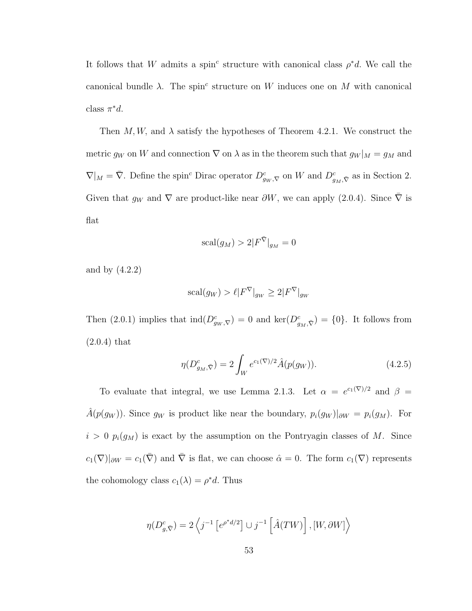It follows that W admits a spin<sup>c</sup> structure with canonical class  $\rho^*d$ . We call the canonical bundle  $\lambda$ . The spin<sup>c</sup> structure on W induces one on M with canonical class  $\pi^*d$ .

Then M, W, and  $\lambda$  satisfy the hypotheses of Theorem 4.2.1. We construct the metric  $g_W$  on W and connection  $\nabla$  on  $\lambda$  as in the theorem such that  $g_W|_M = g_M$  and  $\nabla|_M = \overline{\nabla}$ . Define the spin<sup>c</sup> Dirac operator  $D^c_{gw,\nabla}$  on W and  $D^c_{gw,\nabla}$  as in Section 2. Given that  $g_W$  and  $\nabla$  are product-like near  $\partial W$ , we can apply (2.0.4). Since  $\bar{\nabla}$  is flat

$$
\operatorname{scal}(g_M) > 2|F^{\bar{\nabla}}|_{g_M} = 0
$$

and by (4.2.2)

$$
\operatorname{scal}(g_W) > \ell |F^{\nabla}|_{g_W} \ge 2|F^{\nabla}|_{g_W}
$$

Then (2.0.1) implies that  $\text{ind}(D^c_{gw,\nabla})=0$  and  $\text{ker}(D^c_{g_M,\bar{\nabla}})=\{0\}$ . It follows from (2.0.4) that

$$
\eta(D_{g_M,\bar{\nabla}}^c) = 2 \int_W e^{c_1(\nabla)/2} \hat{A}(p(g_W)). \tag{4.2.5}
$$

To evaluate that integral, we use Lemma 2.1.3. Let  $\alpha = e^{c_1(\nabla)/2}$  and  $\beta =$  $\hat{A}(p(g_W))$ . Since  $g_W$  is product like near the boundary,  $p_i(g_W)|_{\partial W} = p_i(g_M)$ . For  $i > 0$   $p_i(g_M)$  is exact by the assumption on the Pontryagin classes of M. Since  $c_1(\nabla)|_{\partial W} = c_1(\overline{\nabla})$  and  $\overline{\nabla}$  is flat, we can choose  $\hat{\alpha} = 0$ . The form  $c_1(\nabla)$  represents the cohomology class  $c_1(\lambda) = \rho^* d$ . Thus

$$
\eta(D_{g,\bar{\nabla}}^c) = 2\left\langle j^{-1} \left[ e^{\rho^* d/2} \right] \cup j^{-1} \left[ \hat{A}(TW) \right], [W, \partial W] \right\rangle
$$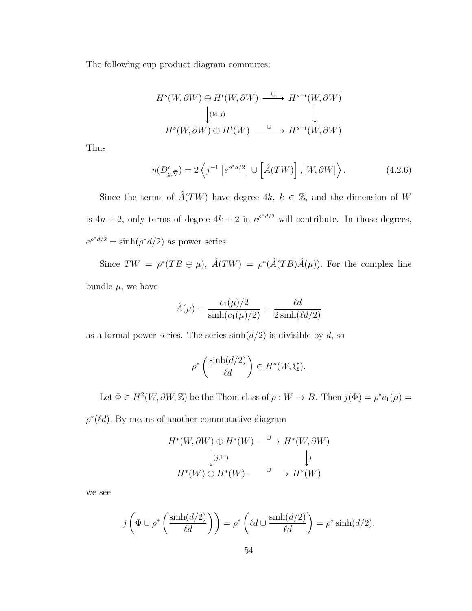The following cup product diagram commutes:

$$
Hs(W, \partial W) \oplus Ht(W, \partial W) \xrightarrow{\cup} Hs+t(W, \partial W)
$$
  
\n
$$
\downarrow_{(\text{Id}, j)} \qquad \qquad \downarrow
$$
  
\n
$$
Hs(W, \partial W) \oplus Ht(W) \xrightarrow{\cup} Hs+t(W, \partial W)
$$

Thus

$$
\eta(D^c_{g,\bar{\nabla}}) = 2\left\langle j^{-1} \left[ e^{\rho^*d/2} \right] \cup \left[ \hat{A}(TW) \right], \left[ W, \partial W \right] \right\rangle. \tag{4.2.6}
$$

Since the terms of  $\hat{A}(TW)$  have degree 4k,  $k \in \mathbb{Z}$ , and the dimension of W is  $4n + 2$ , only terms of degree  $4k + 2$  in  $e^{\rho^*d/2}$  will contribute. In those degrees,  $e^{\rho^*d/2} = \sinh(\rho^*d/2)$  as power series.

Since  $TW = \rho^*(TB \oplus \mu)$ ,  $\hat{A}(TW) = \rho^*(\hat{A}(TB)\hat{A}(\mu))$ . For the complex line bundle  $\mu$ , we have

$$
\hat{A}(\mu) = \frac{c_1(\mu)/2}{\sinh(c_1(\mu)/2)} = \frac{\ell d}{2 \sinh(\ell d/2)}
$$

as a formal power series. The series  $sinh(d/2)$  is divisible by d, so

$$
\rho^* \left( \frac{\sinh(d/2)}{\ell d} \right) \in H^*(W, \mathbb{Q}).
$$

Let  $\Phi \in H^2(W, \partial W, \mathbb{Z})$  be the Thom class of  $\rho : W \to B$ . Then  $j(\Phi) = \rho^* c_1(\mu) =$ 

 $\rho^*(\ell d)$ . By means of another commutative diagram

$$
H^*(W, \partial W) \oplus H^*(W) \xrightarrow{\cup} H^*(W, \partial W)
$$
  

$$
\downarrow_{(j, \text{Id})} \qquad \qquad \downarrow_j
$$
  

$$
H^*(W) \oplus H^*(W) \xrightarrow{\cup} H^*(W)
$$

we see

$$
j\left(\Phi \cup \rho^* \left(\frac{\sinh(d/2)}{\ell d}\right)\right) = \rho^* \left(\ell d \cup \frac{\sinh(d/2)}{\ell d}\right) = \rho^* \sinh(d/2).
$$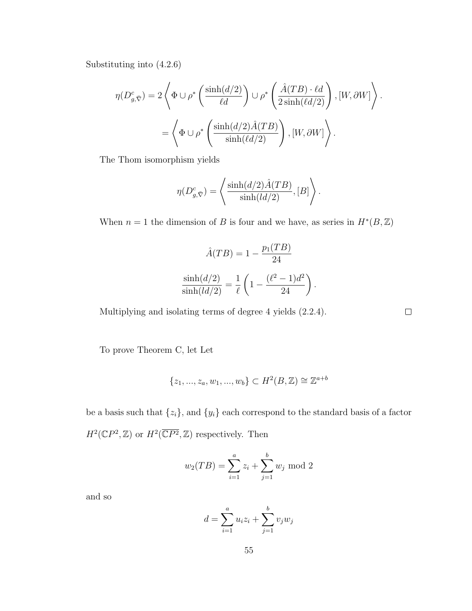Substituting into (4.2.6)

$$
\eta(D^c_{g,\bar{\nabla}}) = 2 \left\langle \Phi \cup \rho^* \left( \frac{\sinh(d/2)}{\ell d} \right) \cup \rho^* \left( \frac{\hat{A}(TB) \cdot \ell d}{2 \sinh(\ell d/2)} \right), [W, \partial W] \right\rangle.
$$
  
= 
$$
\left\langle \Phi \cup \rho^* \left( \frac{\sinh(d/2)\hat{A}(TB)}{\sinh(\ell d/2)} \right), [W, \partial W] \right\rangle.
$$

The Thom isomorphism yields

$$
\eta(D_{g,\bar{\nabla}}^c) = \left\langle \frac{\sinh(d/2)\hat{A}(TB)}{\sinh(ld/2)}, [B] \right\rangle
$$

.

 $\Box$ 

When  $n = 1$  the dimension of B is four and we have, as series in  $H^*(B, \mathbb{Z})$ 

$$
\hat{A}(TB) = 1 - \frac{p_1(TB)}{24}
$$

$$
\frac{\sinh(d/2)}{\sinh(ld/2)} = \frac{1}{\ell} \left( 1 - \frac{(\ell^2 - 1)d^2}{24} \right).
$$

Multiplying and isolating terms of degree 4 yields (2.2.4).

To prove Theorem C, let Let

$$
\{z_1, ..., z_a, w_1, ..., w_b\} \subset H^2(B, \mathbb{Z}) \cong \mathbb{Z}^{a+b}
$$

be a basis such that  $\{z_i\}$ , and  $\{y_i\}$  each correspond to the standard basis of a factor  $H^2(\mathbb{C}P^2,\mathbb{Z})$  or  $H^2(\overline{\mathbb{C}P^2},\mathbb{Z})$  respectively. Then

$$
w_2(TB) = \sum_{i=1}^{a} z_i + \sum_{j=1}^{b} w_j \mod 2
$$

and so

$$
d = \sum_{i=1}^{a} u_i z_i + \sum_{j=1}^{b} v_j w_j
$$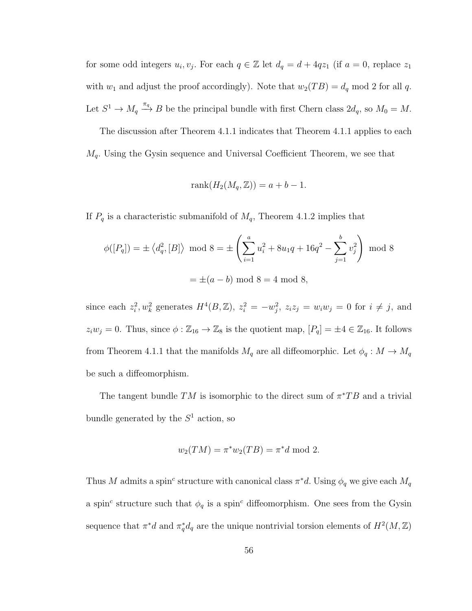for some odd integers  $u_i, v_j$ . For each  $q \in \mathbb{Z}$  let  $d_q = d + 4qz_1$  (if  $a = 0$ , replace  $z_1$ ) with  $w_1$  and adjust the proof accordingly). Note that  $w_2(TB) = d_q \text{ mod } 2$  for all q. Let  $S^1 \to M_q \stackrel{\pi_q}{\to} B$  be the principal bundle with first Chern class  $2d_q$ , so  $M_0 = M$ .

The discussion after Theorem 4.1.1 indicates that Theorem 4.1.1 applies to each  $M_q$ . Using the Gysin sequence and Universal Coefficient Theorem, we see that

$$
rank(H_2(M_q, \mathbb{Z})) = a + b - 1.
$$

If  $P_q$  is a characteristic submanifold of  $M_q$ , Theorem 4.1.2 implies that

$$
\phi([P_q]) = \pm \langle d_q^2, [B] \rangle \mod 8 = \pm \left( \sum_{i=1}^a u_i^2 + 8u_1q + 16q^2 - \sum_{j=1}^b v_j^2 \right) \mod 8
$$

$$
= \pm (a - b) \mod 8 = 4 \mod 8,
$$

since each  $z_i^2, w_k^2$  generates  $H^4(B, \mathbb{Z}), z_i^2 = -w_j^2, z_i z_j = w_i w_j = 0$  for  $i \neq j$ , and  $z_iw_j = 0$ . Thus, since  $\phi : \mathbb{Z}_{16} \to \mathbb{Z}_8$  is the quotient map,  $[P_q] = \pm 4 \in \mathbb{Z}_{16}$ . It follows from Theorem 4.1.1 that the manifolds  $M_q$  are all diffeomorphic. Let  $\phi_q : M \to M_q$ be such a diffeomorphism.

The tangent bundle TM is isomorphic to the direct sum of  $\pi^*TB$  and a trivial bundle generated by the  $S<sup>1</sup>$  action, so

$$
w_2(TM) = \pi^* w_2(TB) = \pi^* d \text{ mod } 2.
$$

Thus M admits a spin<sup>c</sup> structure with canonical class  $\pi^*d$ . Using  $\phi_q$  we give each  $M_q$ a spin<sup>c</sup> structure such that  $\phi_q$  is a spin<sup>c</sup> diffeomorphism. One sees from the Gysin sequence that  $\pi^*d$  and  $\pi_q^*d_q$  are the unique nontrivial torsion elements of  $H^2(M, \mathbb{Z})$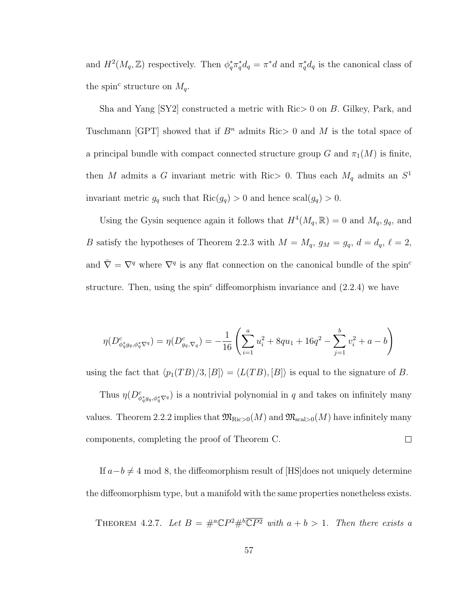and  $H^2(M_q, \mathbb{Z})$  respectively. Then  $\phi_q^* \pi_q^* d_q = \pi^* d$  and  $\pi_q^* d_q$  is the canonical class of the spin<sup>c</sup> structure on  $M_q$ .

Sha and Yang [SY2] constructed a metric with Ric> 0 on B. Gilkey, Park, and Tuschmann [GPT] showed that if  $B<sup>n</sup>$  admits Ric  $> 0$  and M is the total space of a principal bundle with compact connected structure group G and  $\pi_1(M)$  is finite, then M admits a G invariant metric with Ric > 0. Thus each  $M_q$  admits an  $S^1$ invariant metric  $g_q$  such that  $\text{Ric}(g_q) > 0$  and hence  $\text{scal}(g_q) > 0$ .

Using the Gysin sequence again it follows that  $H^4(M_q, \mathbb{R}) = 0$  and  $M_q, g_q$ , and B satisfy the hypotheses of Theorem 2.2.3 with  $M = M_q$ ,  $g_M = g_q$ ,  $d = d_q$ ,  $\ell = 2$ , and  $\bar{\nabla} = \nabla^q$  where  $\nabla^q$  is any flat connection on the canonical bundle of the spin<sup>c</sup> structure. Then, using the spin<sup>c</sup> diffeomorphism invariance and  $(2.2.4)$  we have

$$
\eta(D^c_{\phi_q^* g_q, \phi_q^* \nabla^q}) = \eta(D^c_{g_q, \nabla_q}) = -\frac{1}{16} \left( \sum_{i=1}^a u_i^2 + 8qu_1 + 16q^2 - \sum_{j=1}^b v_i^2 + a - b \right)
$$

using the fact that  $\langle p_1(TB)/3, [B] \rangle = \langle L(TB), [B] \rangle$  is equal to the signature of B.

Thus  $\eta(D^c_{\phi_q^*g_q, \phi_q^*\nabla^q})$  is a nontrivial polynomial in q and takes on infinitely many values. Theorem 2.2.2 implies that  $\mathfrak{M}_{\text{Ric}>0}(M)$  and  $\mathfrak{M}_{\text{scal}>0}(M)$  have infinitely many  $\Box$ components, completing the proof of Theorem C.

If  $a-b \neq 4 \mod 8$ , the diffeomorphism result of [HS]does not uniquely determine the diffeomorphism type, but a manifold with the same properties nonetheless exists.

THEOREM 4.2.7. Let  $B = \#^a \mathbb{C} P^2 \#^b \overline{\mathbb{C} P^2}$  with  $a + b > 1$ . Then there exists a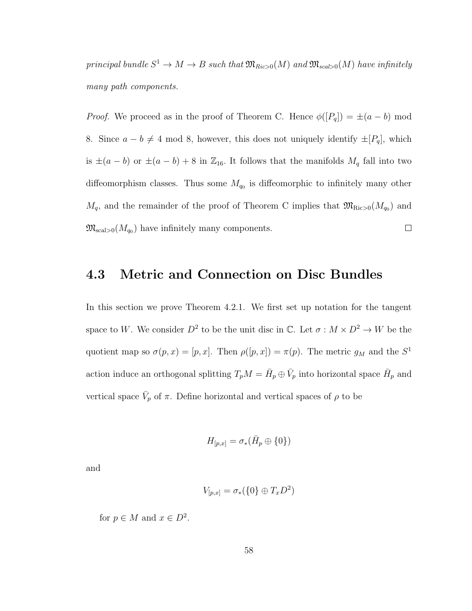principal bundle  $S^1 \to M \to B$  such that  $\mathfrak{M}_{Ric>0}(M)$  and  $\mathfrak{M}_{scal>0}(M)$  have infinitely many path components.

*Proof.* We proceed as in the proof of Theorem C. Hence  $\phi([P_q]) = \pm (a - b) \text{ mod }$ 8. Since  $a - b \neq 4 \mod 8$ , however, this does not uniquely identify  $\pm [P_q]$ , which is  $\pm(a-b)$  or  $\pm(a-b)+8$  in  $\mathbb{Z}_{16}$ . It follows that the manifolds  $M_q$  fall into two diffeomorphism classes. Thus some  $M_{q_0}$  is diffeomorphic to infinitely many other  $M_q$ , and the remainder of the proof of Theorem C implies that  $\mathfrak{M}_{\text{Ric}>0}(M_{q_0})$  and  $\mathfrak{M}_{\text{scal}>0}(M_{q_0})$  have infinitely many components.  $\Box$ 

## 4.3 Metric and Connection on Disc Bundles

In this section we prove Theorem 4.2.1. We first set up notation for the tangent space to W. We consider  $D^2$  to be the unit disc in  $\mathbb{C}$ . Let  $\sigma : M \times D^2 \to W$  be the quotient map so  $\sigma(p,x) = [p,x]$ . Then  $\rho([p,x]) = \pi(p)$ . The metric  $g_M$  and the  $S^1$ action induce an orthogonal splitting  $T_p M = \bar{H}_p \oplus \bar{V}_p$  into horizontal space  $\bar{H}_p$  and vertical space  $\bar{V}_p$  of  $\pi$ . Define horizontal and vertical spaces of  $\rho$  to be

$$
H_{[p,x]} = \sigma_*(\bar{H}_p \oplus \{0\})
$$

and

$$
V_{[p,x]} = \sigma_*(\{0\} \oplus T_x D^2)
$$

for  $p \in M$  and  $x \in D^2$ .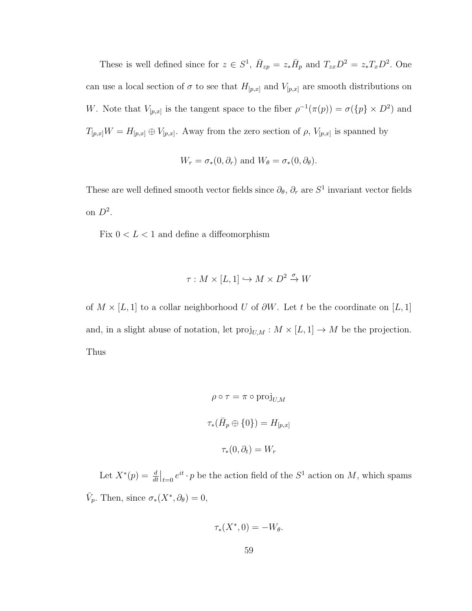These is well defined since for  $z \in S^1$ ,  $\bar{H}_{zp} = z_* \bar{H}_p$  and  $T_{zx}D^2 = z_*T_xD^2$ . One can use a local section of  $\sigma$  to see that  $H_{[p,x]}$  and  $V_{[p,x]}$  are smooth distributions on W. Note that  $V_{[p,x]}$  is the tangent space to the fiber  $\rho^{-1}(\pi(p)) = \sigma({p} \times D^2)$  and  $T_{[p,x]}W = H_{[p,x]} \oplus V_{[p,x]}$ . Away from the zero section of  $\rho$ ,  $V_{[p,x]}$  is spanned by

$$
W_r = \sigma_*(0, \partial_r)
$$
 and  $W_\theta = \sigma_*(0, \partial_\theta)$ .

These are well defined smooth vector fields since  $\partial_{\theta}$ ,  $\partial_{r}$  are  $S^{1}$  invariant vector fields on  $D^2$ .

Fix  $0 < L < 1$  and define a diffeomorphism

$$
\tau: M \times [L, 1] \hookrightarrow M \times D^2 \xrightarrow{\sigma} W
$$

of  $M \times [L, 1]$  to a collar neighborhood U of  $\partial W$ . Let t be the coordinate on [L, 1] and, in a slight abuse of notation, let  $\mathrm{proj}_{U,M}:M\times [L,1]\rightarrow M$  be the projection. Thus

$$
\rho \circ \tau = \pi \circ \text{proj}_{U,M}
$$

$$
\tau_*(\bar{H}_p \oplus \{0\}) = H_{[p,x]}
$$

$$
\tau_*(0, \partial_t) = W_r
$$

Let  $X^*(p) = \frac{d}{dt}\Big|_{t=0} e^{it} \cdot p$  be the action field of the  $S^1$  action on M, which spams  $\bar{V}_p$ . Then, since  $\sigma_*(X^*, \partial_\theta) = 0$ ,

$$
\tau_*(X^*,0) = -W_{\theta}.
$$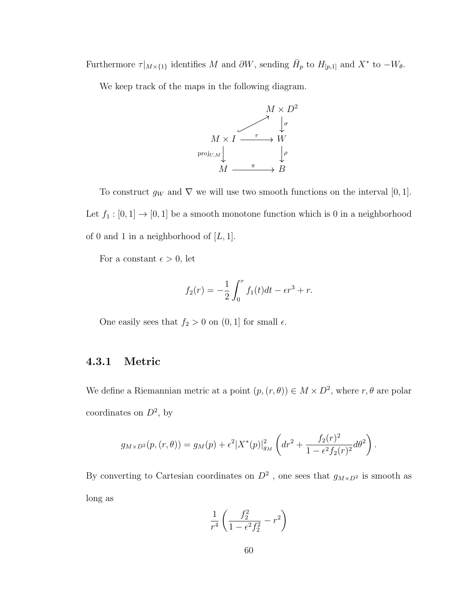Furthermore  $\tau|_{M\times\{1\}}$  identifies M and  $\partial W$ , sending  $\bar{H}_p$  to  $H_{[p,1]}$  and  $X^*$  to  $-W_\theta$ .

We keep track of the maps in the following diagram.



To construct  $g_W$  and  $\nabla$  we will use two smooth functions on the interval [0, 1]. Let  $f_1:[0,1]\rightarrow[0,1]$  be a smooth monotone function which is  $0$  in a neighborhood of 0 and 1 in a neighborhood of  $[L, 1]$ .

For a constant  $\epsilon > 0$ , let

$$
f_2(r) = -\frac{1}{2} \int_0^r f_1(t)dt - \epsilon r^3 + r.
$$

One easily sees that  $f_2 > 0$  on  $(0, 1]$  for small  $\epsilon$ .

### 4.3.1 Metric

We define a Riemannian metric at a point  $(p, (r, \theta)) \in M \times D^2$ , where  $r, \theta$  are polar coordinates on  $D^2$ , by

$$
g_{M\times D^2}(p,(r,\theta)) = g_M(p) + \epsilon^2 |X^*(p)|_{g_M}^2 \left( dr^2 + \frac{f_2(r)^2}{1 - \epsilon^2 f_2(r)^2} d\theta^2 \right).
$$

By converting to Cartesian coordinates on  $D^2$ , one sees that  $g_{M\times D^2}$  is smooth as long as

$$
\frac{1}{r^4} \left( \frac{f_2^2}{1 - \epsilon^2 f_2^2} - r^2 \right)
$$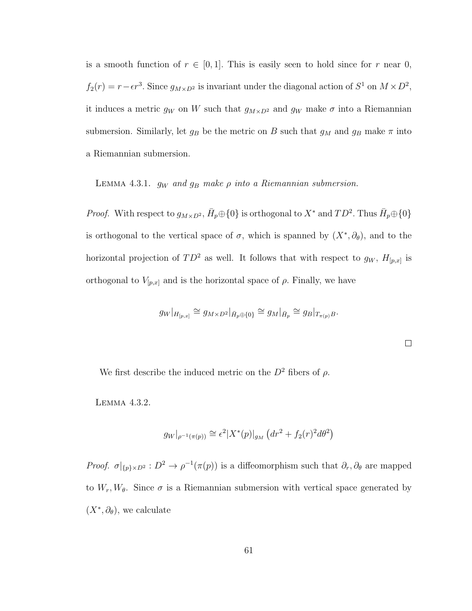is a smooth function of  $r \in [0, 1]$ . This is easily seen to hold since for r near 0,  $f_2(r) = r - \epsilon r^3$ . Since  $g_{M \times D^2}$  is invariant under the diagonal action of  $S^1$  on  $M \times D^2$ , it induces a metric  $g_W$  on W such that  $g_{M\times D^2}$  and  $g_W$  make  $\sigma$  into a Riemannian submersion. Similarly, let  $g_B$  be the metric on B such that  $g_M$  and  $g_B$  make  $\pi$  into a Riemannian submersion.

LEMMA 4.3.1.  $g_W$  and  $g_B$  make  $\rho$  into a Riemannian submersion.

*Proof.* With respect to  $g_{M\times D^2}$ ,  $\bar{H}_p \oplus \{0\}$  is orthogonal to  $X^*$  and  $TD^2$ . Thus  $\bar{H}_p \oplus \{0\}$ is orthogonal to the vertical space of  $\sigma$ , which is spanned by  $(X^*, \partial_{\theta})$ , and to the horizontal projection of  $TD^2$  as well. It follows that with respect to  $g_W$ ,  $H_{[p,x]}$  is orthogonal to  $V_{[p,x]}$  and is the horizontal space of  $\rho$ . Finally, we have

$$
g_W|_{H_{[p,x]}} \cong g_{M \times D^2}|_{\bar{H}_p \oplus \{0\}} \cong g_M|_{\bar{H}_p} \cong g_B|_{T_{\pi(p)}B}.
$$

 $\Box$ 

We first describe the induced metric on the  $D^2$  fibers of  $\rho$ .

Lemma 4.3.2.

$$
g_W|_{\rho^{-1}(\pi(p))} \cong \epsilon^2 |X^*(p)|_{g_M} (dr^2 + f_2(r)^2 d\theta^2)
$$

Proof.  $\sigma|_{\{p\}\times D^2}: D^2 \to \rho^{-1}(\pi(p))$  is a diffeomorphism such that  $\partial_r, \partial_\theta$  are mapped to  $W_r, W_\theta$ . Since  $\sigma$  is a Riemannian submersion with vertical space generated by  $(X^*, \partial_{\theta})$ , we calculate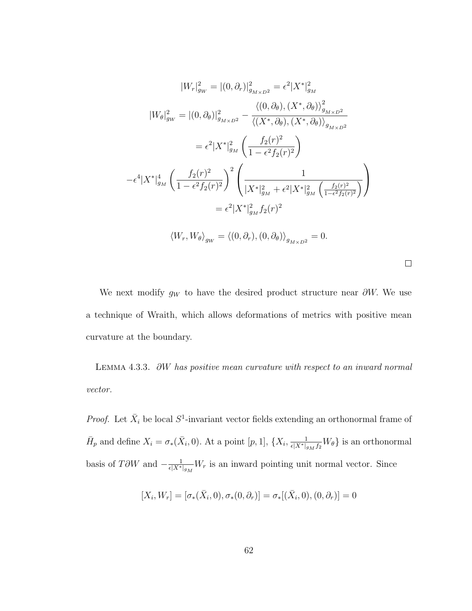$$
|W_r|_{g_W}^2 = |(0, \partial_r)|_{g_{M \times D^2}}^2 = \epsilon^2 |X^*|_{g_M}^2
$$
  
\n
$$
|W_{\theta}|_{g_W}^2 = |(0, \partial_{\theta})|_{g_{M \times D^2}}^2 - \frac{\langle (0, \partial_{\theta}), (X^*, \partial_{\theta}) \rangle_{g_{M \times D^2}}^2}{\langle (X^*, \partial_{\theta}), (X^*, \partial_{\theta}) \rangle_{g_{M \times D^2}}}
$$
  
\n
$$
= \epsilon^2 |X^*|_{g_M}^2 \left( \frac{f_2(r)^2}{1 - \epsilon^2 f_2(r)^2} \right)
$$
  
\n
$$
- \epsilon^4 |X^*|_{g_M}^4 \left( \frac{f_2(r)^2}{1 - \epsilon^2 f_2(r)^2} \right)^2 \left( \frac{1}{|X^*|_{g_M}^2 + \epsilon^2 |X^*|_{g_M}^2} \left( \frac{f_2(r)^2}{1 - \epsilon^2 f_2(r)^2} \right) \right)
$$
  
\n
$$
= \epsilon^2 |X^*|_{g_M}^2 f_2(r)^2
$$
  
\n
$$
\langle W_r, W_{\theta} \rangle_{g_W} = \langle (0, \partial_r), (0, \partial_{\theta}) \rangle_{g_{M \times D^2}} = 0.
$$

 $\Box$ 

We next modify  $g_W$  to have the desired product structure near  $\partial W$ . We use a technique of Wraith, which allows deformations of metrics with positive mean curvature at the boundary.

Lemma 4.3.3. ∂W has positive mean curvature with respect to an inward normal vector.

*Proof.* Let  $\bar{X}_i$  be local  $S^1$ -invariant vector fields extending an orthonormal frame of  $\bar{H}_p$  and define  $X_i = \sigma_*(\bar{X}_i, 0)$ . At a point  $[p, 1]$ ,  $\{X_i, \frac{1}{\epsilon |X^*|g_M f_2}W_{\theta}\}\)$  is an orthonormal basis of T∂W and  $-\frac{1}{e^{\frac{1}{x}}}$  $\frac{1}{\epsilon |X^*|_{g_M}} W_r$  is an inward pointing unit normal vector. Since

$$
[X_i, W_r] = [\sigma_*(\bar{X}_i, 0), \sigma_*(0, \partial_r)] = \sigma_*[(\bar{X}_i, 0), (0, \partial_r)] = 0
$$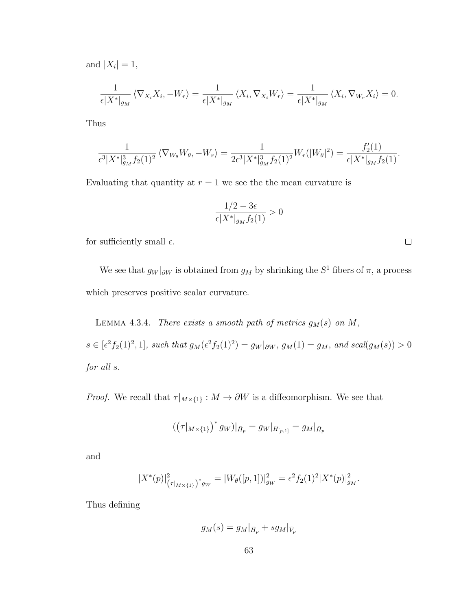and  $|X_i|=1$ ,

$$
\frac{1}{\epsilon |X^*|_{g_M}} \langle \nabla_{X_i} X_i, -W_r \rangle = \frac{1}{\epsilon |X^*|_{g_M}} \langle X_i, \nabla_{X_i} W_r \rangle = \frac{1}{\epsilon |X^*|_{g_M}} \langle X_i, \nabla_{W_r} X_i \rangle = 0.
$$

Thus

$$
\frac{1}{\epsilon^3 |X^*|_{g_M}^3 f_2(1)^2} \langle \nabla_{W_\theta} W_\theta, -W_r \rangle = \frac{1}{2\epsilon^3 |X^*|_{g_M}^3 f_2(1)^2} W_r(|W_\theta|^2) = \frac{f'_2(1)}{\epsilon |X^*|_{g_M} f_2(1)}.
$$

Evaluating that quantity at  $r = 1$  we see the the mean curvature is

$$
\frac{1/2-3\epsilon}{\epsilon|X^*|_{g_M}f_2(1)}>0
$$

for sufficiently small  $\epsilon$ .

We see that  $g_W|_{\partial W}$  is obtained from  $g_M$  by shrinking the  $S^1$  fibers of  $\pi$ , a process which preserves positive scalar curvature.

LEMMA 4.3.4. There exists a smooth path of metrics  $g_M(s)$  on  $M$ ,  $s \in [\epsilon^2 f_2(1)^2, 1]$ , such that  $g_M(\epsilon^2 f_2(1)^2) = g_W|_{\partial W}$ ,  $g_M(1) = g_M$ , and  $scal(g_M(s)) > 0$ for all s.

*Proof.* We recall that  $\tau|_{M\times \{1\}}:M\to \partial W$  is a diffeomorphism. We see that

$$
\left(\left(\tau|_{M\times\{1\}}\right)^*g_W\right)|_{\bar{H}_p}=g_W|_{H_{[p,1]}}=g_M|_{\bar{H}_p}
$$

and

$$
|X^*(p)|^2_{(\tau|_{M\times\{1\}})^*g_W}=|W_\theta([p,1])|^2_{g_W}=\epsilon^2f_2(1)^2|X^*(p)|^2_{g_M}.
$$

Thus defining

$$
g_M(s)=g_M|_{\bar H_p}+sg_M|_{\bar V_p}
$$

 $\Box$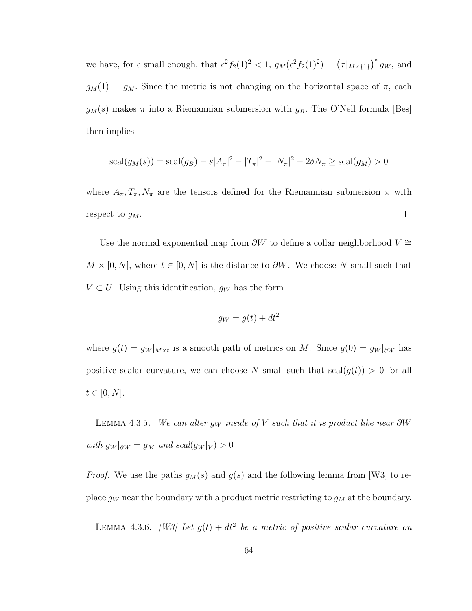we have, for  $\epsilon$  small enough, that  $\epsilon^2 f_2(1)^2 < 1$ ,  $g_M(\epsilon^2 f_2(1)^2) = (\tau|_{M \times \{1\}})^* g_W$ , and  $g_M(1) = g_M$ . Since the metric is not changing on the horizontal space of  $\pi$ , each  $g_M(s)$  makes  $\pi$  into a Riemannian submersion with  $g_B$ . The O'Neil formula [Bes] then implies

$$
scal(g_M(s)) = scal(g_B) - s|A_{\pi}|^2 - |T_{\pi}|^2 - |N_{\pi}|^2 - 2\delta N_{\pi} \ge scal(g_M) > 0
$$

where  $A_{\pi}, T_{\pi}, N_{\pi}$  are the tensors defined for the Riemannian submersion  $\pi$  with  $\Box$ respect to  $g_M$ .

Use the normal exponential map from  $\partial W$  to define a collar neighborhood  $V \cong$  $M \times [0, N]$ , where  $t \in [0, N]$  is the distance to  $\partial W$ . We choose N small such that  $V \subset U$ . Using this identification,  $g_W$  has the form

$$
g_W = g(t) + dt^2
$$

where  $g(t) = g_W|_{M \times t}$  is a smooth path of metrics on M. Since  $g(0) = g_W|_{\partial W}$  has positive scalar curvature, we can choose N small such that  $\text{scal}(g(t)) > 0$  for all  $t \in [0, N].$ 

LEMMA 4.3.5. We can alter  $g_W$  inside of V such that it is product like near  $\partial W$ with  $g_W|_{\partial W} = g_M$  and  $scal(g_W|_V) > 0$ 

*Proof.* We use the paths  $g_M(s)$  and  $g(s)$  and the following lemma from [W3] to replace  $g_W$  near the boundary with a product metric restricting to  $g_M$  at the boundary.

LEMMA 4.3.6. [W3] Let  $g(t) + dt^2$  be a metric of positive scalar curvature on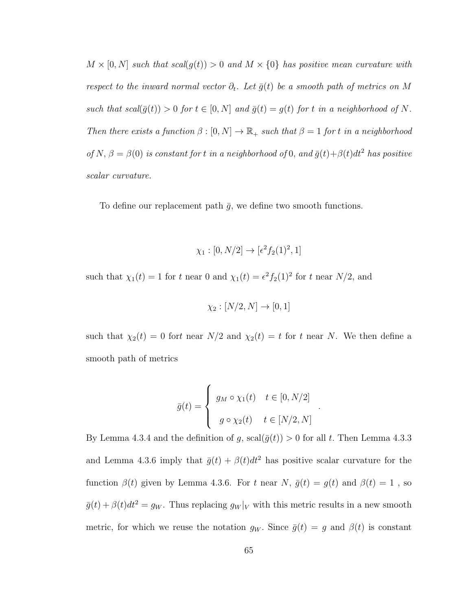$M \times [0, N]$  such that scal( $g(t)$ ) > 0 and  $M \times \{0\}$  has positive mean curvature with respect to the inward normal vector  $\partial_t$ . Let  $\bar{g}(t)$  be a smooth path of metrics on M such that  $scal(\bar{g}(t)) > 0$  for  $t \in [0, N]$  and  $\bar{g}(t) = g(t)$  for t in a neighborhood of N. Then there exists a function  $\beta : [0, N] \to \mathbb{R}_+$  such that  $\beta = 1$  for t in a neighborhood of N,  $\beta = \beta(0)$  is constant for t in a neighborhood of 0, and  $\bar{g}(t) + \beta(t)dt^2$  has positive scalar curvature.

To define our replacement path  $\bar{g}$ , we define two smooth functions.

$$
\chi_1 : [0, N/2] \to [\epsilon^2 f_2(1)^2, 1]
$$

such that  $\chi_1(t) = 1$  for t near 0 and  $\chi_1(t) = \epsilon^2 f_2(1)^2$  for t near  $N/2$ , and

$$
\chi_2 : [N/2, N] \to [0, 1]
$$

such that  $\chi_2(t) = 0$  fort near  $N/2$  and  $\chi_2(t) = t$  for t near N. We then define a smooth path of metrics

$$
\bar{g}(t) = \begin{cases} g_M \circ \chi_1(t) & t \in [0, N/2] \\ g \circ \chi_2(t) & t \in [N/2, N] \end{cases}
$$

.

By Lemma 4.3.4 and the definition of g,  $\operatorname{scal}(\bar{g}(t)) > 0$  for all t. Then Lemma 4.3.3 and Lemma 4.3.6 imply that  $\bar{g}(t) + \beta(t)dt^2$  has positive scalar curvature for the function  $\beta(t)$  given by Lemma 4.3.6. For t near N,  $\bar{g}(t) = g(t)$  and  $\beta(t) = 1$ , so  $\bar{g}(t) + \beta(t)dt^2 = g_W$ . Thus replacing  $g_W|_V$  with this metric results in a new smooth metric, for which we reuse the notation  $g_W$ . Since  $\bar{g}(t) = g$  and  $\beta(t)$  is constant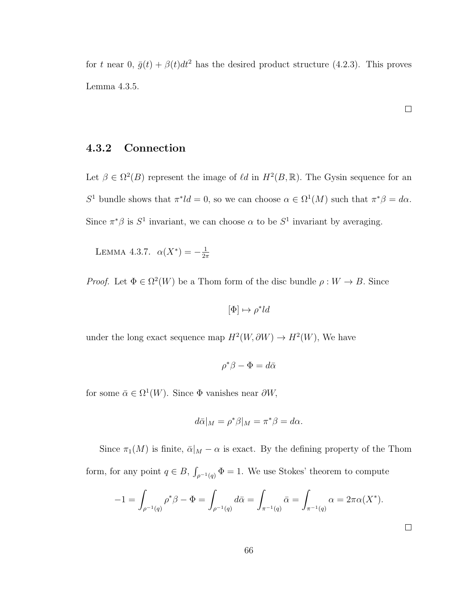for t near 0,  $\bar{g}(t) + \beta(t)dt^2$  has the desired product structure (4.2.3). This proves Lemma 4.3.5.

### 4.3.2 Connection

Let  $\beta \in \Omega^2(B)$  represent the image of  $\ell d$  in  $H^2(B,\mathbb{R})$ . The Gysin sequence for an S<sup>1</sup> bundle shows that  $\pi^*ld = 0$ , so we can choose  $\alpha \in \Omega^1(M)$  such that  $\pi^*\beta = d\alpha$ . Since  $\pi^*\beta$  is  $S^1$  invariant, we can choose  $\alpha$  to be  $S^1$  invariant by averaging.

LEMMA 4.3.7.  $\alpha(X^*) = -\frac{1}{2i}$  $2\pi$ 

*Proof.* Let  $\Phi \in \Omega^2(W)$  be a Thom form of the disc bundle  $\rho: W \to B$ . Since

$$
[\Phi] \mapsto \rho^*ld
$$

under the long exact sequence map  $H^2(W, \partial W) \to H^2(W)$ , We have

$$
\rho^*\beta - \Phi = d\bar{\alpha}
$$

for some  $\bar{\alpha} \in \Omega^1(W)$ . Since  $\Phi$  vanishes near  $\partial W$ ,

$$
d\bar{\alpha}|_M = \rho^* \beta|_M = \pi^* \beta = d\alpha.
$$

Since  $\pi_1(M)$  is finite,  $\bar{\alpha}|_M - \alpha$  is exact. By the defining property of the Thom form, for any point  $q \in B$ ,  $\int_{\rho^{-1}(q)} \Phi = 1$ . We use Stokes' theorem to compute

$$
-1 = \int_{\rho^{-1}(q)} \rho^* \beta - \Phi = \int_{\rho^{-1}(q)} d\bar{\alpha} = \int_{\pi^{-1}(q)} \bar{\alpha} = \int_{\pi^{-1}(q)} \alpha = 2\pi \alpha(X^*).
$$

 $\Box$ 

 $\Box$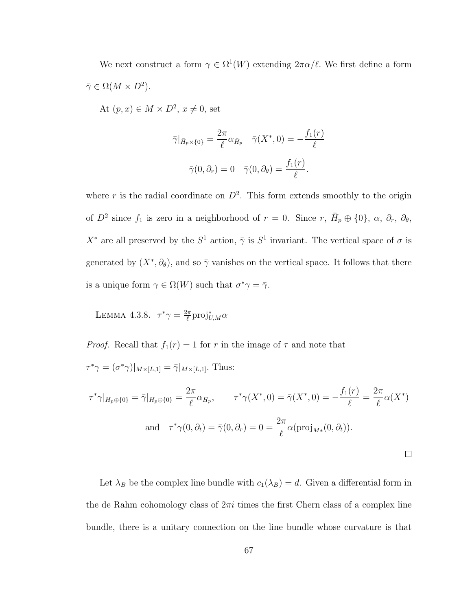We next construct a form  $\gamma \in \Omega^1(W)$  extending  $2\pi \alpha/\ell$ . We first define a form  $\bar{\gamma} \in \Omega(M \times D^2).$ 

At  $(p, x) \in M \times D^2$ ,  $x \neq 0$ , set

$$
\bar{\gamma}|_{\bar{H}_p \times \{0\}} = \frac{2\pi}{\ell} \alpha_{\bar{H}_p} \quad \bar{\gamma}(X^*, 0) = -\frac{f_1(r)}{\ell}
$$

$$
\bar{\gamma}(0, \partial_r) = 0 \quad \bar{\gamma}(0, \partial_\theta) = \frac{f_1(r)}{\ell}.
$$

where r is the radial coordinate on  $D^2$ . This form extends smoothly to the origin of  $D^2$  since  $f_1$  is zero in a neighborhood of  $r = 0$ . Since  $r, \bar{H}_p \oplus \{0\}, \alpha, \partial_r, \partial_\theta$ ,  $X^*$  are all preserved by the  $S^1$  action,  $\bar{\gamma}$  is  $S^1$  invariant. The vertical space of  $\sigma$  is generated by  $(X^*, \partial_{\theta})$ , and so  $\bar{\gamma}$  vanishes on the vertical space. It follows that there is a unique form  $\gamma \in \Omega(W)$  such that  $\sigma^* \gamma = \overline{\gamma}$ .

LEMMA 4.3.8.  $\tau^*\gamma = \frac{2\pi}{\ell}$  $\frac{2\pi}{\ell}$ proj $^*_{U,M} \alpha$ 

*Proof.* Recall that  $f_1(r) = 1$  for r in the image of  $\tau$  and note that

 $\tau^*\gamma = (\sigma^*\gamma)|_{M \times [L,1]} = \bar{\gamma}|_{M \times [L,1]}$ . Thus:

$$
\tau^* \gamma|_{\bar{H}_p \oplus \{0\}} = \bar{\gamma}|_{\bar{H}_p \oplus \{0\}} = \frac{2\pi}{\ell} \alpha_{\bar{H}_p}, \qquad \tau^* \gamma(X^*, 0) = \bar{\gamma}(X^*, 0) = -\frac{f_1(r)}{\ell} = \frac{2\pi}{\ell} \alpha(X^*)
$$
  
and 
$$
\tau^* \gamma(0, \partial_t) = \bar{\gamma}(0, \partial_r) = 0 = \frac{2\pi}{\ell} \alpha(\text{proj}_{M^*}(0, \partial_t)).
$$

Let  $\lambda_B$  be the complex line bundle with  $c_1(\lambda_B) = d$ . Given a differential form in the de Rahm cohomology class of  $2\pi i$  times the first Chern class of a complex line bundle, there is a unitary connection on the line bundle whose curvature is that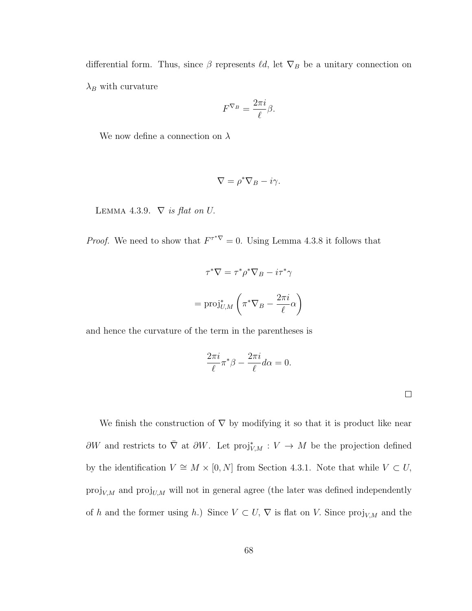differential form. Thus, since  $\beta$  represents  $\ell d$ , let  $\nabla_B$  be a unitary connection on  $\lambda_B$  with curvature

$$
F^{\nabla_B} = \frac{2\pi i}{\ell} \beta.
$$

We now define a connection on  $\lambda$ 

$$
\nabla = \rho^* \nabla_B - i\gamma.
$$

LEMMA 4.3.9.  $\nabla$  is flat on U.

*Proof.* We need to show that  $F^{\tau^*\nabla} = 0$ . Using Lemma 4.3.8 it follows that

$$
\tau^* \nabla = \tau^* \rho^* \nabla_B - i \tau^* \gamma
$$

$$
= \text{proj}_{U,M}^* \left( \pi^* \nabla_B - \frac{2\pi i}{\ell} \alpha \right)
$$

and hence the curvature of the term in the parentheses is

$$
\frac{2\pi i}{\ell}\pi^*\beta - \frac{2\pi i}{\ell}d\alpha = 0.
$$

 $\Box$ 

We finish the construction of  $\nabla$  by modifying it so that it is product like near  $\partial W$  and restricts to  $\overline{\nabla}$  at  $\partial W$ . Let  $proj_{V,M}^* : V \to M$  be the projection defined by the identification  $V \cong M \times [0, N]$  from Section 4.3.1. Note that while  $V \subset U$ ,  $\mathrm{proj}_{V,M}$  and  $\mathrm{proj}_{U,M}$  will not in general agree (the later was defined independently of h and the former using h.) Since  $V \subset U$ ,  $\nabla$  is flat on V. Since  $\text{proj}_{V,M}$  and the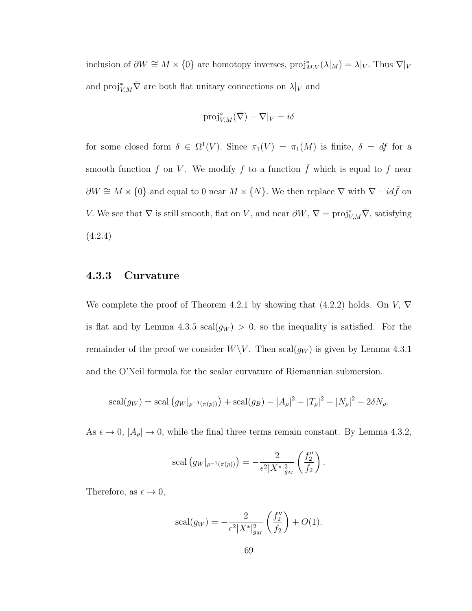inclusion of  $\partial W \cong M \times \{0\}$  are homotopy inverses,  $proj_{M,V}^*(\lambda|_M) = \lambda|_V$ . Thus  $\nabla|_V$ and  $\text{proj}_{V,M}^* \bar{\nabla}$  are both flat unitary connections on  $\lambda|_V$  and

$$
\text{proj}_{V,M}^*(\bar{\nabla}) - \nabla|_V = i\delta
$$

for some closed form  $\delta \in \Omega^1(V)$ . Since  $\pi_1(V) = \pi_1(M)$  is finite,  $\delta = df$  for a smooth function f on V. We modify f to a function  $\bar{f}$  which is equal to f near  $\partial W \cong M \times \{0\}$  and equal to 0 near  $M \times \{N\}$ . We then replace  $\nabla$  with  $\nabla + id\bar{f}$  on V. We see that  $\nabla$  is still smooth, flat on V, and near  $\partial W$ ,  $\nabla = \text{proj}_{V,M}^* \overline{\nabla}$ , satisfying (4.2.4)

## 4.3.3 Curvature

We complete the proof of Theorem 4.2.1 by showing that  $(4.2.2)$  holds. On V,  $\nabla$ is flat and by Lemma 4.3.5  $\text{scal}(g_W) > 0$ , so the inequality is satisfied. For the remainder of the proof we consider  $W\backslash V$ . Then  $\text{scal}(g_W)$  is given by Lemma 4.3.1 and the O'Neil formula for the scalar curvature of Riemannian submersion.

$$
scal(g_W) = scal(g_W|_{\rho^{-1}(\pi(p))}) + scal(g_B) - |A_{\rho}|^2 - |T_{\rho}|^2 - |N_{\rho}|^2 - 2\delta N_{\rho}.
$$

As  $\epsilon \to 0$ ,  $|A_{\rho}| \to 0$ , while the final three terms remain constant. By Lemma 4.3.2,

scal 
$$
(g_W|_{\rho^{-1}(\pi(p))}) = -\frac{2}{\epsilon^2 |X^*|_{g_M}^2} \left(\frac{f_2''}{f_2}\right).
$$

Therefore, as  $\epsilon \to 0$ ,

scal
$$
(g_W)
$$
 =  $-\frac{2}{\epsilon^2 |X^*|_{g_M}^2} \left(\frac{f_2''}{f_2}\right) + O(1).$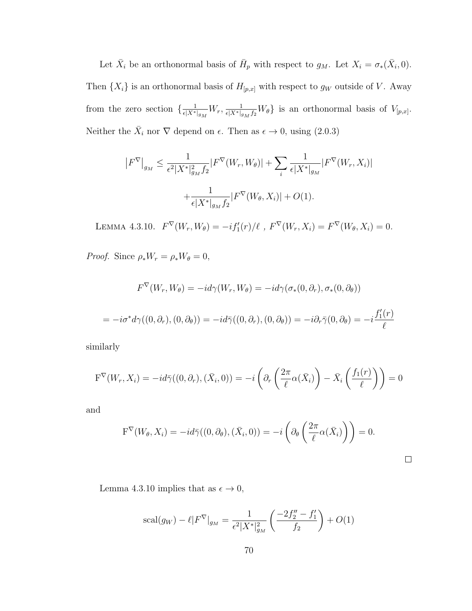Let  $\bar{X}_i$  be an orthonormal basis of  $\bar{H}_p$  with respect to  $g_M$ . Let  $X_i = \sigma_*(\bar{X}_i, 0)$ . Then  $\{X_i\}$  is an orthonormal basis of  $H_{[p,x]}$  with respect to  $g_W$  outside of V. Away from the zero section  $\frac{1}{\epsilon^{N^*}}$  $\frac{1}{\epsilon |X^*|_{g_M}} W_r, \frac{1}{\epsilon |X^*|_{g_M} f_2} W_\theta$  is an orthonormal basis of  $V_{[p,x]}$ . Neither the  $\bar{X}_i$  nor  $\nabla$  depend on  $\epsilon$ . Then as  $\epsilon \to 0$ , using (2.0.3)

$$
|F^{\nabla}|_{g_M} \leq \frac{1}{\epsilon^2 |X^*|_{g_M}^2 f_2} |F^{\nabla}(W_r, W_\theta)| + \sum_i \frac{1}{\epsilon |X^*|_{g_M}} |F^{\nabla}(W_r, X_i)|
$$

$$
+ \frac{1}{\epsilon |X^*|_{g_M} f_2} |F^{\nabla}(W_\theta, X_i)| + O(1).
$$

LEMMA 4.3.10.  $F^{\nabla}(W_r, W_{\theta}) = -i f'_1(r) / \ell$ ,  $F^{\nabla}(W_r, X_i) = F^{\nabla}(W_{\theta}, X_i) = 0$ .

Proof. Since  $\rho_* W_r = \rho_* W_\theta = 0$ ,

$$
F^{\nabla}(W_r, W_{\theta}) = -id\gamma(W_r, W_{\theta}) = -id\gamma(\sigma_*(0, \partial_r), \sigma_*(0, \partial_{\theta}))
$$
  
=  $-i\sigma^*d\gamma((0, \partial_r), (0, \partial_{\theta})) = -id\bar{\gamma}((0, \partial_r), (0, \partial_{\theta})) = -i\partial_r\bar{\gamma}(0, \partial_{\theta}) = -i\frac{f'_1(r)}{\ell}$ 

similarly

$$
\mathbf{F}^{\nabla}(W_r, X_i) = -id\bar{\gamma}((0, \partial_r), (\bar{X}_i, 0)) = -i\left(\partial_r\left(\frac{2\pi}{\ell}\alpha(\bar{X}_i)\right) - \bar{X}_i\left(\frac{f_1(r)}{\ell}\right)\right) = 0
$$

and

$$
F^{\nabla}(W_{\theta}, X_i) = -id\bar{\gamma}((0, \partial_{\theta}), (\bar{X}_i, 0)) = -i\left(\partial_{\theta}\left(\frac{2\pi}{\ell}\alpha(\bar{X}_i)\right)\right) = 0.
$$

Lemma 4.3.10 implies that as  $\epsilon \to 0,$ 

$$
scal(g_W) - \ell |F^{\nabla}|_{g_M} = \frac{1}{\epsilon^2 |X^*|_{g_M}^2} \left( \frac{-2f_2'' - f_1'}{f_2} \right) + O(1)
$$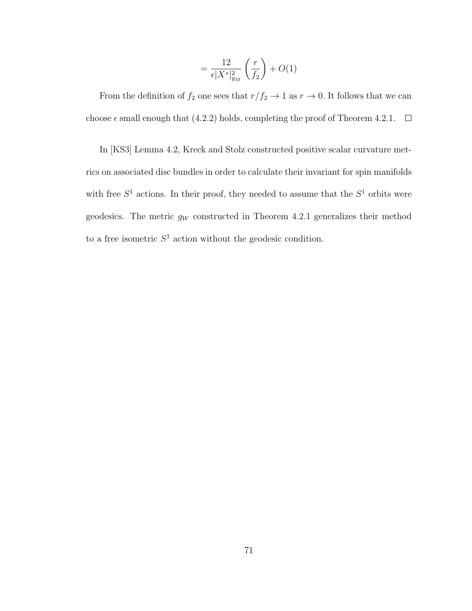$$
= \frac{12}{\epsilon |X^*|_{g_M}^2} \left(\frac{r}{f_2}\right) + O(1)
$$

From the definition of  $f_2$  one sees that  $r/f_2 \to 1$  as  $r \to 0$ . It follows that we can choose  $\epsilon$  small enough that (4.2.2) holds, completing the proof of Theorem 4.2.1.  $\Box$ 

In [KS3] Lemma 4.2, Kreck and Stolz constructed positive scalar curvature metrics on associated disc bundles in order to calculate their invariant for spin manifolds with free  $S^1$  actions. In their proof, they needed to assume that the  $S^1$  orbits were geodesics. The metric  $g_W$  constructed in Theorem 4.2.1 generalizes their method to a free isometric  $S<sup>1</sup>$  action without the geodesic condition.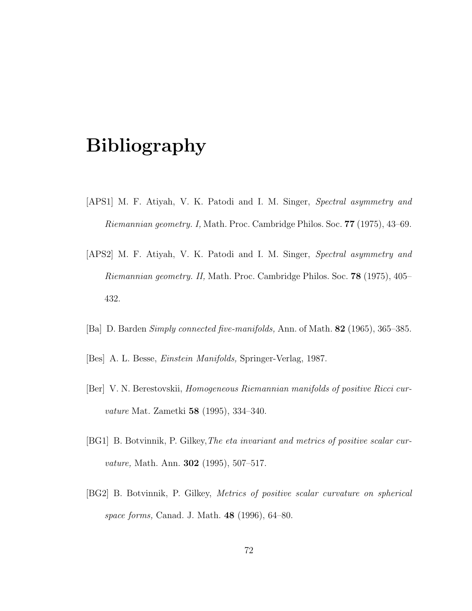## Bibliography

- [APS1] M. F. Atiyah, V. K. Patodi and I. M. Singer, Spectral asymmetry and Riemannian geometry. I, Math. Proc. Cambridge Philos. Soc. 77 (1975), 43–69.
- [APS2] M. F. Atiyah, V. K. Patodi and I. M. Singer, Spectral asymmetry and Riemannian geometry. II, Math. Proc. Cambridge Philos. Soc. 78 (1975), 405– 432.
- [Ba] D. Barden Simply connected five-manifolds, Ann. of Math. 82 (1965), 365–385.
- [Bes] A. L. Besse, Einstein Manifolds, Springer-Verlag, 1987.
- [Ber] V. N. Berestovskii, Homogeneous Riemannian manifolds of positive Ricci curvature Mat. Zametki 58 (1995), 334–340.
- [BG1] B. Botvinnik, P. Gilkey,The eta invariant and metrics of positive scalar curvature, Math. Ann. **302** (1995), 507–517.
- [BG2] B. Botvinnik, P. Gilkey, Metrics of positive scalar curvature on spherical space forms, Canad. J. Math. 48 (1996), 64–80.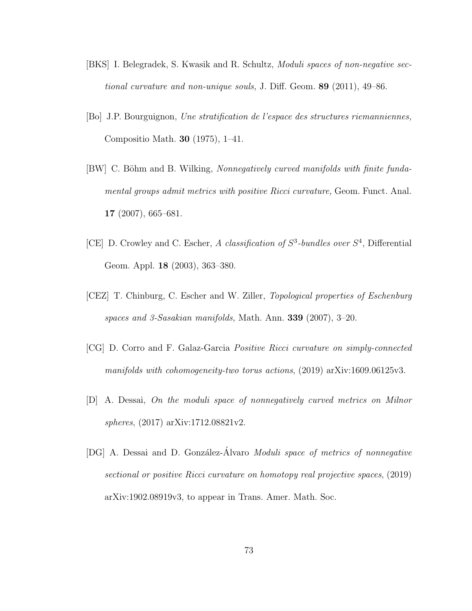- [BKS] I. Belegradek, S. Kwasik and R. Schultz, Moduli spaces of non-negative sectional curvature and non-unique souls, J. Diff. Geom. 89 (2011), 49–86.
- [Bo] J.P. Bourguignon, Une stratification de l'espace des structures riemanniennes, Compositio Math. 30 (1975), 1–41.
- [BW] C. Böhm and B. Wilking, *Nonnegatively curved manifolds with finite funda*mental groups admit metrics with positive Ricci curvature, Geom. Funct. Anal. 17 (2007), 665–681.
- [CE] D. Crowley and C. Escher, A classification of  $S^3$ -bundles over  $S^4$ , Differential Geom. Appl. 18 (2003), 363–380.
- [CEZ] T. Chinburg, C. Escher and W. Ziller, Topological properties of Eschenburg spaces and 3-Sasakian manifolds, Math. Ann. 339 (2007), 3–20.
- [CG] D. Corro and F. Galaz-Garcia Positive Ricci curvature on simply-connected manifolds with cohomogeneity-two torus actions, (2019) arXiv:1609.06125v3.
- [D] A. Dessai, On the moduli space of nonnegatively curved metrics on Milnor spheres, (2017) arXiv:1712.08821v2.
- [DG] A. Dessai and D. González-Álvaro Moduli space of metrics of nonnegative sectional or positive Ricci curvature on homotopy real projective spaces, (2019) arXiv:1902.08919v3, to appear in Trans. Amer. Math. Soc.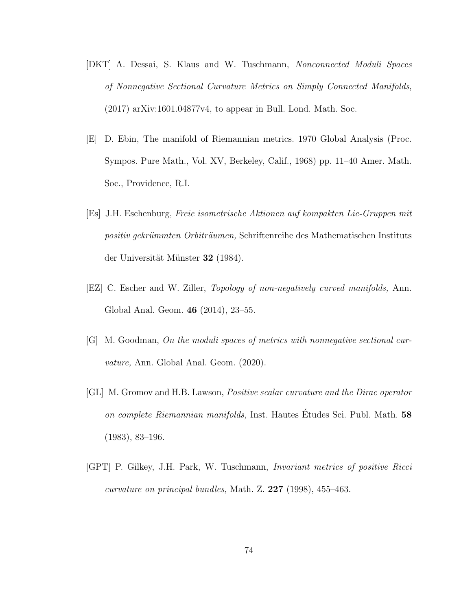- [DKT] A. Dessai, S. Klaus and W. Tuschmann, Nonconnected Moduli Spaces of Nonnegative Sectional Curvature Metrics on Simply Connected Manifolds, (2017) arXiv:1601.04877v4, to appear in Bull. Lond. Math. Soc.
- [E] D. Ebin, The manifold of Riemannian metrics. 1970 Global Analysis (Proc. Sympos. Pure Math., Vol. XV, Berkeley, Calif., 1968) pp. 11–40 Amer. Math. Soc., Providence, R.I.
- [Es] J.H. Eschenburg, Freie isometrische Aktionen auf kompakten Lie-Gruppen mit positiv gekrümmten Orbiträumen, Schriftenreihe des Mathematischen Instituts der Universität Münster 32 (1984).
- [EZ] C. Escher and W. Ziller, Topology of non-negatively curved manifolds, Ann. Global Anal. Geom. 46 (2014), 23–55.
- [G] M. Goodman, On the moduli spaces of metrics with nonnegative sectional curvature, Ann. Global Anal. Geom. (2020).
- [GL] M. Gromov and H.B. Lawson, Positive scalar curvature and the Dirac operator on complete Riemannian manifolds, Inst. Hautes Études Sci. Publ. Math. 58 (1983), 83–196.
- [GPT] P. Gilkey, J.H. Park, W. Tuschmann, Invariant metrics of positive Ricci curvature on principal bundles, Math. Z. 227 (1998), 455–463.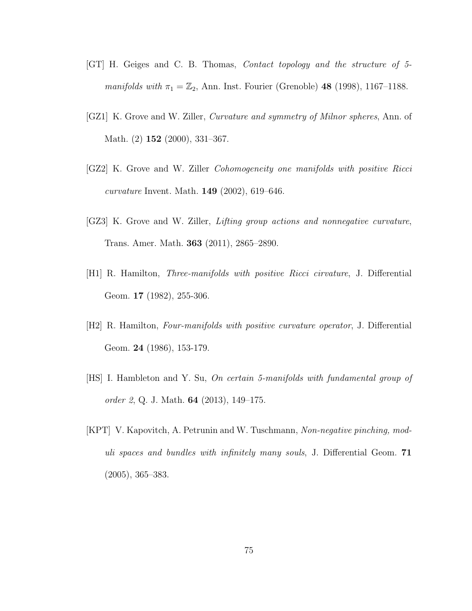- [GT] H. Geiges and C. B. Thomas, Contact topology and the structure of 5 manifolds with  $\pi_1 = \mathbb{Z}_2$ , Ann. Inst. Fourier (Grenoble) 48 (1998), 1167-1188.
- [GZ1] K. Grove and W. Ziller, Curvature and symmetry of Milnor spheres, Ann. of Math. (2) **152** (2000), 331-367.
- [GZ2] K. Grove and W. Ziller Cohomogeneity one manifolds with positive Ricci curvature Invent. Math. 149 (2002), 619–646.
- [GZ3] K. Grove and W. Ziller, Lifting group actions and nonnegative curvature, Trans. Amer. Math. 363 (2011), 2865–2890.
- [H1] R. Hamilton, Three-manifolds with positive Ricci cirvature, J. Differential Geom. **17** (1982), 255-306.
- [H2] R. Hamilton, Four-manifolds with positive curvature operator, J. Differential Geom. **24** (1986), 153-179.
- [HS] I. Hambleton and Y. Su, On certain 5-manifolds with fundamental group of order 2, Q. J. Math. **64** (2013), 149–175.
- [KPT] V. Kapovitch, A. Petrunin and W. Tuschmann, Non-negative pinching, moduli spaces and bundles with infinitely many souls, J. Differential Geom. 71 (2005), 365–383.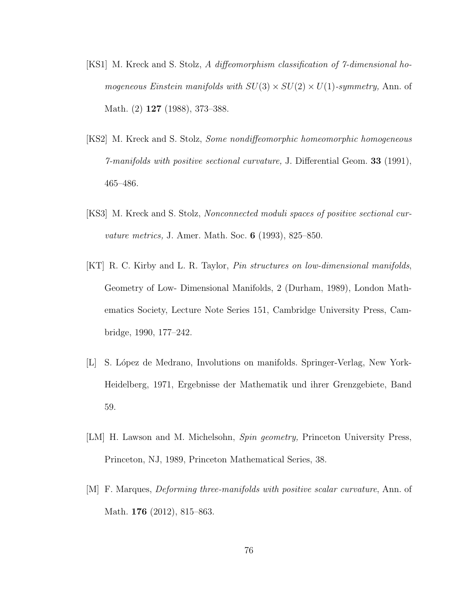- [KS1] M. Kreck and S. Stolz, A diffeomorphism classification of 7-dimensional homogeneous Einstein manifolds with  $SU(3) \times SU(2) \times U(1)$ -symmetry, Ann. of Math. (2) 127 (1988), 373–388.
- [KS2] M. Kreck and S. Stolz, Some nondiffeomorphic homeomorphic homogeneous 7-manifolds with positive sectional curvature, J. Differential Geom. 33 (1991), 465–486.
- [KS3] M. Kreck and S. Stolz, Nonconnected moduli spaces of positive sectional curvature metrics, J. Amer. Math. Soc. 6 (1993), 825–850.
- [KT] R. C. Kirby and L. R. Taylor, Pin structures on low-dimensional manifolds, Geometry of Low- Dimensional Manifolds, 2 (Durham, 1989), London Mathematics Society, Lecture Note Series 151, Cambridge University Press, Cambridge, 1990, 177–242.
- [L] S. López de Medrano, Involutions on manifolds. Springer-Verlag, New York-Heidelberg, 1971, Ergebnisse der Mathematik und ihrer Grenzgebiete, Band 59.
- [LM] H. Lawson and M. Michelsohn, Spin geometry, Princeton University Press, Princeton, NJ, 1989, Princeton Mathematical Series, 38.
- [M] F. Marques, Deforming three-manifolds with positive scalar curvature, Ann. of Math. **176** (2012), 815–863.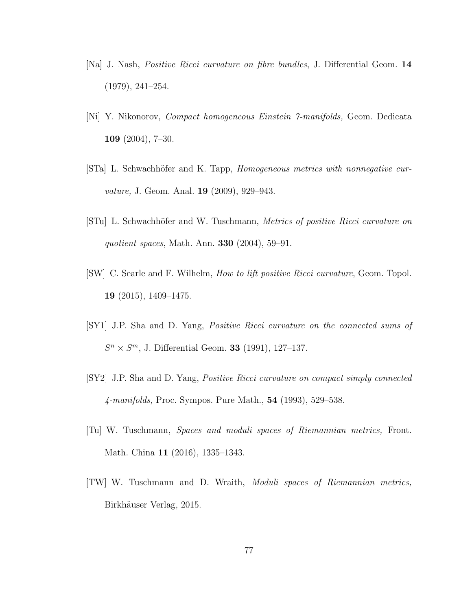- [Na] J. Nash, Positive Ricci curvature on fibre bundles, J. Differential Geom. 14 (1979), 241–254.
- [Ni] Y. Nikonorov, Compact homogeneous Einstein 7-manifolds, Geom. Dedicata 109 (2004), 7–30.
- [STa] L. Schwachhöfer and K. Tapp, *Homogeneous metrics with nonnegative cur*vature, J. Geom. Anal. **19** (2009), 929–943.
- [STu] L. Schwachhöfer and W. Tuschmann, Metrics of positive Ricci curvature on quotient spaces, Math. Ann. **330** (2004), 59-91.
- [SW] C. Searle and F. Wilhelm, How to lift positive Ricci curvature, Geom. Topol. 19 (2015), 1409–1475.
- [SY1] J.P. Sha and D. Yang, Positive Ricci curvature on the connected sums of  $S^{n} \times S^{m}$ , J. Differential Geom. **33** (1991), 127-137.
- [SY2] J.P. Sha and D. Yang, Positive Ricci curvature on compact simply connected 4-manifolds, Proc. Sympos. Pure Math., 54 (1993), 529–538.
- [Tu] W. Tuschmann, Spaces and moduli spaces of Riemannian metrics, Front. Math. China 11 (2016), 1335–1343.
- [TW] W. Tuschmann and D. Wraith, Moduli spaces of Riemannian metrics, Birkhäuser Verlag, 2015.